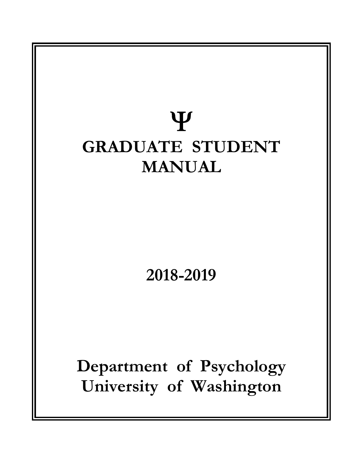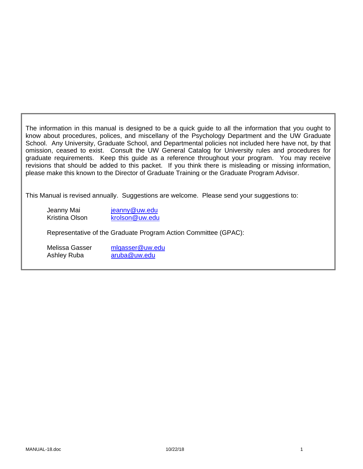The information in this manual is designed to be a quick guide to all the information that you ought to know about procedures, polices, and miscellany of the Psychology Department and the UW Graduate School. Any University, Graduate School, and Departmental policies not included here have not, by that omission, ceased to exist. Consult the UW General Catalog for University rules and procedures for graduate requirements. Keep this guide as a reference throughout your program. You may receive revisions that should be added to this packet. If you think there is misleading or missing information, please make this known to the Director of Graduate Training or the Graduate Program Advisor.

This Manual is revised annually. Suggestions are welcome. Please send your suggestions to:

Jeanny Mai jeanny@uw.edu Kristina Olson krolson@uw.edu

Representative of the Graduate Program Action Committee (GPAC):

Melissa Gasser mlgasser@uw.edu Ashley Ruba aruba@uw.edu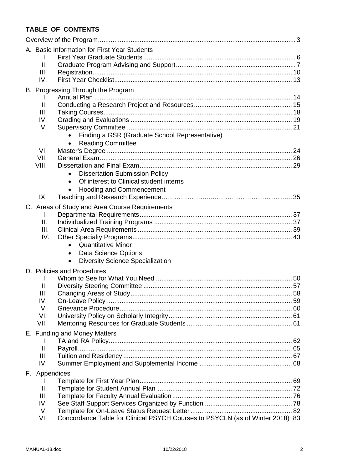# **TABLE OF CONTENTS**

| A. Basic Information for First Year Students |                                                                                         |  |  |  |  |
|----------------------------------------------|-----------------------------------------------------------------------------------------|--|--|--|--|
|                                              | I.                                                                                      |  |  |  |  |
|                                              | ΙΙ.<br>III.                                                                             |  |  |  |  |
|                                              | IV.                                                                                     |  |  |  |  |
|                                              | B. Progressing Through the Program                                                      |  |  |  |  |
|                                              | L.                                                                                      |  |  |  |  |
|                                              | ΙΙ.                                                                                     |  |  |  |  |
|                                              | III.                                                                                    |  |  |  |  |
|                                              | IV.                                                                                     |  |  |  |  |
|                                              | V.<br>Finding a GSR (Graduate School Representative)                                    |  |  |  |  |
|                                              | <b>Reading Committee</b><br>$\bullet$                                                   |  |  |  |  |
|                                              | VI.                                                                                     |  |  |  |  |
|                                              | VII.                                                                                    |  |  |  |  |
|                                              | VIII.                                                                                   |  |  |  |  |
|                                              | <b>Dissertation Submission Policy</b>                                                   |  |  |  |  |
|                                              | Of interest to Clinical student interns<br><b>Hooding and Commencement</b><br>$\bullet$ |  |  |  |  |
|                                              | IX.                                                                                     |  |  |  |  |
|                                              | C. Areas of Study and Area Course Requirements                                          |  |  |  |  |
|                                              | I.                                                                                      |  |  |  |  |
|                                              | II.                                                                                     |  |  |  |  |
|                                              | III.                                                                                    |  |  |  |  |
|                                              | IV.                                                                                     |  |  |  |  |
|                                              | <b>Quantitative Minor</b><br>$\bullet$                                                  |  |  |  |  |
|                                              | Data Science Options<br><b>Diversity Science Specialization</b><br>$\bullet$            |  |  |  |  |
|                                              |                                                                                         |  |  |  |  |
|                                              | D. Policies and Procedures<br>I.                                                        |  |  |  |  |
|                                              | Ⅱ.                                                                                      |  |  |  |  |
|                                              | III.                                                                                    |  |  |  |  |
|                                              | IV.                                                                                     |  |  |  |  |
|                                              | V.                                                                                      |  |  |  |  |
|                                              | VI.<br>VII.                                                                             |  |  |  |  |
| E. Funding and Money Matters                 |                                                                                         |  |  |  |  |
|                                              | I.                                                                                      |  |  |  |  |
|                                              | Ш.                                                                                      |  |  |  |  |
|                                              | III.                                                                                    |  |  |  |  |
|                                              | IV.                                                                                     |  |  |  |  |
|                                              | F. Appendices                                                                           |  |  |  |  |
|                                              | I.                                                                                      |  |  |  |  |
|                                              | Ⅱ.<br>III.                                                                              |  |  |  |  |
|                                              | IV.                                                                                     |  |  |  |  |
|                                              | V.                                                                                      |  |  |  |  |
|                                              | Concordance Table for Clinical PSYCH Courses to PSYCLN (as of Winter 2018). 83<br>VI.   |  |  |  |  |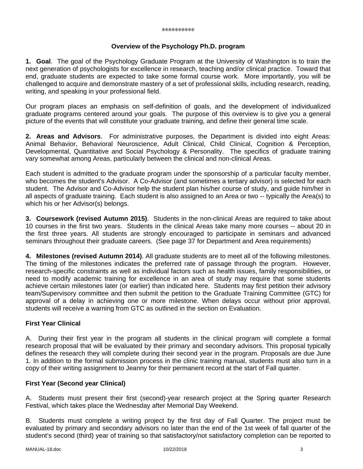#### **Overview of the Psychology Ph.D. program**

**1. Goal**. The goal of the Psychology Graduate Program at the University of Washington is to train the next generation of psychologists for excellence in research, teaching and/or clinical practice. Toward that end, graduate students are expected to take some formal course work. More importantly, you will be challenged to acquire and demonstrate mastery of a set of professional skills, including research, reading, writing, and speaking in your professional field.

Our program places an emphasis on self-definition of goals, and the development of individualized graduate programs centered around your goals. The purpose of this overview is to give you a general picture of the events that will constitute your graduate training, and define their general time scale.

**2. Areas and Advisors**. For administrative purposes, the Department is divided into eight Areas: Animal Behavior, Behavioral Neuroscience, Adult Clinical, Child Clinical, Cognition & Perception, Developmental, Quantitative and Social Psychology & Personality. The specifics of graduate training vary somewhat among Areas, particularly between the clinical and non-clinical Areas.

Each student is admitted to the graduate program under the sponsorship of a particular faculty member, who becomes the student's Advisor. A Co-Advisor (and sometimes a tertiary advisor) is selected for each student. The Advisor and Co-Advisor help the student plan his/her course of study, and guide him/her in all aspects of graduate training. Each student is also assigned to an Area or two -- typically the Area(s) to which his or her Advisor(s) belongs.

**3. Coursework (revised Autumn 2015)**. Students in the non-clinical Areas are required to take about 10 courses in the first two years. Students in the clinical Areas take many more courses -- about 20 in the first three years. All students are strongly encouraged to participate in seminars and advanced seminars throughout their graduate careers. (See page 37 for Department and Area requirements)

**4. Milestones (revised Autumn 2014)**. All graduate students are to meet all of the following milestones. The timing of the milestones indicates the preferred rate of passage through the program. However, research-specific constraints as well as individual factors such as health issues, family responsibilities, or need to modify academic training for excellence in an area of study may require that some students achieve certain milestones later (or earlier) than indicated here. Students may first petition their advisory team/Supervisory committee and then submit the petition to the Graduate Training Committee (GTC) for approval of a delay in achieving one or more milestone. When delays occur without prior approval, students will receive a warning from GTC as outlined in the section on Evaluation.

### **First Year Clinical**

A. During their first year in the program all students in the clinical program will complete a formal research proposal that will be evaluated by their primary and secondary advisors. This proposal typically defines the research they will complete during their second year in the program. Proposals are due June 1. In addition to the formal submission process in the clinic training manual, students must also turn in a copy of their writing assignment to Jeanny for their permanent record at the start of Fall quarter.

#### **First Year (Second year Clinical)**

A. Students must present their first (second)-year research project at the Spring quarter Research Festival, which takes place the Wednesday after Memorial Day Weekend.

B. Students must complete a writing project by the first day of Fall Quarter. The project must be evaluated by primary and secondary advisors no later than the end of the 1st week of fall quarter of the student's second (third) year of training so that satisfactory/not satisfactory completion can be reported to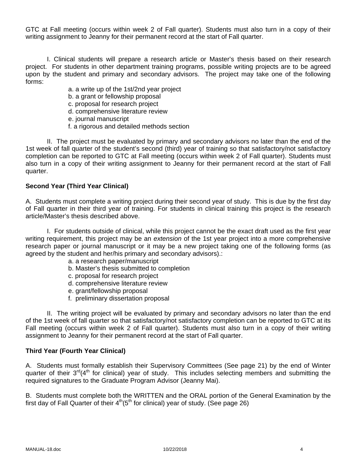GTC at Fall meeting (occurs within week 2 of Fall quarter). Students must also turn in a copy of their writing assignment to Jeanny for their permanent record at the start of Fall quarter.

 I. Clinical students will prepare a research article or Master's thesis based on their research project. For students in other department training programs, possible writing projects are to be agreed upon by the student and primary and secondary advisors. The project may take one of the following forms:

a. a write up of the 1st/2nd year project

- b. a grant or fellowship proposal
- c. proposal for research project
- d. comprehensive literature review
- e. journal manuscript
- f. a rigorous and detailed methods section

 II. The project must be evaluated by primary and secondary advisors no later than the end of the 1st week of fall quarter of the student's second (third) year of training so that satisfactory/not satisfactory completion can be reported to GTC at Fall meeting (occurs within week 2 of Fall quarter). Students must also turn in a copy of their writing assignment to Jeanny for their permanent record at the start of Fall quarter.

### **Second Year (Third Year Clinical)**

A. Students must complete a writing project during their second year of study. This is due by the first day of Fall quarter in their third year of training. For students in clinical training this project is the research article/Master's thesis described above.

 I. For students outside of clinical, while this project cannot be the exact draft used as the first year writing requirement, this project may be an *extension* of the 1st year project into a more comprehensive research paper or journal manuscript or it may be a new project taking one of the following forms (as agreed by the student and her/his primary and secondary advisors).:

- a. a research paper/manuscript
- b. Master's thesis submitted to completion
- c. proposal for research project
- d. comprehensive literature review
- e. grant/fellowship proposal
- f. preliminary dissertation proposal

 II. The writing project will be evaluated by primary and secondary advisors no later than the end of the 1st week of fall quarter so that satisfactory/not satisfactory completion can be reported to GTC at its Fall meeting (occurs within week 2 of Fall quarter). Students must also turn in a copy of their writing assignment to Jeanny for their permanent record at the start of Fall quarter.

#### **Third Year (Fourth Year Clinical)**

A. Students must formally establish their Supervisory Committees (See page 21) by the end of Winter quarter of their 3<sup>rd</sup>(4<sup>th</sup> for clinical) year of study. This includes selecting members and submitting the required signatures to the Graduate Program Advisor (Jeanny Mai).

B. Students must complete both the WRITTEN and the ORAL portion of the General Examination by the first day of Fall Quarter of their  $4<sup>th</sup>(5<sup>th</sup>$  for clinical) year of study. (See page 26)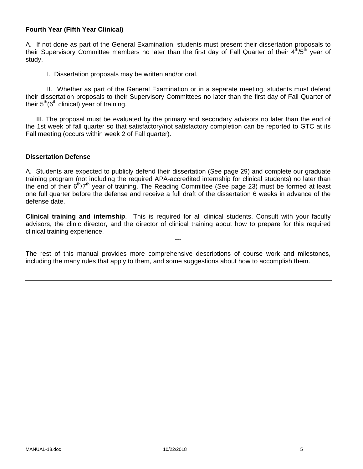### **Fourth Year (Fifth Year Clinical)**

A. If not done as part of the General Examination, students must present their dissertation proposals to their Supervisory Committee members no later than the first day of Fall Quarter of their  $4<sup>th</sup>/5<sup>th</sup>$  year of study.

I. Dissertation proposals may be written and/or oral.

 II. Whether as part of the General Examination or in a separate meeting, students must defend their dissertation proposals to their Supervisory Committees no later than the first day of Fall Quarter of their  $5<sup>th</sup>(6<sup>th</sup>$  clinical) year of training.

 III. The proposal must be evaluated by the primary and secondary advisors no later than the end of the 1st week of fall quarter so that satisfactory/not satisfactory completion can be reported to GTC at its Fall meeting (occurs within week 2 of Fall quarter).

#### **Dissertation Defense**

A. Students are expected to publicly defend their dissertation (See page 29) and complete our graduate training program (not including the required APA-accredited internship for clinical students) no later than the end of their  $6<sup>th</sup>/7<sup>th</sup>$  year of training. The Reading Committee (See page 23) must be formed at least one full quarter before the defense and receive a full draft of the dissertation 6 weeks in advance of the defense date.

**Clinical training and internship**. This is required for all clinical students. Consult with your faculty advisors, the clinic director, and the director of clinical training about how to prepare for this required clinical training experience.

---

The rest of this manual provides more comprehensive descriptions of course work and milestones, including the many rules that apply to them, and some suggestions about how to accomplish them.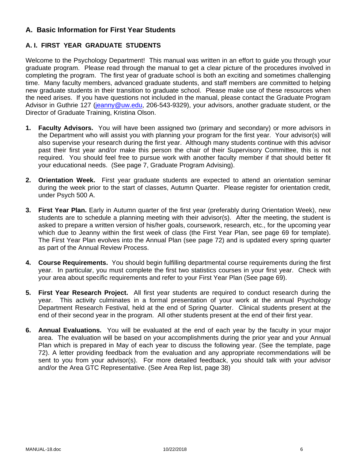# **A. Basic Information for First Year Students**

# **A. I. FIRST YEAR GRADUATE STUDENTS**

Welcome to the Psychology Department! This manual was written in an effort to guide you through your graduate program. Please read through the manual to get a clear picture of the procedures involved in completing the program. The first year of graduate school is both an exciting and sometimes challenging time. Many faculty members, advanced graduate students, and staff members are committed to helping new graduate students in their transition to graduate school. Please make use of these resources when the need arises. If you have questions not included in the manual, please contact the Graduate Program Advisor in Guthrie 127 (jeanny@uw.edu, 206-543-9329), your advisors, another graduate student, or the Director of Graduate Training, Kristina Olson.

- **1. Faculty Advisors.** You will have been assigned two (primary and secondary) or more advisors in the Department who will assist you with planning your program for the first year. Your advisor(s) will also supervise your research during the first year. Although many students continue with this advisor past their first year and/or make this person the chair of their Supervisory Committee, this is not required. You should feel free to pursue work with another faculty member if that should better fit your educational needs. (See page 7, Graduate Program Advising).
- **2. Orientation Week.** First year graduate students are expected to attend an orientation seminar during the week prior to the start of classes, Autumn Quarter. Please register for orientation credit, under Psych 500 A.
- **3. First Year Plan.** Early in Autumn quarter of the first year (preferably during Orientation Week), new students are to schedule a planning meeting with their advisor(s). After the meeting, the student is asked to prepare a written version of his/her goals, coursework, research, etc., for the upcoming year which due to Jeanny within the first week of class (the First Year Plan, see page 69 for template). The First Year Plan evolves into the Annual Plan (see page 72) and is updated every spring quarter as part of the Annual Review Process.
- **4. Course Requirements.** You should begin fulfilling departmental course requirements during the first year. In particular, you must complete the first two statistics courses in your first year. Check with your area about specific requirements and refer to your First Year Plan (See page 69).
- **5. First Year Research Project.** All first year students are required to conduct research during the year. This activity culminates in a formal presentation of your work at the annual Psychology Department Research Festival, held at the end of Spring Quarter. Clinical students present at the end of their second year in the program. All other students present at the end of their first year.
- **6. Annual Evaluations.** You will be evaluated at the end of each year by the faculty in your major area. The evaluation will be based on your accomplishments during the prior year and your Annual Plan which is prepared in May of each year to discuss the following year. (See the template, page 72). A letter providing feedback from the evaluation and any appropriate recommendations will be sent to you from your advisor(s). For more detailed feedback, you should talk with your advisor and/or the Area GTC Representative. (See Area Rep list, page 38)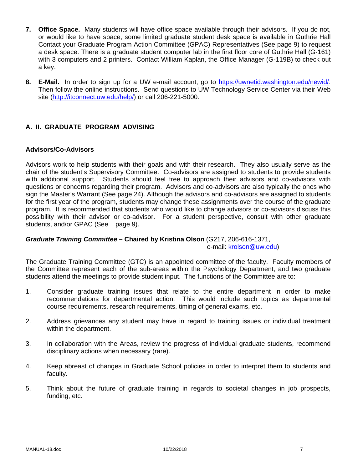- **7. Office Space.** Many students will have office space available through their advisors. If you do not, or would like to have space, some limited graduate student desk space is available in Guthrie Hall Contact your Graduate Program Action Committee (GPAC) Representatives (See page 9) to request a desk space. There is a graduate student computer lab in the first floor core of Guthrie Hall (G-161) with 3 computers and 2 printers. Contact William Kaplan, the Office Manager (G-119B) to check out a key.
- **8. E-Mail.** In order to sign up for a UW e-mail account, go to https://uwnetid.washington.edu/newid/. Then follow the online instructions. Send questions to UW Technology Service Center via their Web site (http://itconnect.uw.edu/help/) or call 206-221-5000.

# **A. II. GRADUATE PROGRAM ADVISING**

#### **Advisors/Co-Advisors**

Advisors work to help students with their goals and with their research. They also usually serve as the chair of the student's Supervisory Committee. Co-advisors are assigned to students to provide students with additional support. Students should feel free to approach their advisors and co-advisors with questions or concerns regarding their program. Advisors and co-advisors are also typically the ones who sign the Master's Warrant (See page 24). Although the advisors and co-advisors are assigned to students for the first year of the program, students may change these assignments over the course of the graduate program. It is recommended that students who would like to change advisors or co-advisors discuss this possibility with their advisor or co-advisor. For a student perspective, consult with other graduate students, and/or GPAC (See page 9).

### *Graduate Training Committee –* **Chaired by Kristina Olson** (G217, 206-616-1371, e-mail: krolson@uw.edu)

The Graduate Training Committee (GTC) is an appointed committee of the faculty. Faculty members of the Committee represent each of the sub-areas within the Psychology Department, and two graduate students attend the meetings to provide student input. The functions of the Committee are to:

- 1. Consider graduate training issues that relate to the entire department in order to make recommendations for departmental action. This would include such topics as departmental course requirements, research requirements, timing of general exams, etc.
- 2. Address grievances any student may have in regard to training issues or individual treatment within the department.
- 3. In collaboration with the Areas, review the progress of individual graduate students, recommend disciplinary actions when necessary (rare).
- 4. Keep abreast of changes in Graduate School policies in order to interpret them to students and faculty.
- 5. Think about the future of graduate training in regards to societal changes in job prospects, funding, etc.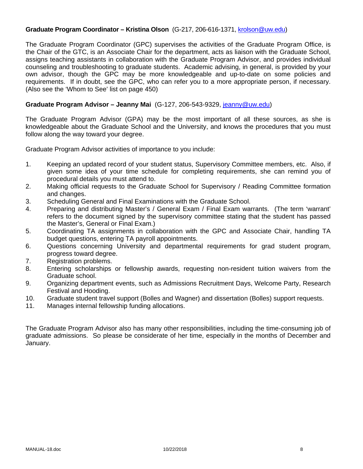### **Graduate Program Coordinator – Kristina Olson** (G-217, 206-616-1371, krolson@uw.edu)

The Graduate Program Coordinator (GPC) supervises the activities of the Graduate Program Office, is the Chair of the GTC, is an Associate Chair for the department, acts as liaison with the Graduate School, assigns teaching assistants in collaboration with the Graduate Program Advisor, and provides individual counseling and troubleshooting to graduate students. Academic advising, in general, is provided by your own advisor, though the GPC may be more knowledgeable and up-to-date on some policies and requirements. If in doubt, see the GPC, who can refer you to a more appropriate person, if necessary. (Also see the 'Whom to See' list on page 450)

### **Graduate Program Advisor – Jeanny Mai** (G-127, 206-543-9329, jeanny@uw.edu)

The Graduate Program Advisor (GPA) may be the most important of all these sources, as she is knowledgeable about the Graduate School and the University, and knows the procedures that you must follow along the way toward your degree.

Graduate Program Advisor activities of importance to you include:

- 1. Keeping an updated record of your student status, Supervisory Committee members, etc. Also, if given some idea of your time schedule for completing requirements, she can remind you of procedural details you must attend to.
- 2. Making official requests to the Graduate School for Supervisory / Reading Committee formation and changes.
- 3. Scheduling General and Final Examinations with the Graduate School.
- 4. Preparing and distributing Master's / General Exam / Final Exam warrants. (The term 'warrant' refers to the document signed by the supervisory committee stating that the student has passed the Master's, General or Final Exam.)
- 5. Coordinating TA assignments in collaboration with the GPC and Associate Chair, handling TA budget questions, entering TA payroll appointments.
- 6. Questions concerning University and departmental requirements for grad student program, progress toward degree.
- 7. Registration problems.
- 8. Entering scholarships or fellowship awards, requesting non-resident tuition waivers from the Graduate school.
- 9. Organizing department events, such as Admissions Recruitment Days, Welcome Party, Research Festival and Hooding.
- 10. Graduate student travel support (Bolles and Wagner) and dissertation (Bolles) support requests.
- 11. Manages internal fellowship funding allocations.

The Graduate Program Advisor also has many other responsibilities, including the time-consuming job of graduate admissions. So please be considerate of her time, especially in the months of December and January.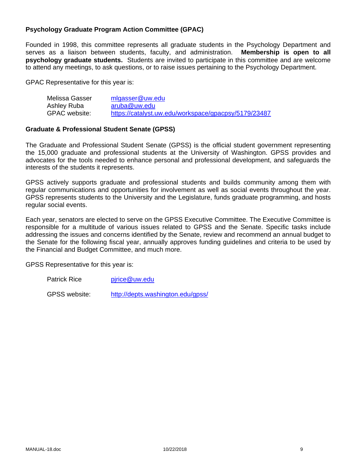### **Psychology Graduate Program Action Committee (GPAC)**

Founded in 1998, this committee represents all graduate students in the Psychology Department and serves as a liaison between students, faculty, and administration. **Membership is open to all psychology graduate students.** Students are invited to participate in this committee and are welcome to attend any meetings, to ask questions, or to raise issues pertaining to the Psychology Department.

GPAC Representative for this year is:

| Melissa Gasser | mlgasser@uw.edu                                      |
|----------------|------------------------------------------------------|
| Ashley Ruba    | aruba@uw.edu                                         |
| GPAC website:  | https://catalyst.uw.edu/workspace/gpacpsy/5179/23487 |

#### **Graduate & Professional Student Senate (GPSS)**

The Graduate and Professional Student Senate (GPSS) is the official student government representing the 15,000 graduate and professional students at the University of Washington. GPSS provides and advocates for the tools needed to enhance personal and professional development, and safeguards the interests of the students it represents.

GPSS actively supports graduate and professional students and builds community among them with regular communications and opportunities for involvement as well as social events throughout the year. GPSS represents students to the University and the Legislature, funds graduate programming, and hosts regular social events.

Each year, senators are elected to serve on the GPSS Executive Committee. The Executive Committee is responsible for a multitude of various issues related to GPSS and the Senate. Specific tasks include addressing the issues and concerns identified by the Senate, review and recommend an annual budget to the Senate for the following fiscal year, annually approves funding guidelines and criteria to be used by the Financial and Budget Committee, and much more.

GPSS Representative for this year is:

Patrick Rice pirice@uw.edu

GPSS website: http://depts.washington.edu/gpss/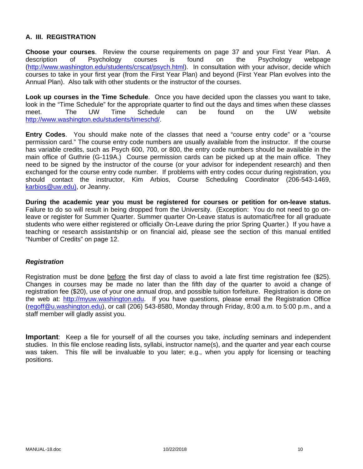# **A. III. REGISTRATION**

**Choose your courses**. Review the course requirements on page 37 and your First Year Plan. A description of Psychology courses is found on the Psychology webpage (http://www.washington.edu/students/crscat/psych.html). In consultation with your advisor, decide which courses to take in your first year (from the First Year Plan) and beyond (First Year Plan evolves into the Annual Plan). Also talk with other students or the instructor of the courses.

**Look up courses in the Time Schedule**. Once you have decided upon the classes you want to take, look in the "Time Schedule" for the appropriate quarter to find out the days and times when these classes meet. The UW Time Schedule can be found on the UW website http://www.washington.edu/students/timeschd/.

**Entry Codes**. You should make note of the classes that need a "course entry code" or a "course permission card." The course entry code numbers are usually available from the instructor. If the course has variable credits, such as Psych 600, 700, or 800, the entry code numbers should be available in the main office of Guthrie (G-119A.) Course permission cards can be picked up at the main office. They need to be signed by the instructor of the course (or your advisor for independent research) and then exchanged for the course entry code number. If problems with entry codes occur during registration, you should contact the instructor, Kim Arbios, Course Scheduling Coordinator (206-543-1469, karbios@uw.edu), or Jeanny.

**During the academic year you must be registered for courses or petition for on-leave status.**  Failure to do so will result in being dropped from the University. (Exception: You do not need to go onleave or register for Summer Quarter. Summer quarter On-Leave status is automatic/free for all graduate students who were either registered or officially On-Leave during the prior Spring Quarter.) If you have a teaching or research assistantship or on financial aid, please see the section of this manual entitled "Number of Credits" on page 12.

#### *Registration*

Registration must be done before the first day of class to avoid a late first time registration fee (\$25). Changes in courses may be made no later than the fifth day of the quarter to avoid a change of registration fee (\$20), use of your one annual drop, and possible tuition forfeiture. Registration is done on the web at: http://myuw.washington.edu. If you have questions, please email the Registration Office (regoff@u.washington.edu), or call (206) 543-8580, Monday through Friday, 8:00 a.m. to 5:00 p.m., and a staff member will gladly assist you.

**Important**: Keep a file for yourself of all the courses you take, *including* seminars and independent studies. In this file enclose reading lists, syllabi, instructor name(s), and the quarter and year each course was taken. This file will be invaluable to you later; e.g., when you apply for licensing or teaching positions.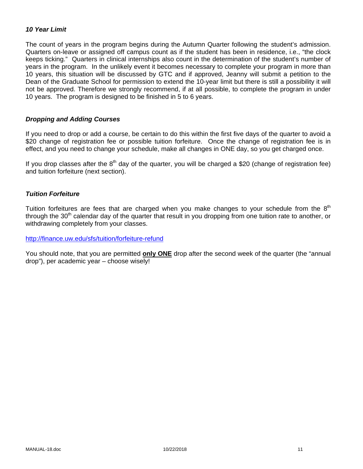### *10 Year Limit*

The count of years in the program begins during the Autumn Quarter following the student's admission. Quarters on-leave or assigned off campus count as if the student has been in residence, i.e., "the clock keeps ticking." Quarters in clinical internships also count in the determination of the student's number of years in the program. In the unlikely event it becomes necessary to complete your program in more than 10 years, this situation will be discussed by GTC and if approved, Jeanny will submit a petition to the Dean of the Graduate School for permission to extend the 10-year limit but there is still a possibility it will not be approved. Therefore we strongly recommend, if at all possible, to complete the program in under 10 years. The program is designed to be finished in 5 to 6 years.

#### *Dropping and Adding Courses*

If you need to drop or add a course, be certain to do this within the first five days of the quarter to avoid a \$20 change of registration fee or possible tuition forfeiture. Once the change of registration fee is in effect, and you need to change your schedule, make all changes in ONE day, so you get charged once.

If you drop classes after the  $8<sup>th</sup>$  day of the quarter, you will be charged a \$20 (change of registration fee) and tuition forfeiture (next section).

#### *Tuition Forfeiture*

Tuition forfeitures are fees that are charged when you make changes to your schedule from the  $8<sup>th</sup>$ through the 30<sup>th</sup> calendar day of the quarter that result in you dropping from one tuition rate to another, or withdrawing completely from your classes.

http://finance.uw.edu/sfs/tuition/forfeiture-refund

You should note, that you are permitted **only ONE** drop after the second week of the quarter (the "annual drop"), per academic year – choose wisely!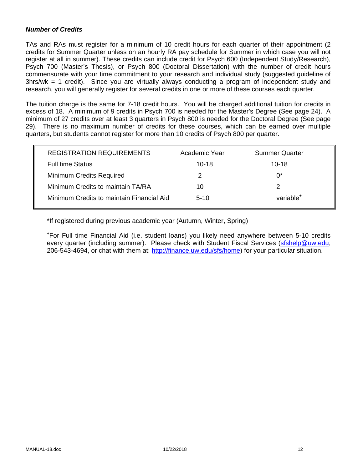### *Number of Credits*

TAs and RAs must register for a minimum of 10 credit hours for each quarter of their appointment (2 credits for Summer Quarter unless on an hourly RA pay schedule for Summer in which case you will not register at all in summer). These credits can include credit for Psych 600 (Independent Study/Research), Psych 700 (Master's Thesis), or Psych 800 (Doctoral Dissertation) with the number of credit hours commensurate with your time commitment to your research and individual study (suggested guideline of 3hrs/wk = 1 credit). Since you are virtually always conducting a program of independent study and research, you will generally register for several credits in one or more of these courses each quarter.

The tuition charge is the same for 7-18 credit hours. You will be charged additional tuition for credits in excess of 18. A minimum of 9 credits in Psych 700 is needed for the Master's Degree (See page 24). A minimum of 27 credits over at least 3 quarters in Psych 800 is needed for the Doctoral Degree (See page 29). There is no maximum number of credits for these courses, which can be earned over multiple quarters, but students cannot register for more than 10 credits of Psych 800 per quarter.

| <b>REGISTRATION REQUIREMENTS</b>          | Academic Year | <b>Summer Quarter</b> |
|-------------------------------------------|---------------|-----------------------|
| <b>Full time Status</b>                   | $10 - 18$     | $10 - 18$             |
| <b>Minimum Credits Required</b>           | 2             | $0^*$                 |
| Minimum Credits to maintain TA/RA         | 10            | 2                     |
| Minimum Credits to maintain Financial Aid | $5-10$        | variable <sup>+</sup> |

\*If registered during previous academic year (Autumn, Winter, Spring)

+ For Full time Financial Aid (i.e. student loans) you likely need anywhere between 5-10 credits every quarter (including summer). Please check with Student Fiscal Services (sfshelp@uw.edu, 206-543-4694, or chat with them at: http://finance.uw.edu/sfs/home) for your particular situation.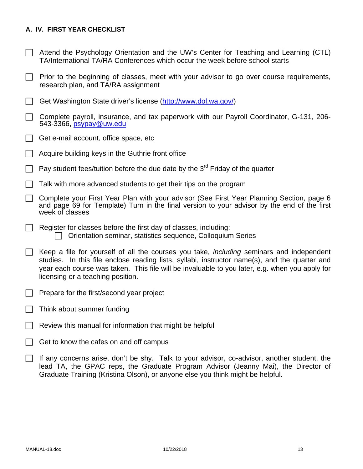### **A. IV. FIRST YEAR CHECKLIST**

- $\Box$  Attend the Psychology Orientation and the UW's Center for Teaching and Learning (CTL) TA/International TA/RA Conferences which occur the week before school starts
- $\Box$  Prior to the beginning of classes, meet with your advisor to go over course requirements, research plan, and TA/RA assignment
- Get Washington State driver's license (http://www.dol.wa.gov/)
- $\Box$  Complete payroll, insurance, and tax paperwork with our Payroll Coordinator, G-131, 206-543-3366, psypay@uw.edu
- $\Box$  Get e-mail account, office space, etc
- Acquire building keys in the Guthrie front office
- $\Box$  Pay student fees/tuition before the due date by the 3<sup>rd</sup> Friday of the quarter
- $\Box$  Talk with more advanced students to get their tips on the program
- Complete your First Year Plan with your advisor (See First Year Planning Section, page 6 and page 69 for Template) Turn in the final version to your advisor by the end of the first week of classes
- $\Box$  Register for classes before the first day of classes, including:  $\Box$  Orientation seminar, statistics sequence, Colloquium Series
- Keep a file for yourself of all the courses you take, *including* seminars and independent studies. In this file enclose reading lists, syllabi, instructor name(s), and the quarter and year each course was taken. This file will be invaluable to you later, e.g. when you apply for licensing or a teaching position.
- $\Box$  Prepare for the first/second year project
- $\Box$  Think about summer funding
- Review this manual for information that might be helpful
- Get to know the cafes on and off campus
- $\Box$  If any concerns arise, don't be shy. Talk to your advisor, co-advisor, another student, the lead TA, the GPAC reps, the Graduate Program Advisor (Jeanny Mai), the Director of Graduate Training (Kristina Olson), or anyone else you think might be helpful.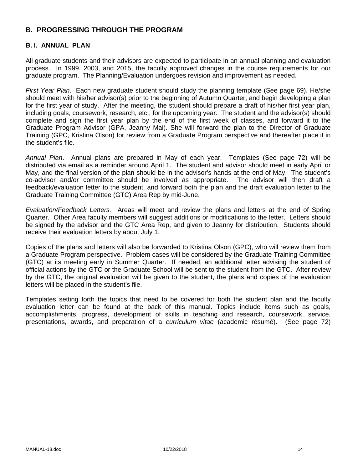# **B. PROGRESSING THROUGH THE PROGRAM**

### **B. I. ANNUAL PLAN**

All graduate students and their advisors are expected to participate in an annual planning and evaluation process. In 1999, 2003, and 2015, the faculty approved changes in the course requirements for our graduate program. The Planning/Evaluation undergoes revision and improvement as needed.

*First Year Plan*. Each new graduate student should study the planning template (See page 69). He/she should meet with his/her advisor(s) prior to the beginning of Autumn Quarter, and begin developing a plan for the first year of study. After the meeting, the student should prepare a draft of his/her first year plan, including goals, coursework, research, etc., for the upcoming year. The student and the advisor(s) should complete and sign the first year plan by the end of the first week of classes, and forward it to the Graduate Program Advisor (GPA, Jeanny Mai). She will forward the plan to the Director of Graduate Training (GPC, Kristina Olson) for review from a Graduate Program perspective and thereafter place it in the student's file.

*Annual Plan*. Annual plans are prepared in May of each year. Templates (See page 72) will be distributed via email as a reminder around April 1. The student and advisor should meet in early April or May, and the final version of the plan should be in the advisor's hands at the end of May. The student's co-advisor and/or committee should be involved as appropriate. The advisor will then draft a feedback/evaluation letter to the student, and forward both the plan and the draft evaluation letter to the Graduate Training Committee (GTC) Area Rep by mid-June.

*Evaluation/Feedback Letters.* Areas will meet and review the plans and letters at the end of Spring Quarter. Other Area faculty members will suggest additions or modifications to the letter. Letters should be signed by the advisor and the GTC Area Rep, and given to Jeanny for distribution. Students should receive their evaluation letters by about July 1.

Copies of the plans and letters will also be forwarded to Kristina Olson (GPC), who will review them from a Graduate Program perspective. Problem cases will be considered by the Graduate Training Committee (GTC) at its meeting early in Summer Quarter. If needed, an additional letter advising the student of official actions by the GTC or the Graduate School will be sent to the student from the GTC. After review by the GTC, the original evaluation will be given to the student, the plans and copies of the evaluation letters will be placed in the student's file.

Templates setting forth the topics that need to be covered for both the student plan and the faculty evaluation letter can be found at the back of this manual. Topics include items such as goals, accomplishments, progress, development of skills in teaching and research, coursework, service, presentations, awards, and preparation of a *curriculum vitae* (academic résumé). (See page 72)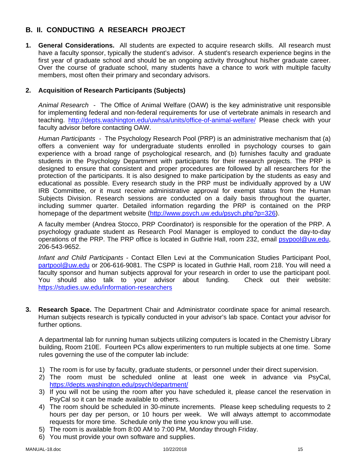# **B. II. CONDUCTING A RESEARCH PROJECT**

**1. General Considerations.** All students are expected to acquire research skills. All research must have a faculty sponsor, typically the student's advisor. A student's research experience begins in the first year of graduate school and should be an ongoing activity throughout his/her graduate career. Over the course of graduate school, many students have a chance to work with multiple faculty members, most often their primary and secondary advisors.

### **2. Acquisition of Research Participants (Subjects)**

*Animal Research* - The Office of Animal Welfare (OAW) is the key administrative unit responsible for implementing federal and non-federal requirements for use of vertebrate animals in research and teaching. http://depts.washington.edu/uwhsa/units/office-of-animal-welfare/ Please check with your faculty advisor before contacting OAW.

*Human Participants -* The Psychology Research Pool (PRP) is an administrative mechanism that (a) offers a convenient way for undergraduate students enrolled in psychology courses to gain experience with a broad range of psychological research, and (b) furnishes faculty and graduate students in the Psychology Department with participants for their research projects. The PRP is designed to ensure that consistent and proper procedures are followed by all researchers for the protection of the participants. It is also designed to make participation by the students as easy and educational as possible. Every research study in the PRP must be individually approved by a UW IRB Committee, or it must receive administrative approval for exempt status from the Human Subjects Division. Research sessions are conducted on a daily basis throughout the quarter, including summer quarter. Detailed information regarding the PRP is contained on the PRP homepage of the department website (http://www.psych.uw.edu/psych.php?p=326).

A faculty member (Andrea Stocco, PRP Coordinator) is responsible for the operation of the PRP. A psychology graduate student as Research Pool Manager is employed to conduct the day-to-day operations of the PRP. The PRP office is located in Guthrie Hall, room 232, email psypool@uw.edu, 206-543-9652.

*Infant and Child Participants* - Contact Ellen Levi at the Communication Studies Participant Pool, partpool@uw.edu or 206-616-9081. The CSPP is located in Guthrie Hall, room 218. You will need a faculty sponsor and human subjects approval for your research in order to use the participant pool. You should also talk to your advisor about funding. Check out their website: https://studies.uw.edu/information-researchers

**3. Research Space.** The Department Chair and Administrator coordinate space for animal research. Human subjects research is typically conducted in your advisor's lab space. Contact your advisor for further options.

A departmental lab for running human subjects utilizing computers is located in the Chemistry Library building, Room 210E. Fourteen PCs allow experimenters to run multiple subjects at one time. Some rules governing the use of the computer lab include:

- 1) The room is for use by faculty, graduate students, or personnel under their direct supervision.
- 2) The room must be scheduled online at least one week in advance via PsyCal, https://depts.washington.edu/psych/department/
- 3) If you will not be using the room after you have scheduled it, please cancel the reservation in PsyCal so it can be made available to others.
- 4) The room should be scheduled in 30-minute increments. Please keep scheduling requests to 2 hours per day per person, or 10 hours per week. We will always attempt to accommodate requests for more time. Schedule only the time you know you will use.
- 5) The room is available from 8:00 AM to 7:00 PM, Monday through Friday.
- 6) You must provide your own software and supplies.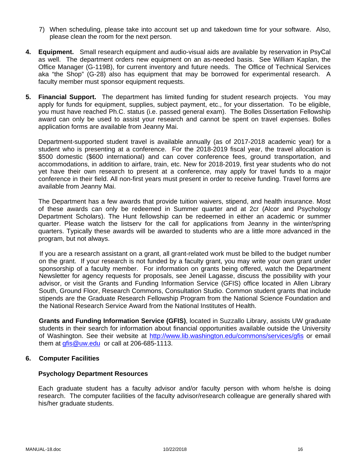- 7) When scheduling, please take into account set up and takedown time for your software. Also, please clean the room for the next person.
- **4. Equipment.** Small research equipment and audio-visual aids are available by reservation in PsyCal as well. The department orders new equipment on an as-needed basis. See William Kaplan, the Office Manager (G-119B), for current inventory and future needs. The Office of Technical Services aka "the Shop" (G-28) also has equipment that may be borrowed for experimental research. A faculty member must sponsor equipment requests.
- **5. Financial Support.** The department has limited funding for student research projects. You may apply for funds for equipment, supplies, subject payment, etc., for your dissertation. To be eligible, you must have reached Ph.C. status (i.e. passed general exam). The Bolles Dissertation Fellowship award can only be used to assist your research and cannot be spent on travel expenses. Bolles application forms are available from Jeanny Mai.

Department-supported student travel is available annually (as of 2017-2018 academic year) for a student who is presenting at a conference. For the 2018-2019 fiscal year, the travel allocation is \$500 domestic (\$600 international) and can cover conference fees, ground transportation, and accommodations, in addition to airfare, train, etc. New for 2018-2019, first year students who do not yet have their own research to present at a conference, may apply for travel funds to a major conference in their field. All non-first years must present in order to receive funding. Travel forms are available from Jeanny Mai.

The Department has a few awards that provide tuition waivers, stipend, and health insurance. Most of these awards can only be redeemed in Summer quarter and at 2cr (Alcor and Psychology Department Scholars). The Hunt fellowship can be redeemed in either an academic or summer quarter. Please watch the listserv for the call for applications from Jeanny in the winter/spring quarters. Typically these awards will be awarded to students who are a little more advanced in the program, but not always.

If you are a research assistant on a grant, all grant-related work must be billed to the budget number on the grant. If your research is not funded by a faculty grant, you may write your own grant under sponsorship of a faculty member. For information on grants being offered, watch the Department Newsletter for agency requests for proposals, see Jeneil Lagasse, discuss the possibility with your advisor, or visit the Grants and Funding Information Service (GFIS) office located in Allen Library South, Ground Floor, Research Commons, Consultation Studio. Common student grants that include stipends are the Graduate Research Fellowship Program from the National Science Foundation and the National Research Service Award from the National Institutes of Health.

**Grants and Funding Information Service (GFIS)**, located in Suzzallo Library, assists UW graduate students in their search for information about financial opportunities available outside the University of Washington. See their website at http://www.lib.washington.edu/commons/services/gfis or email them at gfis@uw.edu or call at 206-685-1113.

### **6. Computer Facilities**

#### **Psychology Department Resources**

Each graduate student has a faculty advisor and/or faculty person with whom he/she is doing research. The computer facilities of the faculty advisor/research colleague are generally shared with his/her graduate students.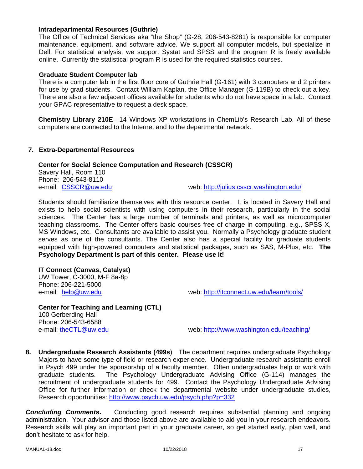#### **Intradepartmental Resources (Guthrie)**

The Office of Technical Services aka "the Shop" (G-28, 206-543-8281) is responsible for computer maintenance, equipment, and software advice. We support all computer models, but specialize in Dell. For statistical analysis, we support Systat and SPSS and the program R is freely available online. Currently the statistical program R is used for the required statistics courses.

#### **Graduate Student Computer lab**

There is a computer lab in the first floor core of Guthrie Hall (G-161) with 3 computers and 2 printers for use by grad students. Contact William Kaplan, the Office Manager (G-119B) to check out a key. There are also a few adjacent offices available for students who do not have space in a lab. Contact your GPAC representative to request a desk space.

**Chemistry Library 210E**– 14 Windows XP workstations in ChemLib's Research Lab. All of these computers are connected to the Internet and to the departmental network.

#### **7. Extra-Departmental Resources**

#### **Center for Social Science Computation and Research (CSSCR)**

Savery Hall, Room 110 Phone: 206-543-8110

e-mail: CSSCR@uw.edu example web: http://julius.csscr.washington.edu/

Students should familiarize themselves with this resource center. It is located in Savery Hall and exists to help social scientists with using computers in their research, particularly in the social sciences. The Center has a large number of terminals and printers, as well as microcomputer teaching classrooms. The Center offers basic courses free of charge in computing, e.g., SPSS X, MS Windows, etc. Consultants are available to assist you. Normally a Psychology graduate student serves as one of the consultants. The Center also has a special facility for graduate students equipped with high-powered computers and statistical packages, such as SAS, M-Plus, etc. **The Psychology Department is part of this center. Please use it!**

#### **IT Connect (Canvas, Catalyst)**

UW Tower, C-3000, M-F 8a-8p Phone: 206-221-5000

e-mail: help@uw.edu web: http://itconnect.uw.edu/learn/tools/

**Center for Teaching and Learning (CTL)**  100 Gerberding Hall Phone: 206-543-6588

e-mail: theCTL@uw.edu web: http://www.washington.edu/teaching/

**8. Undergraduate Research Assistants (499s**) The department requires undergraduate Psychology Majors to have some type of field or research experience. Undergraduate research assistants enroll in Psych 499 under the sponsorship of a faculty member. Often undergraduates help or work with graduate students. The Psychology Undergraduate Advising Office (G-114) manages the recruitment of undergraduate students for 499. Contact the Psychology Undergraduate Advising Office for further information or check the departmental website under undergraduate studies, Research opportunities: http://www.psych.uw.edu/psych.php?p=332

**Concluding Comments.** Conducting good research requires substantial planning and ongoing administration. Your advisor and those listed above are available to aid you in your research endeavors. Research skills will play an important part in your graduate career, so get started early, plan well, and don't hesitate to ask for help.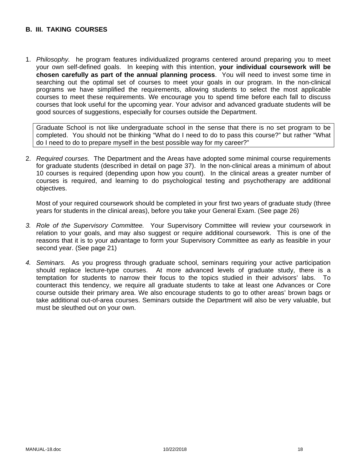### **B. III. TAKING COURSES**

1. *Philosophy.* he program features individualized programs centered around preparing you to meet your own self-defined goals. In keeping with this intention, **your individual coursework will be chosen carefully as part of the annual planning process**. You will need to invest some time in searching out the optimal set of courses to meet your goals in our program. In the non-clinical programs we have simplified the requirements, allowing students to select the most applicable courses to meet these requirements. We encourage you to spend time before each fall to discuss courses that look useful for the upcoming year. Your advisor and advanced graduate students will be good sources of suggestions, especially for courses outside the Department.

Graduate School is not like undergraduate school in the sense that there is no set program to be completed. You should not be thinking "What do I need to do to pass this course?" but rather "What do I need to do to prepare myself in the best possible way for my career?"

2. *Required courses.* The Department and the Areas have adopted some minimal course requirements for graduate students (described in detail on page 37). In the non-clinical areas a minimum of about 10 courses is required (depending upon how you count). In the clinical areas a greater number of courses is required, and learning to do psychological testing and psychotherapy are additional objectives.

Most of your required coursework should be completed in your first two years of graduate study (three years for students in the clinical areas), before you take your General Exam. (See page 26)

- *3. Role of the Supervisory Committee.* Your Supervisory Committee will review your coursework in relation to your goals, and may also suggest or require additional coursework. This is one of the reasons that it is to your advantage to form your Supervisory Committee as early as feasible in your second year. (See page 21)
- *4. Seminars.* As you progress through graduate school, seminars requiring your active participation should replace lecture-type courses. At more advanced levels of graduate study, there is a temptation for students to narrow their focus to the topics studied in their advisors' labs. To counteract this tendency, we require all graduate students to take at least one Advances or Core course outside their primary area. We also encourage students to go to other areas' brown bags or take additional out-of-area courses. Seminars outside the Department will also be very valuable, but must be sleuthed out on your own.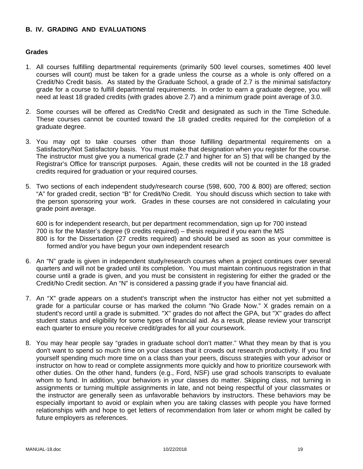### **B. IV. GRADING AND EVALUATIONS**

#### **Grades**

- 1. All courses fulfilling departmental requirements (primarily 500 level courses, sometimes 400 level courses will count) must be taken for a grade unless the course as a whole is only offered on a Credit/No Credit basis. As stated by the Graduate School, a grade of 2.7 is the minimal satisfactory grade for a course to fulfill departmental requirements. In order to earn a graduate degree, you will need at least 18 graded credits (with grades above 2.7) and a minimum grade point average of 3.0.
- 2. Some courses will be offered as Credit/No Credit and designated as such in the Time Schedule. These courses cannot be counted toward the 18 graded credits required for the completion of a graduate degree.
- 3. You may opt to take courses other than those fulfilling departmental requirements on a Satisfactory/Not Satisfactory basis. You must make that designation when you register for the course. The instructor must give you a numerical grade (2.7 and higher for an S) that will be changed by the Registrar's Office for transcript purposes. Again, these credits will not be counted in the 18 graded credits required for graduation or your required courses.
- 5. Two sections of each independent study/research course (598, 600, 700 & 800) are offered; section "A" for graded credit, section "B" for Credit/No Credit. You should discuss which section to take with the person sponsoring your work. Grades in these courses are not considered in calculating your grade point average.

600 is for independent research, but per department recommendation, sign up for 700 instead 700 is for the Master's degree (9 credits required) – thesis required if you earn the MS 800 is for the Dissertation (27 credits required) and should be used as soon as your committee is formed and/or you have begun your own independent research

- 6. An "N" grade is given in independent study/research courses when a project continues over several quarters and will not be graded until its completion. You must maintain continuous registration in that course until a grade is given, and you must be consistent in registering for either the graded or the Credit/No Credit section. An "N" is considered a passing grade if you have financial aid.
- 7. An "X" grade appears on a student's transcript when the instructor has either not yet submitted a grade for a particular course or has marked the column "No Grade Now." X grades remain on a student's record until a grade is submitted. "X" grades do not affect the GPA, but "X" grades do affect student status and eligibility for some types of financial aid. As a result, please review your transcript each quarter to ensure you receive credit/grades for all your coursework.
- 8. You may hear people say "grades in graduate school don't matter." What they mean by that is you don't want to spend so much time on your classes that it crowds out research productivity. If you find yourself spending much more time on a class than your peers, discuss strategies with your advisor or instructor on how to read or complete assignments more quickly and how to prioritize coursework with other duties. On the other hand, funders (e.g., Ford, NSF) use grad schools transcripts to evaluate whom to fund. In addition, your behaviors in your classes do matter. Skipping class, not turning in assignments or turning multiple assignments in late, and not being respectful of your classmates or the instructor are generally seen as unfavorable behaviors by instructors. These behaviors may be especially important to avoid or explain when you are taking classes with people you have formed relationships with and hope to get letters of recommendation from later or whom might be called by future employers as references.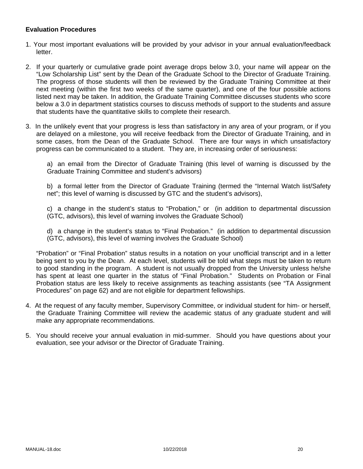### **Evaluation Procedures**

- 1. Your most important evaluations will be provided by your advisor in your annual evaluation/feedback letter.
- 2. If your quarterly or cumulative grade point average drops below 3.0, your name will appear on the "Low Scholarship List" sent by the Dean of the Graduate School to the Director of Graduate Training. The progress of those students will then be reviewed by the Graduate Training Committee at their next meeting (within the first two weeks of the same quarter), and one of the four possible actions listed next may be taken. In addition, the Graduate Training Committee discusses students who score below a 3.0 in department statistics courses to discuss methods of support to the students and assure that students have the quantitative skills to complete their research.
- 3. In the unlikely event that your progress is less than satisfactory in any area of your program, or if you are delayed on a milestone, you will receive feedback from the Director of Graduate Training, and in some cases, from the Dean of the Graduate School. There are four ways in which unsatisfactory progress can be communicated to a student. They are, in increasing order of seriousness:

a) an email from the Director of Graduate Training (this level of warning is discussed by the Graduate Training Committee and student's advisors)

b) a formal letter from the Director of Graduate Training (termed the "Internal Watch list/Safety net"; this level of warning is discussed by GTC and the student's advisors),

c) a change in the student's status to "Probation," or (in addition to departmental discussion (GTC, advisors), this level of warning involves the Graduate School)

d) a change in the student's status to "Final Probation." (in addition to departmental discussion (GTC, advisors), this level of warning involves the Graduate School)

"Probation" or "Final Probation" status results in a notation on your unofficial transcript and in a letter being sent to you by the Dean. At each level, students will be told what steps must be taken to return to good standing in the program. A student is not usually dropped from the University unless he/she has spent at least one quarter in the status of "Final Probation." Students on Probation or Final Probation status are less likely to receive assignments as teaching assistants (see "TA Assignment Procedures" on page 62) and are not eligible for department fellowships.

- 4. At the request of any faculty member, Supervisory Committee, or individual student for him- or herself, the Graduate Training Committee will review the academic status of any graduate student and will make any appropriate recommendations.
- 5. You should receive your annual evaluation in mid-summer. Should you have questions about your evaluation, see your advisor or the Director of Graduate Training.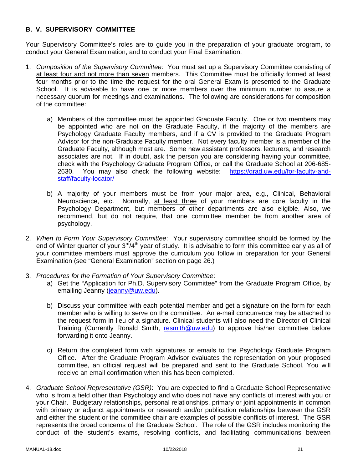### **B. V. SUPERVISORY COMMITTEE**

Your Supervisory Committee's roles are to guide you in the preparation of your graduate program, to conduct your General Examination, and to conduct your Final Examination.

- 1. *Composition of the Supervisory Committee*: You must set up a Supervisory Committee consisting of at least four and not more than seven members. This Committee must be officially formed at least four months prior to the time the request for the oral General Exam is presented to the Graduate School. It is advisable to have one or more members over the minimum number to assure a necessary quorum for meetings and examinations. The following are considerations for composition of the committee:
	- a) Members of the committee must be appointed Graduate Faculty. One or two members may be appointed who are not on the Graduate Faculty, if the majority of the members are Psychology Graduate Faculty members, and if a CV is provided to the Graduate Program Advisor for the non-Graduate Faculty member. Not every faculty member is a member of the Graduate Faculty, although most are. Some new assistant professors, lecturers, and research associates are not. If in doubt, ask the person you are considering having your committee, check with the Psychology Graduate Program Office, or call the Graduate School at 206-685- 2630. You may also check the following website: https://grad.uw.edu/for-faculty-andstaff/faculty-locator/
	- b) A majority of your members must be from your major area, e.g., Clinical, Behavioral Neuroscience, etc. Normally, at least three of your members are core faculty in the Psychology Department, but members of other departments are also eligible. Also, we recommend, but do not require, that one committee member be from another area of psychology.
- 2. *When to Form Your Supervisory Committee*: Your supervisory committee should be formed by the end of Winter quarter of your  $3^{rd}/4^{th}$  year of study. It is advisable to form this committee early as all of your committee members must approve the curriculum you follow in preparation for your General Examination (see "General Examination" section on page 26.)
- 3. *Procedures for the Formation of Your Supervisory Committee*:
	- a) Get the "Application for Ph.D. Supervisory Committee" from the Graduate Program Office, by emailing Jeanny (jeanny@uw.edu).
	- b) Discuss your committee with each potential member and get a signature on the form for each member who is willing to serve on the committee. An e-mail concurrence may be attached to the request form in lieu of a signature. Clinical students will also need the Director of Clinical Training (Currently Ronald Smith, resmith@uw.edu) to approve his/her committee before forwarding it onto Jeanny.
	- c) Return the completed form with signatures or emails to the Psychology Graduate Program Office. After the Graduate Program Advisor evaluates the representation on your proposed committee, an official request will be prepared and sent to the Graduate School. You will receive an email confirmation when this has been completed.
- 4. *Graduate School Representative (GSR)*: You are expected to find a Graduate School Representative who is from a field other than Psychology and who does not have any conflicts of interest with you or your Chair. Budgetary relationships, personal relationships, primary or joint appointments in common with primary or adjunct appointments or research and/or publication relationships between the GSR and either the student or the committee chair are examples of possible conflicts of interest. The GSR represents the broad concerns of the Graduate School. The role of the GSR includes monitoring the conduct of the student's exams, resolving conflicts, and facilitating communications between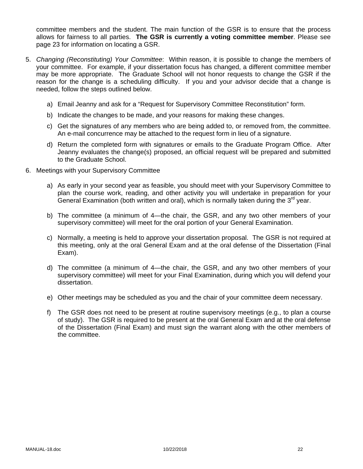committee members and the student. The main function of the GSR is to ensure that the process allows for fairness to all parties. **The GSR is currently a voting committee member**. Please see page 23 for information on locating a GSR.

- 5. *Changing (Reconstituting) Your Committee*: Within reason, it is possible to change the members of your committee. For example, if your dissertation focus has changed, a different committee member may be more appropriate. The Graduate School will not honor requests to change the GSR if the reason for the change is a scheduling difficulty. If you and your advisor decide that a change is needed, follow the steps outlined below.
	- a) Email Jeanny and ask for a "Request for Supervisory Committee Reconstitution" form.
	- b) Indicate the changes to be made, and your reasons for making these changes.
	- c) Get the signatures of any members who are being added to, or removed from, the committee. An e-mail concurrence may be attached to the request form in lieu of a signature.
	- d) Return the completed form with signatures or emails to the Graduate Program Office. After Jeanny evaluates the change(s) proposed, an official request will be prepared and submitted to the Graduate School.
- 6. Meetings with your Supervisory Committee
	- a) As early in your second year as feasible, you should meet with your Supervisory Committee to plan the course work, reading, and other activity you will undertake in preparation for your General Examination (both written and oral), which is normally taken during the  $3<sup>rd</sup>$  year.
	- b) The committee (a minimum of 4—the chair, the GSR, and any two other members of your supervisory committee) will meet for the oral portion of your General Examination.
	- c) Normally, a meeting is held to approve your dissertation proposal. The GSR is not required at this meeting, only at the oral General Exam and at the oral defense of the Dissertation (Final Exam).
	- d) The committee (a minimum of 4—the chair, the GSR, and any two other members of your supervisory committee) will meet for your Final Examination, during which you will defend your dissertation.
	- e) Other meetings may be scheduled as you and the chair of your committee deem necessary.
	- f) The GSR does not need to be present at routine supervisory meetings (e.g., to plan a course of study). The GSR is required to be present at the oral General Exam and at the oral defense of the Dissertation (Final Exam) and must sign the warrant along with the other members of the committee.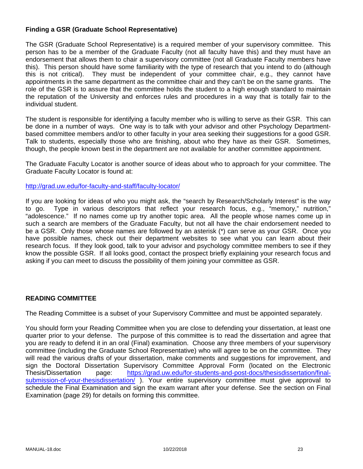### **Finding a GSR (Graduate School Representative)**

The GSR (Graduate School Representative) is a required member of your supervisory committee. This person has to be a member of the Graduate Faculty (not all faculty have this) and they must have an endorsement that allows them to chair a supervisory committee (not all Graduate Faculty members have this). This person should have some familiarity with the type of research that you intend to do (although this is not critical). They must be independent of your committee chair, e.g., they cannot have appointments in the same department as the committee chair and they can't be on the same grants. The role of the GSR is to assure that the committee holds the student to a high enough standard to maintain the reputation of the University and enforces rules and procedures in a way that is totally fair to the individual student.

The student is responsible for identifying a faculty member who is willing to serve as their GSR. This can be done in a number of ways. One way is to talk with your advisor and other Psychology Departmentbased committee members and/or to other faculty in your area seeking their suggestions for a good GSR. Talk to students, especially those who are finishing, about who they have as their GSR. Sometimes, though, the people known best in the department are not available for another committee appointment.

The Graduate Faculty Locator is another source of ideas about who to approach for your committee. The Graduate Faculty Locator is found at:

http://grad.uw.edu/for-faculty-and-staff/faculty-locator/

If you are looking for ideas of who you might ask, the "search by Research/Scholarly Interest" is the way to go. Type in various descriptors that reflect your research focus, e.g., "memory," nutrition," "adolescence." If no names come up try another topic area. All the people whose names come up in such a search are members of the Graduate Faculty, but not all have the chair endorsement needed to be a GSR. Only those whose names are followed by an asterisk (\*) can serve as your GSR. Once you have possible names, check out their department websites to see what you can learn about their research focus. If they look good, talk to your advisor and psychology committee members to see if they know the possible GSR. If all looks good, contact the prospect briefly explaining your research focus and asking if you can meet to discuss the possibility of them joining your committee as GSR.

#### **READING COMMITTEE**

The Reading Committee is a subset of your Supervisory Committee and must be appointed separately.

You should form your Reading Committee when you are close to defending your dissertation, at least one quarter prior to your defense. The purpose of this committee is to read the dissertation and agree that you are ready to defend it in an oral (Final) examination. Choose any three members of your supervisory committee (including the Graduate School Representative) who will agree to be on the committee. They will read the various drafts of your dissertation, make comments and suggestions for improvement, and sign the Doctoral Dissertation Supervisory Committee Approval Form (located on the Electronic Thesis/Dissertation page: https://grad.uw.edu/for-students-and-post-docs/thesisdissertation/finalsubmission-of-your-thesisdissertation/ ). Your entire supervisory committee must give approval to schedule the Final Examination and sign the exam warrant after your defense. See the section on Final Examination (page 29) for details on forming this committee.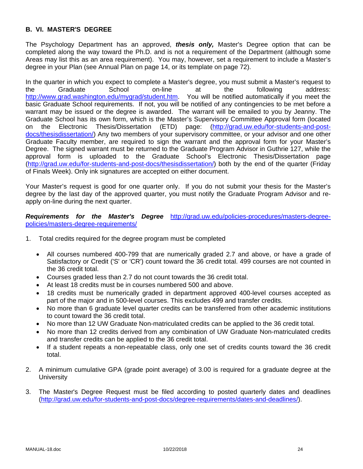### **B. VI. MASTER'S DEGREE**

The Psychology Department has an approved, *thesis only,* Master's Degree option that can be completed along the way toward the Ph.D. and is not a requirement of the Department (although some Areas may list this as an area requirement). You may, however, set a requirement to include a Master's degree in your Plan (see Annual Plan on page 14, or its template on page 72).

In the quarter in which you expect to complete a Master's degree, you must submit a Master's request to the Graduate School on-line at the following address: http://www.grad.washington.edu/mygrad/student.htm. You will be notified automatically if you meet the basic Graduate School requirements. If not, you will be notified of any contingencies to be met before a warrant may be issued or the degree is awarded. The warrant will be emailed to you by Jeanny. The Graduate School has its own form, which is the Master's Supervisory Committee Approval form (located on the Electronic Thesis/Dissertation (ETD) page: (http://grad.uw.edu/for-students-and-postdocs/thesisdissertation/) Any two members of your supervisory committee, or your advisor and one other Graduate Faculty member, are required to sign the warrant and the approval form for your Master's Degree. The signed warrant must be returned to the Graduate Program Advisor in Guthrie 127, while the approval form is uploaded to the Graduate School's Electronic Thesis/Dissertation page (http://grad.uw.edu/for-students-and-post-docs/thesisdissertation/) both by the end of the quarter (Friday of Finals Week). Only ink signatures are accepted on either document.

Your Master's request is good for one quarter only. If you do not submit your thesis for the Master's degree by the last day of the approved quarter, you must notify the Graduate Program Advisor and reapply on-line during the next quarter.

*Requirements for the Master's Degree* http://grad.uw.edu/policies-procedures/masters-degreepolicies/masters-degree-requirements/

- 1. Total credits required for the degree program must be completed
	- All courses numbered 400-799 that are numerically graded 2.7 and above, or have a grade of Satisfactory or Credit ('S' or 'CR') count toward the 36 credit total. 499 courses are not counted in the 36 credit total.
	- Courses graded less than 2.7 do not count towards the 36 credit total.
	- At least 18 credits must be in courses numbered 500 and above.
	- 18 credits must be numerically graded in department approved 400-level courses accepted as part of the major and in 500-level courses. This excludes 499 and transfer credits.
	- No more than 6 graduate level quarter credits can be transferred from other academic institutions to count toward the 36 credit total.
	- No more than 12 UW Graduate Non-matriculated credits can be applied to the 36 credit total.
	- No more than 12 credits derived from any combination of UW Graduate Non-matriculated credits and transfer credits can be applied to the 36 credit total.
	- If a student repeats a non-repeatable class, only one set of credits counts toward the 36 credit total.
- 2. A minimum cumulative GPA (grade point average) of 3.00 is required for a graduate degree at the **University**
- 3. The Master's Degree Request must be filed according to posted quarterly dates and deadlines (http://grad.uw.edu/for-students-and-post-docs/degree-requirements/dates-and-deadlines/).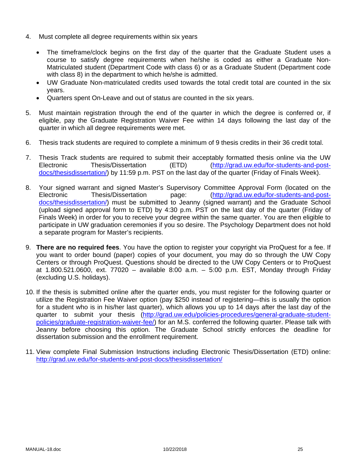- 4. Must complete all degree requirements within six years
	- The timeframe/clock begins on the first day of the quarter that the Graduate Student uses a course to satisfy degree requirements when he/she is coded as either a Graduate Non-Matriculated student (Department Code with class 6) or as a Graduate Student (Department code with class 8) in the department to which he/she is admitted.
	- UW Graduate Non-matriculated credits used towards the total credit total are counted in the six years.
	- Quarters spent On-Leave and out of status are counted in the six years.
- 5. Must maintain registration through the end of the quarter in which the degree is conferred or, if eligible, pay the Graduate Registration Waiver Fee within 14 days following the last day of the quarter in which all degree requirements were met.
- 6. Thesis track students are required to complete a minimum of 9 thesis credits in their 36 credit total.
- 7. Thesis Track students are required to submit their acceptably formatted thesis online via the UW Electronic Thesis/Dissertation (ETD) (http://grad.uw.edu/for-students-and-postdocs/thesisdissertation/) by 11:59 p.m. PST on the last day of the quarter (Friday of Finals Week).
- 8. Your signed warrant and signed Master's Supervisory Committee Approval Form (located on the<br>Electronic Thesis/Dissertation page: (http://grad.uw.edu/for-students-and-post-Thesis/Dissertation page: (http://grad.uw.edu/for-students-and-postdocs/thesisdissertation/) must be submitted to Jeanny (signed warrant) and the Graduate School (upload signed approval form to ETD) by 4:30 p.m. PST on the last day of the quarter (Friday of Finals Week) in order for you to receive your degree within the same quarter. You are then eligible to participate in UW graduation ceremonies if you so desire. The Psychology Department does not hold a separate program for Master's recipients.
- 9. **There are no required fees**. You have the option to register your copyright via ProQuest for a fee. If you want to order bound (paper) copies of your document, you may do so through the UW Copy Centers or through ProQuest. Questions should be directed to the UW Copy Centers or to ProQuest at 1.800.521.0600, ext. 77020 – available 8:00 a.m. – 5:00 p.m. EST, Monday through Friday (excluding U.S. holidays).
- 10. If the thesis is submitted online after the quarter ends, you must register for the following quarter or utilize the Registration Fee Waiver option (pay \$250 instead of registering—this is usually the option for a student who is in his/her last quarter), which allows you up to 14 days after the last day of the quarter to submit your thesis (http://grad.uw.edu/policies-procedures/general-graduate-studentpolicies/graduate-registration-waiver-fee/) for an M.S. conferred the following quarter. Please talk with Jeanny before choosing this option. The Graduate School strictly enforces the deadline for dissertation submission and the enrollment requirement.
- 11. View complete Final Submission Instructions including Electronic Thesis/Dissertation (ETD) online: http://grad.uw.edu/for-students-and-post-docs/thesisdissertation/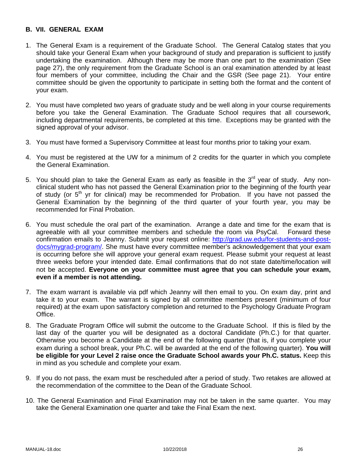### **B. VII. GENERAL EXAM**

- 1. The General Exam is a requirement of the Graduate School. The General Catalog states that you should take your General Exam when your background of study and preparation is sufficient to justify undertaking the examination. Although there may be more than one part to the examination (See page 27), the only requirement from the Graduate School is an oral examination attended by at least four members of your committee, including the Chair and the GSR (See page 21). Your entire committee should be given the opportunity to participate in setting both the format and the content of your exam.
- 2. You must have completed two years of graduate study and be well along in your course requirements before you take the General Examination. The Graduate School requires that all coursework, including departmental requirements, be completed at this time. Exceptions may be granted with the signed approval of your advisor.
- 3. You must have formed a Supervisory Committee at least four months prior to taking your exam.
- 4. You must be registered at the UW for a minimum of 2 credits for the quarter in which you complete the General Examination.
- 5. You should plan to take the General Exam as early as feasible in the  $3<sup>rd</sup>$  year of study. Any nonclinical student who has not passed the General Examination prior to the beginning of the fourth year of study (or  $5<sup>th</sup>$  yr for clinical) may be recommended for Probation. If you have not passed the General Examination by the beginning of the third quarter of your fourth year, you may be recommended for Final Probation.
- 6. You must schedule the oral part of the examination. Arrange a date and time for the exam that is agreeable with all your committee members and schedule the room via PsyCal. Forward these confirmation emails to Jeanny. Submit your request online: http://grad.uw.edu/for-students-and-postdocs/mygrad-program/. She must have every committee member's acknowledgement that your exam is occurring before she will approve your general exam request. Please submit your request at least three weeks before your intended date. Email confirmations that do not state date/time/location will not be accepted. **Everyone on your committee must agree that you can schedule your exam, even if a member is not attending.**
- 7. The exam warrant is available via pdf which Jeanny will then email to you. On exam day, print and take it to your exam. The warrant is signed by all committee members present (minimum of four required) at the exam upon satisfactory completion and returned to the Psychology Graduate Program Office.
- 8. The Graduate Program Office will submit the outcome to the Graduate School. If this is filed by the last day of the quarter you will be designated as a doctoral Candidate (Ph.C.) for that quarter. Otherwise you become a Candidate at the end of the following quarter (that is, if you complete your exam during a school break, your Ph.C. will be awarded at the end of the following quarter). **You will be eligible for your Level 2 raise once the Graduate School awards your Ph.C. status.** Keep this in mind as you schedule and complete your exam.
- 9. If you do not pass, the exam must be rescheduled after a period of study. Two retakes are allowed at the recommendation of the committee to the Dean of the Graduate School.
- 10. The General Examination and Final Examination may not be taken in the same quarter. You may take the General Examination one quarter and take the Final Exam the next.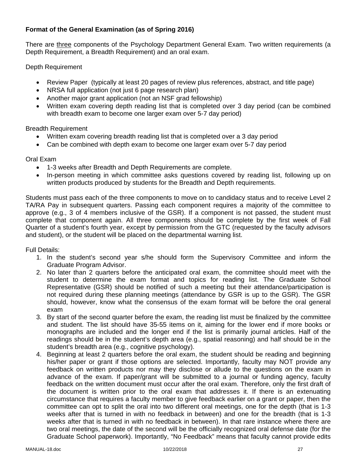# **Format of the General Examination (as of Spring 2016)**

There are three components of the Psychology Department General Exam. Two written requirements (a Depth Requirement, a Breadth Requirement) and an oral exam.

Depth Requirement

- Review Paper (typically at least 20 pages of review plus references, abstract, and title page)
- NRSA full application (not just 6 page research plan)
- Another major grant application (not an NSF grad fellowship)
- Written exam covering depth reading list that is completed over 3 day period (can be combined with breadth exam to become one larger exam over 5-7 day period)

Breadth Requirement

- Written exam covering breadth reading list that is completed over a 3 day period
- Can be combined with depth exam to become one larger exam over 5-7 day period

Oral Exam

- 1-3 weeks after Breadth and Depth Requirements are complete.
- In-person meeting in which committee asks questions covered by reading list, following up on written products produced by students for the Breadth and Depth requirements.

Students must pass each of the three components to move on to candidacy status and to receive Level 2 TA/RA Pay in subsequent quarters. Passing each component requires a majority of the committee to approve (e.g., 3 of 4 members inclusive of the GSR). If a component is not passed, the student must complete that component again. All three components should be complete by the first week of Fall Quarter of a student's fourth year, except by permission from the GTC (requested by the faculty advisors and student), or the student will be placed on the departmental warning list.

Full Details:

- 1. In the student's second year s/he should form the Supervisory Committee and inform the Graduate Program Advisor.
- 2. No later than 2 quarters before the anticipated oral exam, the committee should meet with the student to determine the exam format and topics for reading list. The Graduate School Representative (GSR) should be notified of such a meeting but their attendance/participation is not required during these planning meetings (attendance by GSR is up to the GSR). The GSR should, however, know what the consensus of the exam format will be before the oral general exam
- 3. By start of the second quarter before the exam, the reading list must be finalized by the committee and student. The list should have 35-55 items on it, aiming for the lower end if more books or monographs are included and the longer end if the list is primarily journal articles. Half of the readings should be in the student's depth area (e.g., spatial reasoning) and half should be in the student's breadth area (e.g., cognitive psychology).
- 4. Beginning at least 2 quarters before the oral exam, the student should be reading and beginning his/her paper or grant if those options are selected. Importantly, faculty may NOT provide any feedback on written products nor may they disclose or allude to the questions on the exam in advance of the exam. If paper/grant will be submitted to a journal or funding agency, faculty feedback on the written document must occur after the oral exam. Therefore, only the first draft of the document is written prior to the oral exam that addresses it. If there is an extenuating circumstance that requires a faculty member to give feedback earlier on a grant or paper, then the committee can opt to split the oral into two different oral meetings, one for the depth (that is 1-3 weeks after that is turned in with no feedback in between) and one for the breadth (that is 1-3 weeks after that is turned in with no feedback in between). In that rare instance where there are two oral meetings, the date of the second will be the officially recognized oral defense date (for the Graduate School paperwork). Importantly, "No Feedback" means that faculty cannot provide edits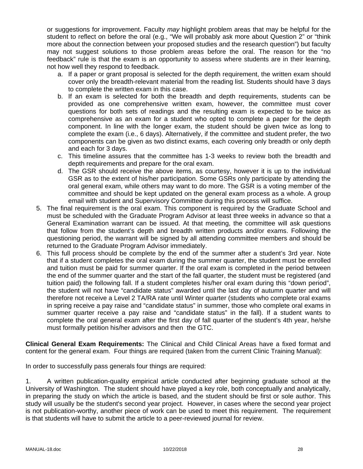or suggestions for improvement. Faculty *may* highlight problem areas that may be helpful for the student to reflect on before the oral (e.g., "We will probably ask more about Question 2" or "think more about the connection between your proposed studies and the research question") but faculty may not suggest solutions to those problem areas before the oral. The reason for the "no feedback" rule is that the exam is an opportunity to assess where students are in their learning, not how well they respond to feedback.

- a. If a paper or grant proposal is selected for the depth requirement, the written exam should cover only the breadth-relevant material from the reading list. Students should have 3 days to complete the written exam in this case.
- b. If an exam is selected for both the breadth and depth requirements, students can be provided as one comprehensive written exam, however, the committee must cover questions for both sets of readings and the resulting exam is expected to be twice as comprehensive as an exam for a student who opted to complete a paper for the depth component. In line with the longer exam, the student should be given twice as long to complete the exam (i.e., 6 days). Alternatively, if the committee and student prefer, the two components can be given as two distinct exams, each covering only breadth or only depth and each for 3 days.
- c. This timeline assures that the committee has 1-3 weeks to review both the breadth and depth requirements and prepare for the oral exam.
- d. The GSR should receive the above items, as courtesy, however it is up to the individual GSR as to the extent of his/her participation. Some GSRs only participate by attending the oral general exam, while others may want to do more. The GSR is a voting member of the committee and should be kept updated on the general exam process as a whole. A group email with student and Supervisory Committee during this process will suffice.
- 5. The final requirement is the oral exam. This component is required by the Graduate School and must be scheduled with the Graduate Program Advisor at least three weeks in advance so that a General Examination warrant can be issued. At that meeting, the committee will ask questions that follow from the student's depth and breadth written products and/or exams. Following the questioning period, the warrant will be signed by all attending committee members and should be returned to the Graduate Program Advisor immediately.
- 6. This full process should be complete by the end of the summer after a student's 3rd year. Note that if a student completes the oral exam during the summer quarter, the student must be enrolled and tuition must be paid for summer quarter. If the oral exam is completed in the period between the end of the summer quarter and the start of the fall quarter, the student must be registered (and tuition paid) the following fall. If a student completes his/her oral exam during this "down period", the student will not have "candidate status" awarded until the last day of autumn quarter and will therefore not receive a Level 2 TA/RA rate until Winter quarter (students who complete oral exams in spring receive a pay raise and "candidate status" in summer, those who complete oral exams in summer quarter receive a pay raise and "candidate status" in the fall). If a student wants to complete the oral general exam after the first day of fall quarter of the student's 4th year, he/she must formally petition his/her advisors and then the GTC.

**Clinical General Exam Requirements:** The Clinical and Child Clinical Areas have a fixed format and content for the general exam. Four things are required (taken from the current Clinic Training Manual):

In order to successfully pass generals four things are required:

1. A written publication-quality empirical article conducted after beginning graduate school at the University of Washington. The student should have played a key role, both conceptually and analytically, in preparing the study on which the article is based, and the student should be first or sole author. This study will usually be the student's second year project. However, in cases where the second year project is not publication-worthy, another piece of work can be used to meet this requirement. The requirement is that students will have to submit the article to a peer-reviewed journal for review.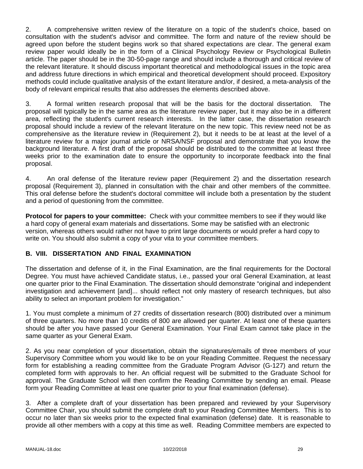2. A comprehensive written review of the literature on a topic of the student's choice, based on consultation with the student's advisor and committee. The form and nature of the review should be agreed upon before the student begins work so that shared expectations are clear. The general exam review paper would ideally be in the form of a Clinical Psychology Review or Psychological Bulletin article. The paper should be in the 30-50-page range and should include a thorough and critical review of the relevant literature. It should discuss important theoretical and methodological issues in the topic area and address future directions in which empirical and theoretical development should proceed. Expository methods could include qualitative analysis of the extant literature and/or, if desired, a meta-analysis of the body of relevant empirical results that also addresses the elements described above.

3. A formal written research proposal that will be the basis for the doctoral dissertation. The proposal will typically be in the same area as the literature review paper, but it may also be in a different area, reflecting the student's current research interests. In the latter case, the dissertation research proposal should include a review of the relevant literature on the new topic. This review need not be as comprehensive as the literature review in (Requirement 2), but it needs to be at least at the level of a literature review for a major journal article or NRSA/NSF proposal and demonstrate that you know the background literature. A first draft of the proposal should be distributed to the committee at least three weeks prior to the examination date to ensure the opportunity to incorporate feedback into the final proposal.

4. An oral defense of the literature review paper (Requirement 2) and the dissertation research proposal (Requirement 3), planned in consultation with the chair and other members of the committee. This oral defense before the student's doctoral committee will include both a presentation by the student and a period of questioning from the committee.

**Protocol for papers to your committee:** Check with your committee members to see if they would like a hard copy of general exam materials and dissertations. Some may be satisfied with an electronic version, whereas others would rather not have to print large documents or would prefer a hard copy to write on. You should also submit a copy of your vita to your committee members.

### **B. VIII. DISSERTATION AND FINAL EXAMINATION**

The dissertation and defense of it, in the Final Examination, are the final requirements for the Doctoral Degree. You must have achieved Candidate status, i.e., passed your oral General Examination, at least one quarter prior to the Final Examination. The dissertation should demonstrate "original and independent investigation and achievement [and]... should reflect not only mastery of research techniques, but also ability to select an important problem for investigation."

1. You must complete a minimum of 27 credits of dissertation research (800) distributed over a minimum of three quarters. No more than 10 credits of 800 are allowed per quarter. At least one of these quarters should be after you have passed your General Examination. Your Final Exam cannot take place in the same quarter as your General Exam.

2. As you near completion of your dissertation, obtain the signatures/emails of three members of your Supervisory Committee whom you would like to be on your Reading Committee. Request the necessary form for establishing a reading committee from the Graduate Program Advisor (G-127) and return the completed form with approvals to her. An official request will be submitted to the Graduate School for approval. The Graduate School will then confirm the Reading Committee by sending an email. Please form your Reading Committee at least one quarter prior to your final examination (defense).

3. After a complete draft of your dissertation has been prepared and reviewed by your Supervisory Committee Chair, you should submit the complete draft to your Reading Committee Members. This is to occur no later than six weeks prior to the expected final examination (defense) date. It is reasonable to provide all other members with a copy at this time as well. Reading Committee members are expected to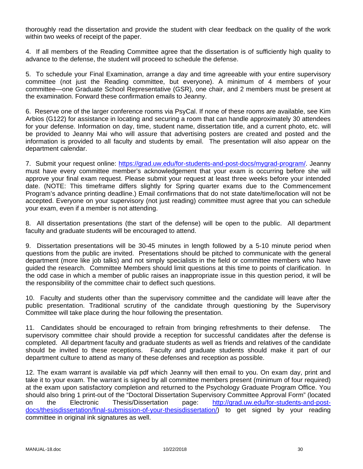thoroughly read the dissertation and provide the student with clear feedback on the quality of the work within two weeks of receipt of the paper.

4. If all members of the Reading Committee agree that the dissertation is of sufficiently high quality to advance to the defense, the student will proceed to schedule the defense.

5. To schedule your Final Examination, arrange a day and time agreeable with your entire supervisory committee (not just the Reading committee, but everyone). A minimum of 4 members of your committee—one Graduate School Representative (GSR), one chair, and 2 members must be present at the examination. Forward these confirmation emails to Jeanny.

6. Reserve one of the larger conference rooms via PsyCal. If none of these rooms are available, see Kim Arbios (G122) for assistance in locating and securing a room that can handle approximately 30 attendees for your defense. Information on day, time, student name, dissertation title, and a current photo, etc. will be provided to Jeanny Mai who will assure that advertising posters are created and posted and the information is provided to all faculty and students by email. The presentation will also appear on the department calendar.

7. Submit your request online: https://grad.uw.edu/for-students-and-post-docs/mygrad-program/. Jeanny must have every committee member's acknowledgement that your exam is occurring before she will approve your final exam request. Please submit your request at least three weeks before your intended date. (NOTE: This timeframe differs slightly for Spring quarter exams due to the Commencement Program's advance printing deadline.) Email confirmations that do not state date/time/location will not be accepted. Everyone on your supervisory (not just reading) committee must agree that you can schedule your exam, even if a member is not attending.

8. All dissertation presentations (the start of the defense) will be open to the public. All department faculty and graduate students will be encouraged to attend.

9. Dissertation presentations will be 30-45 minutes in length followed by a 5-10 minute period when questions from the public are invited. Presentations should be pitched to communicate with the general department (more like job talks) and not simply specialists in the field or committee members who have guided the research. Committee Members should limit questions at this time to points of clarification. In the odd case in which a member of public raises an inappropriate issue in this question period, it will be the responsibility of the committee chair to deflect such questions.

10. Faculty and students other than the supervisory committee and the candidate will leave after the public presentation. Traditional scrutiny of the candidate through questioning by the Supervisory Committee will take place during the hour following the presentation.

11. Candidates should be encouraged to refrain from bringing refreshments to their defense. The supervisory committee chair should provide a reception for successful candidates after the defense is completed. All department faculty and graduate students as well as friends and relatives of the candidate should be invited to these receptions. Faculty and graduate students should make it part of our department culture to attend as many of these defenses and reception as possible.

12. The exam warrant is available via pdf which Jeanny will then email to you. On exam day, print and take it to your exam. The warrant is signed by all committee members present (minimum of four required) at the exam upon satisfactory completion and returned to the Psychology Graduate Program Office. You should also bring 1 print-out of the "Doctoral Dissertation Supervisory Committee Approval Form" (located on the Electronic Thesis/Dissertation page: http://grad.uw.edu/for-students-and-postdocs/thesisdissertation/final-submission-of-your-thesisdissertation/) to get signed by your reading committee in original ink signatures as well.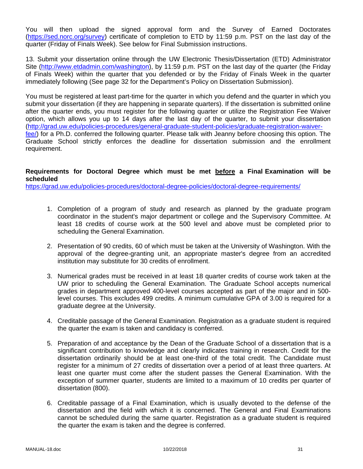You will then upload the signed approval form and the Survey of Earned Doctorates (https://sed.norc.org/survey) certificate of completion to ETD by 11:59 p.m. PST on the last day of the quarter (Friday of Finals Week). See below for Final Submission instructions.

13. Submit your dissertation online through the UW Electronic Thesis/Dissertation (ETD) Administrator Site (http://www.etdadmin.com/washington), by 11:59 p.m. PST on the last day of the quarter (the Friday of Finals Week) within the quarter that you defended or by the Friday of Finals Week in the quarter immediately following (See page 32 for the Department's Policy on Dissertation Submission).

You must be registered at least part-time for the quarter in which you defend and the quarter in which you submit your dissertation (if they are happening in separate quarters). If the dissertation is submitted online after the quarter ends, you must register for the following quarter or utilize the Registration Fee Waiver option, which allows you up to 14 days after the last day of the quarter, to submit your dissertation (http://grad.uw.edu/policies-procedures/general-graduate-student-policies/graduate-registration-waiverfee/) for a Ph.D. conferred the following quarter. Please talk with Jeanny before choosing this option. The Graduate School strictly enforces the deadline for dissertation submission and the enrollment requirement.

### **Requirements for Doctoral Degree which must be met before a Final Examination will be scheduled**

https://grad.uw.edu/policies-procedures/doctoral-degree-policies/doctoral-degree-requirements/

- 1. Completion of a program of study and research as planned by the graduate program coordinator in the student's major department or college and the Supervisory Committee. At least 18 credits of course work at the 500 level and above must be completed prior to scheduling the General Examination.
- 2. Presentation of 90 credits, 60 of which must be taken at the University of Washington. With the approval of the degree-granting unit, an appropriate master's degree from an accredited institution may substitute for 30 credits of enrollment.
- 3. Numerical grades must be received in at least 18 quarter credits of course work taken at the UW prior to scheduling the General Examination. The Graduate School accepts numerical grades in department approved 400-level courses accepted as part of the major and in 500 level courses. This excludes 499 credits. A minimum cumulative GPA of 3.00 is required for a graduate degree at the University.
- 4. Creditable passage of the General Examination. Registration as a graduate student is required the quarter the exam is taken and candidacy is conferred.
- 5. Preparation of and acceptance by the Dean of the Graduate School of a dissertation that is a significant contribution to knowledge and clearly indicates training in research. Credit for the dissertation ordinarily should be at least one-third of the total credit. The Candidate must register for a minimum of 27 credits of dissertation over a period of at least three quarters. At least one quarter must come after the student passes the General Examination. With the exception of summer quarter, students are limited to a maximum of 10 credits per quarter of dissertation (800).
- 6. Creditable passage of a Final Examination, which is usually devoted to the defense of the dissertation and the field with which it is concerned. The General and Final Examinations cannot be scheduled during the same quarter. Registration as a graduate student is required the quarter the exam is taken and the degree is conferred.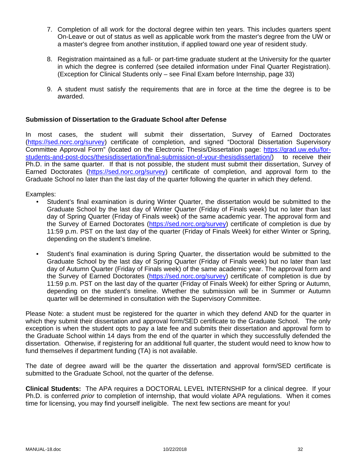- 7. Completion of all work for the doctoral degree within ten years. This includes quarters spent On-Leave or out of status as well as applicable work from the master's degree from the UW or a master's degree from another institution, if applied toward one year of resident study.
- 8. Registration maintained as a full- or part-time graduate student at the University for the quarter in which the degree is conferred (see detailed information under Final Quarter Registration). (Exception for Clinical Students only – see Final Exam before Internship, page 33)
- 9. A student must satisfy the requirements that are in force at the time the degree is to be awarded.

### **Submission of Dissertation to the Graduate School after Defense**

In most cases, the student will submit their dissertation, Survey of Earned Doctorates (https://sed.norc.org/survey) certificate of completion, and signed "Doctoral Dissertation Supervisory Committee Approval Form" (located on the Electronic Thesis/Dissertation page: https://grad.uw.edu/forstudents-and-post-docs/thesisdissertation/final-submission-of-your-thesisdissertation/) to receive their Ph.D. in the same quarter. If that is not possible, the student must submit their dissertation, Survey of Earned Doctorates (https://sed.norc.org/survey) certificate of completion, and approval form to the Graduate School no later than the last day of the quarter following the quarter in which they defend.

Examples:

- Student's final examination is during Winter Quarter, the dissertation would be submitted to the Graduate School by the last day of Winter Quarter (Friday of Finals week) but no later than last day of Spring Quarter (Friday of Finals week) of the same academic year. The approval form and the Survey of Earned Doctorates (https://sed.norc.org/survey) certificate of completion is due by 11:59 p.m. PST on the last day of the quarter (Friday of Finals Week) for either Winter or Spring, depending on the student's timeline.
- Student's final examination is during Spring Quarter, the dissertation would be submitted to the Graduate School by the last day of Spring Quarter (Friday of Finals week) but no later than last day of Autumn Quarter (Friday of Finals week) of the same academic year. The approval form and the Survey of Earned Doctorates (https://sed.norc.org/survey) certificate of completion is due by 11:59 p.m. PST on the last day of the quarter (Friday of Finals Week) for either Spring or Autumn, depending on the student's timeline. Whether the submission will be in Summer or Autumn quarter will be determined in consultation with the Supervisory Committee.

Please Note: a student must be registered for the quarter in which they defend AND for the quarter in which they submit their dissertation and approval form/SED certificate to the Graduate School. The only exception is when the student opts to pay a late fee and submits their dissertation and approval form to the Graduate School within 14 days from the end of the quarter in which they successfully defended the dissertation. Otherwise, if registering for an additional full quarter, the student would need to know how to fund themselves if department funding (TA) is not available.

The date of degree award will be the quarter the dissertation and approval form/SED certificate is submitted to the Graduate School, not the quarter of the defense.

**Clinical Students:** The APA requires a DOCTORAL LEVEL INTERNSHIP for a clinical degree. If your Ph.D. is conferred *prior* to completion of internship, that would violate APA regulations. When it comes time for licensing, you may find yourself ineligible. The next few sections are meant for you!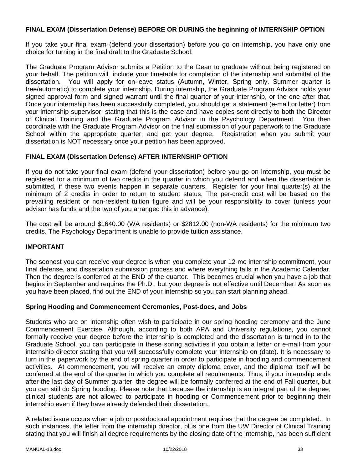### **FINAL EXAM (Dissertation Defense) BEFORE OR DURING the beginning of INTERNSHIP OPTION**

If you take your final exam (defend your dissertation) before you go on internship, you have only one choice for turning in the final draft to the Graduate School:

The Graduate Program Advisor submits a Petition to the Dean to graduate without being registered on your behalf. The petition will include your timetable for completion of the internship and submittal of the dissertation. You will apply for on-leave status (Autumn, Winter, Spring only. Summer quarter is free/automatic) to complete your internship. During internship, the Graduate Program Advisor holds your signed approval form and signed warrant until the final quarter of your internship, or the one after that. Once your internship has been successfully completed, you should get a statement (e-mail or letter) from your internship supervisor, stating that this is the case and have copies sent directly to both the Director of Clinical Training and the Graduate Program Advisor in the Psychology Department. You then coordinate with the Graduate Program Advisor on the final submission of your paperwork to the Graduate School within the appropriate quarter, and get your degree. Registration when you submit your dissertation is NOT necessary once your petition has been approved.

### **FINAL EXAM (Dissertation Defense) AFTER INTERNSHIP OPTION**

If you do not take your final exam (defend your dissertation) before you go on internship, you must be registered for a minimum of two credits in the quarter in which you defend and when the dissertation is submitted, if these two events happen in separate quarters. Register for your final quarter(s) at the minimum of 2 credits in order to return to student status. The per-credit cost will be based on the prevailing resident or non-resident tuition figure and will be your responsibility to cover (unless your advisor has funds and the two of you arranged this in advance).

The cost will be around \$1640.00 (WA residents) or \$2812.00 (non-WA residents) for the minimum two credits. The Psychology Department is unable to provide tuition assistance.

#### **IMPORTANT**

The soonest you can receive your degree is when you complete your 12-mo internship commitment, your final defense, and dissertation submission process and where everything falls in the Academic Calendar. Then the degree is conferred at the END of the quarter. This becomes crucial when you have a job that begins in September and requires the Ph.D., but your degree is not effective until December! As soon as you have been placed, find out the END of your internship so you can start planning ahead.

#### **Spring Hooding and Commencement Ceremonies, Post-docs, and Jobs**

Students who are on internship often wish to participate in our spring hooding ceremony and the June Commencement Exercise. Although, according to both APA and University regulations, you cannot formally receive your degree before the internship is completed and the dissertation is turned in to the Graduate School, you can participate in these spring activities if you obtain a letter or e-mail from your internship director stating that you will successfully complete your internship on (date). It is necessary to turn in the paperwork by the end of spring quarter in order to participate in hooding and commencement activities. At commencement, you will receive an empty diploma cover, and the diploma itself will be conferred at the end of the quarter in which you complete all requirements. Thus, if your internship ends after the last day of Summer quarter, the degree will be formally conferred at the end of Fall quarter, but you can still do Spring hooding. Please note that because the internship is an integral part of the degree, clinical students are not allowed to participate in hooding or Commencement prior to beginning their internship even if they have already defended their dissertation.

A related issue occurs when a job or postdoctoral appointment requires that the degree be completed. In such instances, the letter from the internship director, plus one from the UW Director of Clinical Training stating that you will finish all degree requirements by the closing date of the internship, has been sufficient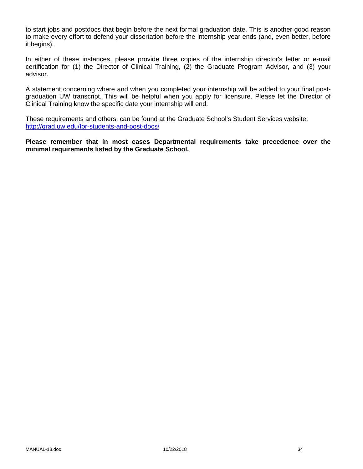to start jobs and postdocs that begin before the next formal graduation date. This is another good reason to make every effort to defend your dissertation before the internship year ends (and, even better, before it begins).

In either of these instances, please provide three copies of the internship director's letter or e-mail certification for (1) the Director of Clinical Training, (2) the Graduate Program Advisor, and (3) your advisor.

A statement concerning where and when you completed your internship will be added to your final postgraduation UW transcript. This will be helpful when you apply for licensure. Please let the Director of Clinical Training know the specific date your internship will end.

These requirements and others, can be found at the Graduate School's Student Services website: http://grad.uw.edu/for-students-and-post-docs/

**Please remember that in most cases Departmental requirements take precedence over the minimal requirements listed by the Graduate School.**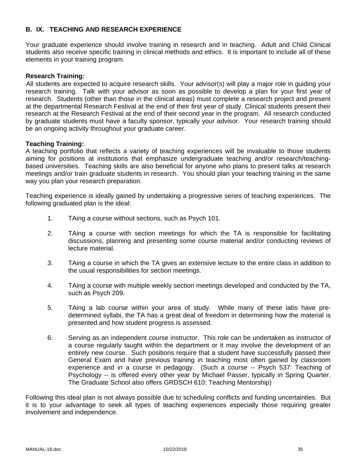### **B. IX. TEACHING AND RESEARCH EXPERIENCE**

Your graduate experience should involve training in research and in teaching. Adult and Child Clinical students also receive specific training in clinical methods and ethics. It is important to include all of these elements in your training program.

#### **Research Training**:

All students are expected to acquire research skills. Your advisor(s) will play a major role in guiding your research training. Talk with your advisor as soon as possible to develop a plan for your first year of research. Students (other than those in the clinical areas) must complete a research project and present at the departmental Research Festival at the end of their first year of study. Clinical students present their research at the Research Festival at the end of their second year in the program. All research conducted by graduate students must have a faculty sponsor, typically your advisor. Your research training should be an ongoing activity throughout your graduate career.

#### **Teaching Training:**

A teaching portfolio that reflects a variety of teaching experiences will be invaluable to those students aiming for positions at institutions that emphasize undergraduate teaching and/or research/teachingbased universities. Teaching skills are also beneficial for anyone who plans to present talks at research meetings and/or train graduate students in research. You should plan your teaching training in the same way you plan your research preparation.

Teaching experience is ideally gained by undertaking a progressive series of teaching experiences. The following graduated plan is the ideal:

- 1. TAing a course without sections, such as Psych 101.
- 2. TAing a course with section meetings for which the TA is responsible for facilitating discussions, planning and presenting some course material and/or conducting reviews of lecture material.
- 3. TAing a course in which the TA gives an extensive lecture to the entire class in addition to the usual responsibilities for section meetings.
- 4. TAing a course with multiple weekly section meetings developed and conducted by the TA, such as Psych 209.
- 5. TAing a lab course within your area of study. While many of these labs have predetermined syllabi, the TA has a great deal of freedom in determining how the material is presented and how student progress is assessed.
- 6. Serving as an independent course instructor. This role can be undertaken as instructor of a course regularly taught within the department or it may involve the development of an entirely new course. Such positions require that a student have successfully passed their General Exam and have previous training in teaching most often gained by classroom experience and in a course in pedagogy. (Such a course -- Psych 537: Teaching of Psychology -- is offered every other year by Michael Passer, typically in Spring Quarter. The Graduate School also offers GRDSCH 610: Teaching Mentorship)

Following this ideal plan is not always possible due to scheduling conflicts and funding uncertainties. But it is to your advantage to seek all types of teaching experiences especially those requiring greater involvement and independence.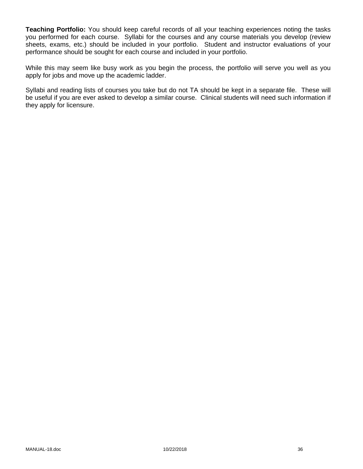**Teaching Portfolio:** You should keep careful records of all your teaching experiences noting the tasks you performed for each course. Syllabi for the courses and any course materials you develop (review sheets, exams, etc.) should be included in your portfolio. Student and instructor evaluations of your performance should be sought for each course and included in your portfolio.

While this may seem like busy work as you begin the process, the portfolio will serve you well as you apply for jobs and move up the academic ladder.

Syllabi and reading lists of courses you take but do not TA should be kept in a separate file. These will be useful if you are ever asked to develop a similar course. Clinical students will need such information if they apply for licensure.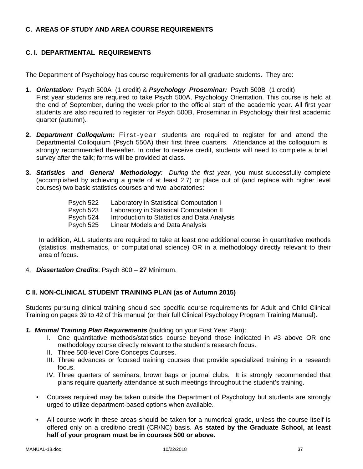# **C. AREAS OF STUDY AND AREA COURSE REQUIREMENTS**

# **C. I. DEPARTMENTAL REQUIREMENTS**

The Department of Psychology has course requirements for all graduate students. They are:

- **1.** *Orientation:* Psych 500A (1 credit) & *Psychology Proseminar:* Psych 500B (1 credit) First year students are required to take Psych 500A, Psychology Orientation. This course is held at the end of September, during the week prior to the official start of the academic year. All first year students are also required to register for Psych 500B, Proseminar in Psychology their first academic quarter (autumn).
- **2.** *Department Colloquium:* First-year students are required to register for and attend the Departmental Colloquium (Psych 550A) their first three quarters. Attendance at the colloquium is strongly recommended thereafter. In order to receive credit, students will need to complete a brief survey after the talk; forms will be provided at class.
- **3.** *Statistics and General Methodology: During the first year*, you must successfully complete (accomplished by achieving a grade of at least 2.7) or place out of (and replace with higher level courses) two basic statistics courses and two laboratories:

| Psych 522 | Laboratory in Statistical Computation I      |
|-----------|----------------------------------------------|
| Psych 523 | Laboratory in Statistical Computation II     |
| Psych 524 | Introduction to Statistics and Data Analysis |
| Psych 525 | Linear Models and Data Analysis              |

In addition, ALL students are required to take at least one additional course in quantitative methods (statistics, mathematics, or computational science) OR in a methodology directly relevant to their area of focus.

4. *Dissertation Credits*: Psych 800 – **27** Minimum.

#### **C II. NON-CLINICAL STUDENT TRAINING PLAN (as of Autumn 2015)**

Students pursuing clinical training should see specific course requirements for Adult and Child Clinical Training on pages 39 to 42 of this manual (or their full Clinical Psychology Program Training Manual).

- *1. Minimal Training Plan Requirements* (building on your First Year Plan):
	- I. One quantitative methods/statistics course beyond those indicated in #3 above OR one methodology course directly relevant to the student's research focus.
	- II. Three 500-level Core Concepts Courses.
	- III. Three advances or focused training courses that provide specialized training in a research focus.
	- IV. Three quarters of seminars, brown bags or journal clubs. It is strongly recommended that plans require quarterly attendance at such meetings throughout the student's training.
	- Courses required may be taken outside the Department of Psychology but students are strongly urged to utilize department-based options when available.
	- All course work in these areas should be taken for a numerical grade, unless the course itself is offered only on a credit/no credit (CR/NC) basis. **As stated by the Graduate School, at least half of your program must be in courses 500 or above.**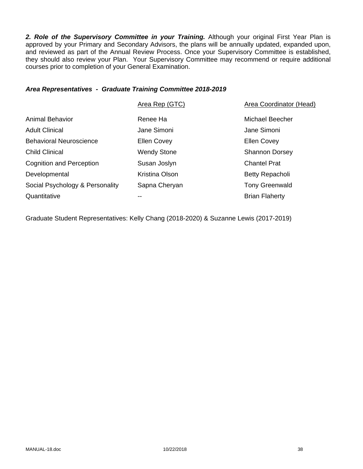2. Role of the Supervisory Committee in your Training. Although your original First Year Plan is approved by your Primary and Secondary Advisors, the plans will be annually updated, expanded upon, and reviewed as part of the Annual Review Process. Once your Supervisory Committee is established, they should also review your Plan. Your Supervisory Committee may recommend or require additional courses prior to completion of your General Examination.

### *Area Representatives - Graduate Training Committee 2018-2019*

|                                 | Area Rep (GTC)     | <b>Area Coordinator (Head)</b> |
|---------------------------------|--------------------|--------------------------------|
| <b>Animal Behavior</b>          | Renee Ha           | Michael Beecher                |
| <b>Adult Clinical</b>           | Jane Simoni        | Jane Simoni                    |
| <b>Behavioral Neuroscience</b>  | Ellen Covey        | <b>Ellen Covey</b>             |
| <b>Child Clinical</b>           | <b>Wendy Stone</b> | <b>Shannon Dorsey</b>          |
| <b>Cognition and Perception</b> | Susan Joslyn       | <b>Chantel Prat</b>            |
| Developmental                   | Kristina Olson     | Betty Repacholi                |
| Social Psychology & Personality | Sapna Cheryan      | <b>Tony Greenwald</b>          |
| Quantitative                    | --                 | <b>Brian Flaherty</b>          |
|                                 |                    |                                |

Graduate Student Representatives: Kelly Chang (2018-2020) & Suzanne Lewis (2017-2019)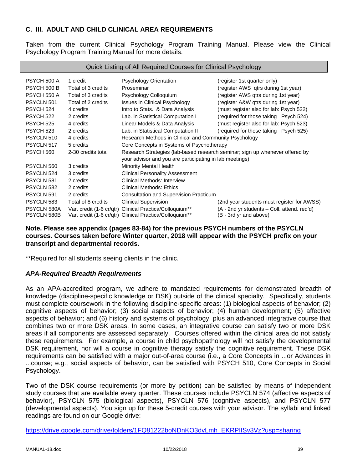# **C. III. ADULT AND CHILD CLINICAL AREA REQUIREMENTS**

Taken from the current Clinical Psychology Program Training Manual. Please view the Clinical Psychology Program Training Manual for more details.

| Quick Listing of All Required Courses for Clinical Psychology |                    |                                                                              |                                             |
|---------------------------------------------------------------|--------------------|------------------------------------------------------------------------------|---------------------------------------------|
| PSYCH 500 A                                                   | 1 credit           | <b>Psychology Orientation</b>                                                | (register 1st quarter only)                 |
| PSYCH 500 B                                                   | Total of 3 credits | Proseminar                                                                   |                                             |
|                                                               |                    |                                                                              | (register AWS qtrs during 1st year)         |
| PSYCH 550 A                                                   | Total of 3 credits | Psychology Colloquium                                                        | (register AWS qtrs during 1st year)         |
| PSYCLN 501                                                    | Total of 2 credits | <b>Issues in Clinical Psychology</b>                                         | (register A&W qtrs during 1st year)         |
| PSYCH 524                                                     | 4 credits          | Intro to Stats. & Data Analysis                                              | (must register also for lab: Psych 522)     |
| <b>PSYCH 522</b>                                              | 2 credits          | Lab. in Statistical Computation I                                            | (required for those taking Psych 524)       |
| <b>PSYCH 525</b>                                              | 4 credits          | Linear Models & Data Analysis                                                | (must register also for lab: Psych 523)     |
| <b>PSYCH 523</b>                                              | 2 credits          | Lab. in Statistical Computation II                                           | (required for those taking Psych 525)       |
| PSYCLN 510                                                    | 4 credits          | Research Methods in Clinical and Community Psychology                        |                                             |
| PSYCLN 517                                                    | 5 credits          | Core Concepts in Systems of Psychotherapy                                    |                                             |
| <b>PSYCH 560</b>                                              | 2-30 credits total | Research Strategies (lab-based research seminar; sign up whenever offered by |                                             |
|                                                               |                    | your advisor and you are participating in lab meetings)                      |                                             |
| PSYCLN 560                                                    | 3 credits          | <b>Minority Mental Health</b>                                                |                                             |
| PSYCLN 524                                                    | 3 credits          | <b>Clinical Personality Assessment</b>                                       |                                             |
| PSYCLN 581                                                    | 2 credits          | <b>Clinical Methods: Interview</b>                                           |                                             |
| PSYCLN 582                                                    | 2 credits          | Clinical Methods: Ethics                                                     |                                             |
| PSYCLN 591                                                    | 2 credits          | <b>Consultation and Supervision Practicum</b>                                |                                             |
| PSYCLN 583                                                    | Total of 8 credits | <b>Clinical Supervision</b>                                                  | (2nd year students must register for AWSS)  |
| PSYCLN 580A                                                   |                    | Var. credit (1-6 cr/qtr) Clinical Practica/Colloquium**                      | (A - 2nd yr students – Coll. attend. req'd) |
| PSYCLN 580B                                                   |                    | Var. credit (1-6 cr/qtr) Clinical Practica/Colloquium**                      | (B - 3rd yr and above)                      |

### **Note. Please see appendix (pages 83-84) for the previous PSYCH numbers of the PSYCLN courses. Courses taken before Winter quarter, 2018 will appear with the PSYCH prefix on your transcript and departmental records.**

\*\*Required for all students seeing clients in the clinic.

# *APA-Required Breadth Requirements*

As an APA-accredited program, we adhere to mandated requirements for demonstrated breadth of knowledge (discipline-specific knowledge or DSK) outside of the clinical specialty. Specifically, students must complete coursework in the following discipline-specific areas: (1) biological aspects of behavior; (2) cognitive aspects of behavior; (3) social aspects of behavior; (4) human development; (5) affective aspects of behavior; and (6) history and systems of psychology, plus an advanced integrative course that combines two or more DSK areas. In some cases, an integrative course can satisfy two or more DSK areas if all components are assessed separately. Courses offered within the clinical area do not satisfy these requirements. For example, a course in child psychopathology will not satisfy the developmental DSK requirement, nor will a course in cognitive therapy satisfy the cognitive requirement. These DSK requirements can be satisfied with a major out-of-area course (i.e., a Core Concepts in ...or Advances in ...course; e.g., social aspects of behavior, can be satisfied with PSYCH 510, Core Concepts in Social Psychology.

Two of the DSK course requirements (or more by petition) can be satisfied by means of independent study courses that are available every quarter. These courses include PSYCLN 574 (affective aspects of behavior), PSYCLN 575 (biological aspects), PSYCLN 576 (cognitive aspects), and PSYCLN 577 (developmental aspects). You sign up for these 5-credit courses with your advisor. The syllabi and linked readings are found on our Google drive:

https://drive.google.com/drive/folders/1FQ81222boNDnKO3dvLmh\_EKRPIISv3Vz?usp=sharing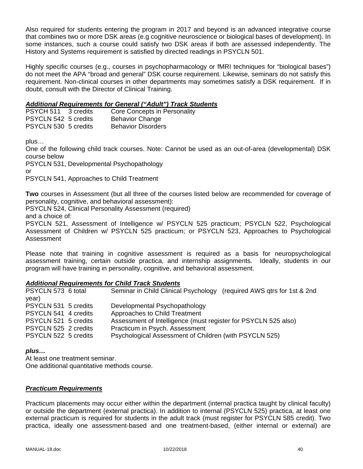Also required for students entering the program in 2017 and beyond is an advanced integrative course that combines two or more DSK areas (e.g cognitive neuroscience or biological bases of development). In some instances, such a course could satisfy two DSK areas if both are assessed independently. The History and Systems requirement is satisfied by directed readings in PSYCLN 501.

Highly specific courses (e.g., courses in psychopharmacology or fMRI techniques for "biological bases") do not meet the APA "broad and general" DSK course requirement. Likewise, seminars do not satisfy this requirement. Non-clinical courses in other departments may sometimes satisfy a DSK requirement. If in doubt, consult with the Director of Clinical Training.

# *Additional Requirements for General ("Adult") Track Students*

| PSYCH 511 3 credits  | Core Concepts in Personality |
|----------------------|------------------------------|
| PSYCLN 542 5 credits | <b>Behavior Change</b>       |
| PSYCLN 530 5 credits | <b>Behavior Disorders</b>    |

plus…

One of the following child track courses. Note: Cannot be used as an out-of-area (developmental) DSK course below

PSYCLN 531, Developmental Psychopathology

or

PSYCLN 541, Approaches to Child Treatment

**Two** courses in Assessment (but all three of the courses listed below are recommended for coverage of personality, cognitive, and behavioral assessment):

PSYCLN 524, Clinical Personality Assessment (required)

and a choice of:

PSYCLN 521, Assessment of Intelligence w/ PSYCLN 525 practicum; PSYCLN 522, Psychological Assessment of Children w/ PSYCLN 525 practicum; or PSYCLN 523, Approaches to Psychological Assessment

Please note that training in cognitive assessment is required as a basis for neuropsychological assessment training, certain outside practica, and internship assignments. Ideally, students in our program will have training in personality, cognitive, and behavioral assessment.

# *Additional Requirements for Child Track Students*

| Seminar in Child Clinical Psychology (required AWS gtrs for 1st & 2nd                                                                      |
|--------------------------------------------------------------------------------------------------------------------------------------------|
|                                                                                                                                            |
| Developmental Psychopathology                                                                                                              |
| Approaches to Child Treatment                                                                                                              |
| Assessment of Intelligence (must register for PSYCLN 525 also)                                                                             |
| Practicum in Psych. Assessment                                                                                                             |
| Psychological Assessment of Children (with PSYCLN 525)                                                                                     |
| PSYCLN 573 6 total<br>PSYCLN 531 5 credits<br>PSYCLN 541 4 credits<br>PSYCLN 521 5 credits<br>PSYCLN 525 2 credits<br>PSYCLN 522 5 credits |

# *plus…*

At least one treatment seminar. One additional quantitative methods course.

#### *Practicum Requirements*

Practicum placements may occur either within the department (internal practica taught by clinical faculty) or outside the department (external practica). In addition to internal (PSYCLN 525) practica, at least one external practicum is required for students in the adult track (must register for PSYCLN 585 credit). Two practica, ideally one assessment-based and one treatment-based, (either internal or external) are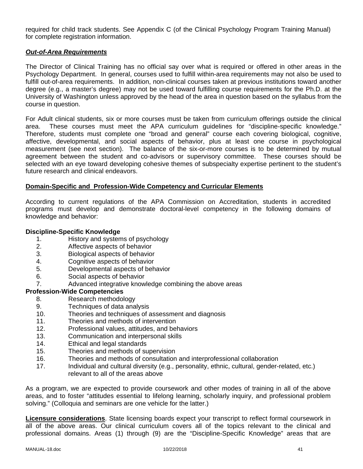required for child track students. See Appendix C (of the Clinical Psychology Program Training Manual) for complete registration information.

### *Out-of-Area Requirements*

The Director of Clinical Training has no official say over what is required or offered in other areas in the Psychology Department. In general, courses used to fulfill within-area requirements may not also be used to fulfill out-of-area requirements. In addition, non-clinical courses taken at previous institutions toward another degree (e.g., a master's degree) may not be used toward fulfilling course requirements for the Ph.D. at the University of Washington unless approved by the head of the area in question based on the syllabus from the course in question.

For Adult clinical students, six or more courses must be taken from curriculum offerings outside the clinical area. These courses must meet the APA curriculum guidelines for "discipline-specific knowledge." Therefore, students must complete one "broad and general" course each covering biological, cognitive, affective, developmental, and social aspects of behavior, plus at least one course in psychological measurement (see next section). The balance of the six-or-more courses is to be determined by mutual agreement between the student and co-advisors or supervisory committee. These courses should be selected with an eye toward developing cohesive themes of subspecialty expertise pertinent to the student's future research and clinical endeavors.

### **Domain-Specific and Profession-Wide Competency and Curricular Elements**

According to current regulations of the APA Commission on Accreditation, students in accredited programs must develop and demonstrate doctoral-level competency in the following domains of knowledge and behavior:

#### **Discipline-Specific Knowledge**

- 1. History and systems of psychology
- 2. Affective aspects of behavior
- 3. Biological aspects of behavior
- 4. Cognitive aspects of behavior
- 5. Developmental aspects of behavior
- 6. Social aspects of behavior
- 7. Advanced integrative knowledge combining the above areas

#### **Profession-Wide Competencies**

- 8. Research methodology<br>9. Techniques of data ana
- Techniques of data analysis
- 10. Theories and techniques of assessment and diagnosis
- 11. Theories and methods of intervention
- 12. Professional values, attitudes, and behaviors
- 13. Communication and interpersonal skills
- 14. Ethical and legal standards
- 15. Theories and methods of supervision
- 16. Theories and methods of consultation and interprofessional collaboration
- 17. Individual and cultural diversity (e.g., personality, ethnic, cultural, gender-related, etc.) relevant to all of the areas above

As a program, we are expected to provide coursework and other modes of training in all of the above areas, and to foster "attitudes essential to lifelong learning, scholarly inquiry, and professional problem solving." (Colloquia and seminars are one vehicle for the latter.)

**Licensure considerations**. State licensing boards expect your transcript to reflect formal coursework in all of the above areas. Our clinical curriculum covers all of the topics relevant to the clinical and professional domains. Areas (1) through (9) are the "Discipline-Specific Knowledge" areas that are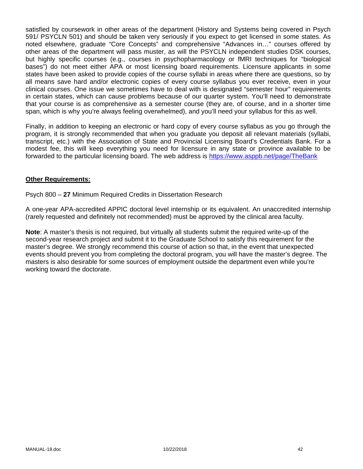satisfied by coursework in other areas of the department (History and Systems being covered in Psych 591/ PSYCLN 501) and should be taken very seriously if you expect to get licensed in some states. As noted elsewhere, graduate "Core Concepts" and comprehensive "Advances in…" courses offered by other areas of the department will pass muster, as will the PSYCLN independent studies DSK courses, but highly specific courses (e.g., courses in psychopharmacology or fMRI techniques for "biological bases") do not meet either APA or most licensing board requirements. Licensure applicants in some states have been asked to provide copies of the course syllabi in areas where there are questions, so by all means save hard and/or electronic copies of every course syllabus you ever receive, even in your clinical courses. One issue we sometimes have to deal with is designated "semester hour" requirements in certain states, which can cause problems because of our quarter system. You'll need to demonstrate that your course is as comprehensive as a semester course (they are, of course, and in a shorter time span, which is why you're always feeling overwhelmed), and you'll need your syllabus for this as well.

Finally, in addition to keeping an electronic or hard copy of every course syllabus as you go through the program, it is strongly recommended that when you graduate you deposit all relevant materials (syllabi, transcript, etc.) with the Association of State and Provincial Licensing Board's Credentials Bank. For a modest fee, this will keep everything you need for licensure in any state or province available to be forwarded to the particular licensing board. The web address is https://www.asppb.net/page/TheBank

### **Other Requirements:**

Psych 800 – **27** Minimum Required Credits in Dissertation Research

A one-year APA-accredited APPIC doctoral level internship or its equivalent. An unaccredited internship (rarely requested and definitely not recommended) must be approved by the clinical area faculty.

**Note**: A master's thesis is not required, but virtually all students submit the required write-up of the second-year research project and submit it to the Graduate School to satisfy this requirement for the master's degree. We strongly recommend this course of action so that, in the event that unexpected events should prevent you from completing the doctoral program, you will have the master's degree. The masters is also desirable for some sources of employment outside the department even while you're working toward the doctorate.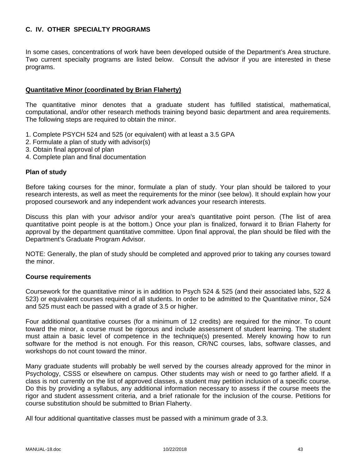# **C. IV. OTHER SPECIALTY PROGRAMS**

In some cases, concentrations of work have been developed outside of the Department's Area structure. Two current specialty programs are listed below. Consult the advisor if you are interested in these programs.

### **Quantitative Minor (coordinated by Brian Flaherty)**

The quantitative minor denotes that a graduate student has fulfilled statistical, mathematical, computational, and/or other research methods training beyond basic department and area requirements. The following steps are required to obtain the minor.

- 1. Complete PSYCH 524 and 525 (or equivalent) with at least a 3.5 GPA
- 2. Formulate a plan of study with advisor(s)
- 3. Obtain final approval of plan
- 4. Complete plan and final documentation

#### **Plan of study**

Before taking courses for the minor, formulate a plan of study. Your plan should be tailored to your research interests, as well as meet the requirements for the minor (see below). It should explain how your proposed coursework and any independent work advances your research interests.

Discuss this plan with your advisor and/or your area's quantitative point person. (The list of area quantitative point people is at the bottom.) Once your plan is finalized, forward it to Brian Flaherty for approval by the department quantitative committee. Upon final approval, the plan should be filed with the Department's Graduate Program Advisor.

NOTE: Generally, the plan of study should be completed and approved prior to taking any courses toward the minor.

#### **Course requirements**

Coursework for the quantitative minor is in addition to Psych 524 & 525 (and their associated labs, 522 & 523) or equivalent courses required of all students. In order to be admitted to the Quantitative minor, 524 and 525 must each be passed with a grade of 3.5 or higher.

Four additional quantitative courses (for a minimum of 12 credits) are required for the minor. To count toward the minor, a course must be rigorous and include assessment of student learning. The student must attain a basic level of competence in the technique(s) presented. Merely knowing how to run software for the method is not enough. For this reason, CR/NC courses, labs, software classes, and workshops do not count toward the minor.

Many graduate students will probably be well served by the courses already approved for the minor in Psychology, CSSS or elsewhere on campus. Other students may wish or need to go farther afield. If a class is not currently on the list of approved classes, a student may petition inclusion of a specific course. Do this by providing a syllabus, any additional information necessary to assess if the course meets the rigor and student assessment criteria, and a brief rationale for the inclusion of the course. Petitions for course substitution should be submitted to Brian Flaherty.

All four additional quantitative classes must be passed with a minimum grade of 3.3.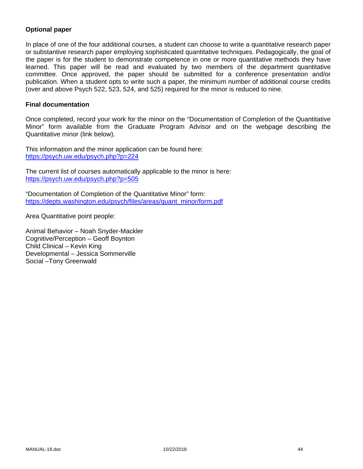# **Optional paper**

In place of one of the four additional courses, a student can choose to write a quantitative research paper or substantive research paper employing sophisticated quantitative techniques. Pedagogically, the goal of the paper is for the student to demonstrate competence in one or more quantitative methods they have learned. This paper will be read and evaluated by two members of the department quantitative committee. Once approved, the paper should be submitted for a conference presentation and/or publication. When a student opts to write such a paper, the minimum number of additional course credits (over and above Psych 522, 523, 524, and 525) required for the minor is reduced to nine.

#### **Final documentation**

Once completed, record your work for the minor on the "Documentation of Completion of the Quantitative Minor" form available from the Graduate Program Advisor and on the webpage describing the Quantitative minor (link below).

This information and the minor application can be found here: https://psych.uw.edu/psych.php?p=224

The current list of courses automatically applicable to the minor is here: https://psych.uw.edu/psych.php?p=505

"Documentation of Completion of the Quantitative Minor" form: https://depts.washington.edu/psych/files/areas/quant\_minor/form.pdf

Area Quantitative point people:

Animal Behavior – Noah Snyder-Mackler Cognitive/Perception – Geoff Boynton Child Clinical – Kevin King Developmental – Jessica Sommerville Social –Tony Greenwald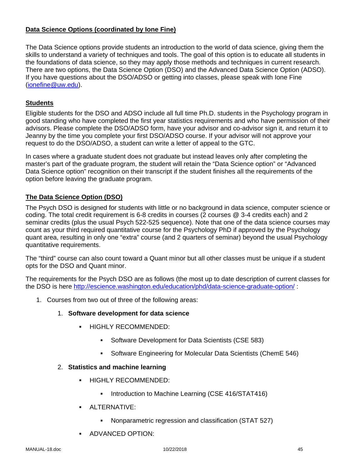# **Data Science Options (coordinated by Ione Fine)**

The Data Science options provide students an introduction to the world of data science, giving them the skills to understand a variety of techniques and tools. The goal of this option is to educate all students in the foundations of data science, so they may apply those methods and techniques in current research. There are two options, the Data Science Option (DSO) and the Advanced Data Science Option (ADSO). If you have questions about the DSO/ADSO or getting into classes, please speak with Ione Fine (ionefine@uw.edu).

# **Students**

Eligible students for the DSO and ADSO include all full time Ph.D. students in the Psychology program in good standing who have completed the first year statistics requirements and who have permission of their advisors. Please complete the DSO/ADSO form, have your advisor and co-advisor sign it, and return it to Jeanny by the time you complete your first DSO/ADSO course. If your advisor will not approve your request to do the DSO/ADSO, a student can write a letter of appeal to the GTC.

In cases where a graduate student does not graduate but instead leaves only after completing the master's part of the graduate program, the student will retain the "Data Science option" or "Advanced Data Science option" recognition on their transcript if the student finishes all the requirements of the option before leaving the graduate program.

# **The Data Science Option (DSO)**

The Psych DSO is designed for students with little or no background in data science, computer science or coding. The total credit requirement is 6-8 credits in courses (2 courses @ 3-4 credits each) and 2 seminar credits (plus the usual Psych 522-525 sequence). Note that one of the data science courses may count as your third required quantitative course for the Psychology PhD if approved by the Psychology quant area, resulting in only one "extra" course (and 2 quarters of seminar) beyond the usual Psychology quantitative requirements.

The "third" course can also count toward a Quant minor but all other classes must be unique if a student opts for the DSO and Quant minor.

The requirements for the Psych DSO are as follows (the most up to date description of current classes for the DSO is here http://escience.washington.edu/education/phd/data-science-graduate-option/:

- 1. Courses from two out of three of the following areas:
	- 1. **Software development for data science**
		- HIGHLY RECOMMENDED:
			- Software Development for Data Scientists (CSE 583)
			- Software Engineering for Molecular Data Scientists (ChemE 546)
	- 2. **Statistics and machine learning**
		- **HIGHLY RECOMMENDED:** 
			- **Introduction to Machine Learning (CSE 416/STAT416)**
		- **ALTERNATIVE:** 
			- Nonparametric regression and classification (STAT 527)
		- **ADVANCED OPTION:**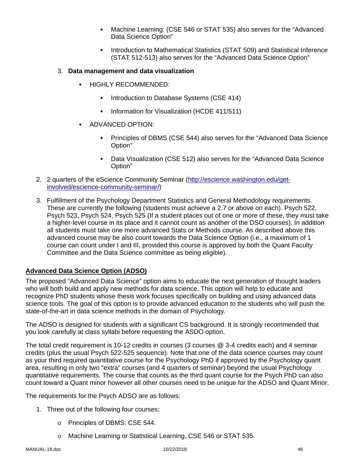- Machine Learning: (CSE 546 or STAT 535) also serves for the "Advanced Data Science Option"
- Introduction to Mathematical Statistics (STAT 509) and Statistical Inference (STAT 512-513) also serves for the "Advanced Data Science Option"

### 3. **Data management and data visualization**

- HIGHLY RECOMMENDED:
	- **Introduction to Database Systems (CSE 414)**
	- **Information for Visualization (HCDE 411/511)**
- ADVANCED OPTION:
	- Principles of DBMS (CSE 544) also serves for the "Advanced Data Science Option"
	- Data Visualization (CSE 512) also serves for the "Advanced Data Science Option"
- 2. 2 quarters of the eScience Community Seminar (http://escience.washington.edu/getinvolved/escience-community-seminar/)
- 3. Fulfillment of the Psychology Department Statistics and General Methodology requirements. These are currently the following (students must achieve a 2.7 or above on each). Psych 522, Psych 523, Psych 524, Psych 525 (If a student places out of one or more of these, they must take a higher-level course in its place and it cannot count as another of the DSO courses). In addition all students must take one more advanced Stats or Methods course. As described above this advanced course may be also count towards the Data Science Option (i.e., a maximum of 1 course can count under I and III, provided this course is approved by both the Quant Faculty Committee and the Data Science committee as being eligible).

# **Advanced Data Science Option (ADSO)**

The proposed "Advanced Data Science" option aims to educate the next generation of thought leaders who will both build and apply new methods for data science. This option will help to educate and recognize PhD students whose thesis work focuses specifically on building and using advanced data science tools. The goal of this option is to provide advanced education to the students who will push the state-of-the-art in data science methods in the domain of Psychology.

The ADSO is designed for students with a significant CS background. It is strongly recommended that you look carefully at class syllabi before requesting the ASDO option.

The total credit requirement is 10-12 credits in courses (3 courses @ 3-4 credits each) and 4 seminar credits (plus the usual Psych 522-525 sequence). Note that one of the data science courses may count as your third required quantitative course for the Psychology PhD if approved by the Psychology quant area, resulting in only two "extra" courses (and 4 quarters of seminar) beyond the usual Psychology quantitative requirements. The course that counts as the third quant course for the Psych PhD can also count toward a Quant minor however all other courses need to be unique for the ADSO and Quant Minor.

The requirements for the Psych ADSO are as follows:

- 1. Three out of the following four courses:
	- o Principles of DBMS: CSE 544.
	- o Machine Learning or Statistical Learning, CSE 546 or STAT 535.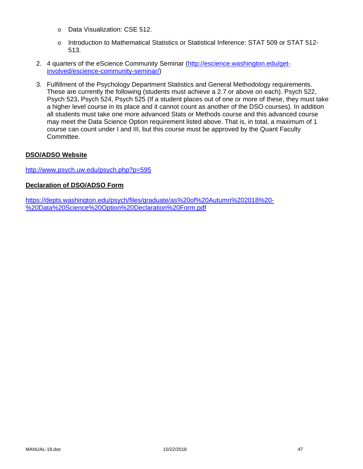- o Data Visualization: CSE 512.
- o Introduction to Mathematical Statistics or Statistical Inference: STAT 509 or STAT 512- 513.
- 2. 4 quarters of the eScience Community Seminar (http://escience.washington.edu/getinvolved/escience-community-seminar/)
- 3. Fulfillment of the Psychology Department Statistics and General Methodology requirements. These are currently the following (students must achieve a 2.7 or above on each). Psych 522, Psych 523, Psych 524, Psych 525 (If a student places out of one or more of these, they must take a higher level course in its place and it cannot count as another of the DSO courses). In addition all students must take one more advanced Stats or Methods course and this advanced course may meet the Data Science Option requirement listed above. That is, in total, a maximum of 1 course can count under I and III, but this course must be approved by the Quant Faculty Committee.

### **DSO/ADSO Website**

http://www.psych.uw.edu/psych.php?p=595

### **Declaration of DSO/ADSO Form**

https://depts.washington.edu/psych/files/graduate/as%20of%20Autumn%202018%20- %20Data%20Science%20Option%20Declaration%20Form.pdf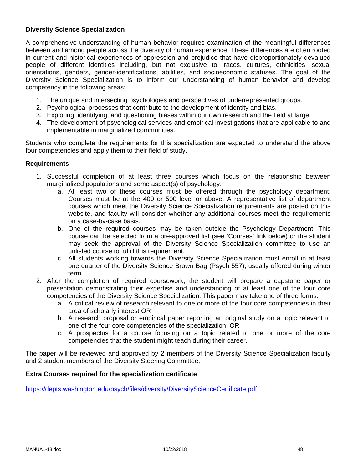### **Diversity Science Specialization**

A comprehensive understanding of human behavior requires examination of the meaningful differences between and among people across the diversity of human experience. These differences are often rooted in current and historical experiences of oppression and prejudice that have disproportionately devalued people of different identities including, but not exclusive to, races, cultures, ethnicities, sexual orientations, genders, gender-identifications, abilities, and socioeconomic statuses. The goal of the Diversity Science Specialization is to inform our understanding of human behavior and develop competency in the following areas:

- 1. The unique and intersecting psychologies and perspectives of underrepresented groups.
- 2. Psychological processes that contribute to the development of identity and bias.
- 3. Exploring, identifying, and questioning biases within our own research and the field at large.
- 4. The development of psychological services and empirical investigations that are applicable to and implementable in marginalized communities.

Students who complete the requirements for this specialization are expected to understand the above four competencies and apply them to their field of study.

#### **Requirements**

- 1. Successful completion of at least three courses which focus on the relationship between marginalized populations and some aspect(s) of psychology.
	- a. At least two of these courses must be offered through the psychology department. Courses must be at the 400 or 500 level or above. A representative list of department courses which meet the Diversity Science Specialization requirements are posted on this website, and faculty will consider whether any additional courses meet the requirements on a case-by-case basis.
	- b. One of the required courses may be taken outside the Psychology Department. This course can be selected from a pre-approved list (see 'Courses' link below) or the student may seek the approval of the Diversity Science Specialization committee to use an unlisted course to fulfill this requirement.
	- c. All students working towards the Diversity Science Specialization must enroll in at least one quarter of the Diversity Science Brown Bag (Psych 557), usually offered during winter term.
- 2. After the completion of required coursework, the student will prepare a capstone paper or presentation demonstrating their expertise and understanding of at least one of the four core competencies of the Diversity Science Specialization. This paper may take one of three forms:
	- a. A critical review of research relevant to one or more of the four core competencies in their area of scholarly interest OR
	- b. A research proposal or empirical paper reporting an original study on a topic relevant to one of the four core competencies of the specialization OR
	- c. A prospectus for a course focusing on a topic related to one or more of the core competencies that the student might teach during their career.

The paper will be reviewed and approved by 2 members of the Diversity Science Specialization faculty and 2 student members of the Diversity Steering Committee.

#### **Extra Courses required for the specialization certificate**

https://depts.washington.edu/psych/files/diversity/DiversityScienceCertificate.pdf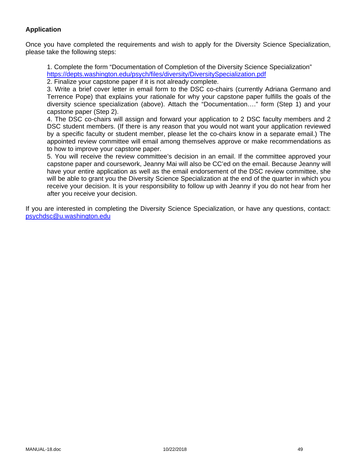# **Application**

Once you have completed the requirements and wish to apply for the Diversity Science Specialization, please take the following steps:

1. Complete the form "Documentation of Completion of the Diversity Science Specialization" https://depts.washington.edu/psych/files/diversity/DiversitySpecialization.pdf

2. Finalize your capstone paper if it is not already complete.

3. Write a brief cover letter in email form to the DSC co-chairs (currently Adriana Germano and Terrence Pope) that explains your rationale for why your capstone paper fulfills the goals of the diversity science specialization (above). Attach the "Documentation…." form (Step 1) and your capstone paper (Step 2).

4. The DSC co-chairs will assign and forward your application to 2 DSC faculty members and 2 DSC student members. (If there is any reason that you would not want your application reviewed by a specific faculty or student member, please let the co-chairs know in a separate email.) The appointed review committee will email among themselves approve or make recommendations as to how to improve your capstone paper.

5. You will receive the review committee's decision in an email. If the committee approved your capstone paper and coursework, Jeanny Mai will also be CC'ed on the email. Because Jeanny will have your entire application as well as the email endorsement of the DSC review committee, she will be able to grant you the Diversity Science Specialization at the end of the quarter in which you receive your decision. It is your responsibility to follow up with Jeanny if you do not hear from her after you receive your decision.

If you are interested in completing the Diversity Science Specialization, or have any questions, contact: psychdsc@u.washington.edu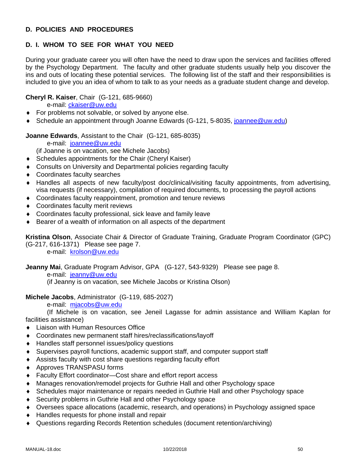# **D. POLICIES AND PROCEDURES**

# **D. I. WHOM TO SEE FOR WHAT YOU NEED**

During your graduate career you will often have the need to draw upon the services and facilities offered by the Psychology Department. The faculty and other graduate students usually help you discover the ins and outs of locating these potential services. The following list of the staff and their responsibilities is included to give you an idea of whom to talk to as your needs as a graduate student change and develop.

# **Cheryl R. Kaiser**, Chair (G-121, 685-9660)

e-mail: ckaiser@uw.edu

- ◆ For problems not solvable, or solved by anyone else.
- ◆ Schedule an appointment through Joanne Edwards (G-121, 5-8035, joannee@uw.edu)

### **Joanne Edwards**, Assistant to the Chair (G-121, 685-8035)

e-mail: joannee@uw.edu

(if Joanne is on vacation, see Michele Jacobs)

- Schedules appointments for the Chair (Cheryl Kaiser)
- Consults on University and Departmental policies regarding faculty
- Coordinates faculty searches
- Handles all aspects of new faculty/post doc/clinical/visiting faculty appointments, from advertising, visa requests (if necessary), compilation of required documents, to processing the payroll actions
- Coordinates faculty reappointment, promotion and tenure reviews
- Coordinates faculty merit reviews
- Coordinates faculty professional, sick leave and family leave
- Bearer of a wealth of information on all aspects of the department

**Kristina Olson**, Associate Chair & Director of Graduate Training, Graduate Program Coordinator (GPC)

(G-217, 616-1371) Please see page 7.

e-mail: krolson@uw.edu

#### **Jeanny Mai**, Graduate Program Advisor, GPA (G-127, 543-9329) Please see page 8. e-mail: jeanny@uw.edu

(if Jeanny is on vacation, see Michele Jacobs or Kristina Olson)

#### **Michele Jacobs**, Administrator (G-119, 685-2027)

e-mail: mjacobs@uw.edu

 (If Michele is on vacation, see Jeneil Lagasse for admin assistance and William Kaplan for facilities assistance)

- ◆ Liaison with Human Resources Office
- Coordinates new permanent staff hires/reclassifications/layoff
- ◆ Handles staff personnel issues/policy questions
- Supervises payroll functions, academic support staff, and computer support staff
- Assists faculty with cost share questions regarding faculty effort
- Approves TRANSPASU forms
- Faculty Effort coordinator—Cost share and effort report access
- Manages renovation/remodel projects for Guthrie Hall and other Psychology space
- Schedules major maintenance or repairs needed in Guthrie Hall and other Psychology space
- ◆ Security problems in Guthrie Hall and other Psychology space
- Oversees space allocations (academic, research, and operations) in Psychology assigned space
- ◆ Handles requests for phone install and repair
- Questions regarding Records Retention schedules (document retention/archiving)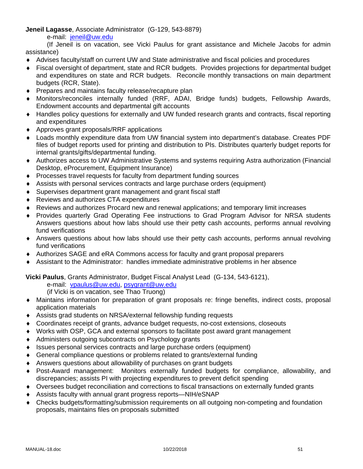**Jeneil Lagasse**, Associate Administrator (G-129, 543-8879)

e-mail: jeneil@uw.edu

 (If Jeneil is on vacation, see Vicki Paulus for grant assistance and Michele Jacobs for admin assistance)

- Advises faculty/staff on current UW and State administrative and fiscal policies and procedures
- Fiscal oversight of department, state and RCR budgets. Provides projections for departmental budget and expenditures on state and RCR budgets. Reconcile monthly transactions on main department budgets (RCR, State).
- ◆ Prepares and maintains faculty release/recapture plan
- Monitors/reconciles internally funded (RRF, ADAI, Bridge funds) budgets, Fellowship Awards, Endowment accounts and departmental gift accounts
- Handles policy questions for externally and UW funded research grants and contracts, fiscal reporting and expenditures
- Approves grant proposals/RRF applications
- Loads monthly expenditure data from UW financial system into department's database. Creates PDF files of budget reports used for printing and distribution to PIs. Distributes quarterly budget reports for internal grants/gifts/departmental funding.
- Authorizes access to UW Administrative Systems and systems requiring Astra authorization (Financial Desktop, eProcurement, Equipment Insurance)
- Processes travel requests for faculty from department funding sources
- Assists with personal services contracts and large purchase orders (equipment)
- Supervises department grant management and grant fiscal staff
- ◆ Reviews and authorizes CTA expenditures
- Reviews and authorizes Procard new and renewal applications; and temporary limit increases
- Provides quarterly Grad Operating Fee instructions to Grad Program Advisor for NRSA students Answers questions about how labs should use their petty cash accounts, performs annual revolving fund verifications
- Answers questions about how labs should use their petty cash accounts, performs annual revolving fund verifications
- Authorizes SAGE and eRA Commons access for faculty and grant proposal preparers
- Assistant to the Administrator: handles immediate administrative problems in her absence

**Vicki Paulus**, Grants Administrator, Budget Fiscal Analyst Lead (G-134, 543-6121),

e-mail: vpaulus@uw.edu, psygrant@uw.edu

(if Vicki is on vacation, see Thao Truong)

- Maintains information for preparation of grant proposals re: fringe benefits, indirect costs, proposal application materials
- Assists grad students on NRSA/external fellowship funding requests
- Coordinates receipt of grants, advance budget requests, no-cost extensions, closeouts
- Works with OSP, GCA and external sponsors to facilitate post award grant management
- ◆ Administers outgoing subcontracts on Psychology grants
- Issues personal services contracts and large purchase orders (equipment)
- General compliance questions or problems related to grants/external funding
- Answers questions about allowability of purchases on grant budgets
- Post-Award management: Monitors externally funded budgets for compliance, allowability, and discrepancies; assists PI with projecting expenditures to prevent deficit spending
- Oversees budget reconciliation and corrections to fiscal transactions on externally funded grants
- Assists faculty with annual grant progress reports—NIH/eSNAP
- Checks budgets/formatting/submission requirements on all outgoing non-competing and foundation proposals, maintains files on proposals submitted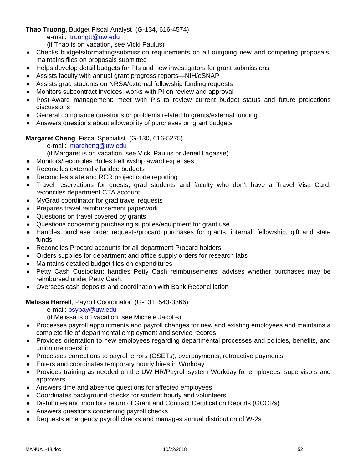**Thao Truong**, Budget Fiscal Analyst (G-134, 616-4574)

e-mail: truongtt@uw.edu

(if Thao is on vacation, see Vicki Paulus)

- Checks budgets/formatting/submission requirements on all outgoing new and competing proposals, maintains files on proposals submitted
- Helps develop detail budgets for PIs and new investigators for grant submissions
- Assists faculty with annual grant progress reports—NIH/eSNAP
- Assists grad students on NRSA/external fellowship funding requests
- Monitors subcontract invoices, works with PI on review and approval
- Post-Award management: meet with PIs to review current budget status and future projections discussions
- General compliance questions or problems related to grants/external funding
- Answers questions about allowability of purchases on grant budgets

**Margaret Cheng**, Fiscal Specialist (G-130, 616-5275)

- e-mail: marcheng@uw.edu
- (if Margaret is on vacation, see Vicki Paulus or Jeneil Lagasse)
- Monitors/reconciles Bolles Fellowship award expenses
- ◆ Reconciles externally funded budgets
- ◆ Reconciles state and RCR project code reporting
- Travel reservations for guests, grad students and faculty who don't have a Travel Visa Card, reconciles department CTA account
- MyGrad coordinator for grad travel requests
- ◆ Prepares travel reimbursement paperwork
- ◆ Questions on travel covered by grants
- Questions concerning purchasing supplies/equipment for grant use
- Handles purchase order requests/procard purchases for grants, internal, fellowship, gift and state funds
- Reconciles Procard accounts for all department Procard holders
- Orders supplies for department and office supply orders for research labs
- Maintains detailed budget files on expenditures
- Petty Cash Custodian: handles Petty Cash reimbursements: advises whether purchases may be reimbursed under Petty Cash.
- Oversees cash deposits and coordination with Bank Reconciliation

**Melissa Harrell**, Payroll Coordinator (G-131, 543-3366)

e-mail: psypay@uw.edu

(if Melissa is on vacation, see Michele Jacobs)

- Processes payroll appointments and payroll changes for new and existing employees and maintains a complete file of departmental employment and service records
- Provides orientation to new employees regarding departmental processes and policies, benefits, and union membership
- Processes corrections to payroll errors (OSETs), overpayments, retroactive payments
- Enters and coordinates temporary hourly hires in Workday
- Provides training as needed on the UW HR/Payroll system Workday for employees, supervisors and approvers
- Answers time and absence questions for affected employees
- Coordinates background checks for student hourly and volunteers
- Distributes and monitors return of Grant and Contract Certification Reports (GCCRs)
- Answers questions concerning payroll checks
- Requests emergency payroll checks and manages annual distribution of W-2s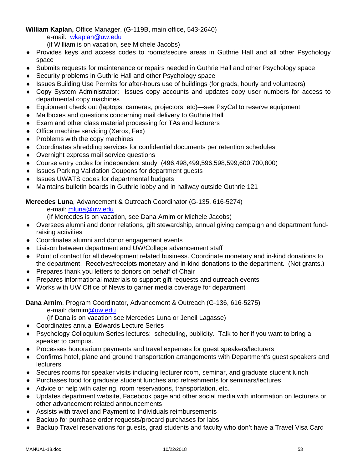# **William Kaplan,** Office Manager, (G-119B, main office, 543-2640)

e-mail: wkaplan@uw.edu

(if William is on vacation, see Michele Jacobs)

- Provides keys and access codes to rooms/secure areas in Guthrie Hall and all other Psychology space
- Submits requests for maintenance or repairs needed in Guthrie Hall and other Psychology space
- ◆ Security problems in Guthrie Hall and other Psychology space
- Issues Building Use Permits for after-hours use of buildings (for grads, hourly and volunteers)
- Copy System Administrator: issues copy accounts and updates copy user numbers for access to departmental copy machines
- Equipment check out (laptops, cameras, projectors, etc)—see PsyCal to reserve equipment
- Mailboxes and questions concerning mail delivery to Guthrie Hall
- ◆ Exam and other class material processing for TAs and lecturers
- ◆ Office machine servicing (Xerox, Fax)
- $\bullet$  Problems with the copy machines
- Coordinates shredding services for confidential documents per retention schedules
- Overnight express mail service questions
- Course entry codes for independent study (496,498,499,596,598,599,600,700,800)
- ◆ Issues Parking Validation Coupons for department guests
- ◆ Issues UWATS codes for departmental budgets
- Maintains bulletin boards in Guthrie lobby and in hallway outside Guthrie 121

**Mercedes Luna**, Advancement & Outreach Coordinator (G-135, 616-5274)

e-mail: mluna@uw.edu

(If Mercedes is on vacation, see Dana Arnim or Michele Jacobs)

- Oversees alumni and donor relations, gift stewardship, annual giving campaign and department fundraising activities
- Coordinates alumni and donor engagement events
- Liaison between department and UW/College advancement staff
- Point of contact for all development related business. Coordinate monetary and in-kind donations to the department. Receives/receipts monetary and in-kind donations to the department. (Not grants.)
- **Prepares thank you letters to donors on behalf of Chair**
- Prepares informational materials to support gift requests and outreach events
- Works with UW Office of News to garner media coverage for department

**Dana Arnim**, Program Coordinator, Advancement & Outreach (G-136, 616-5275)

e-mail: darnim@uw.edu

(If Dana is on vacation see Mercedes Luna or Jeneil Lagasse)

- Coordinates annual Edwards Lecture Series
- Psychology Colloquium Series lectures: scheduling, publicity. Talk to her if you want to bring a speaker to campus.
- Processes honorarium payments and travel expenses for guest speakers/lecturers
- Confirms hotel, plane and ground transportation arrangements with Department's guest speakers and **lecturers**
- Secures rooms for speaker visits including lecturer room, seminar, and graduate student lunch
- Purchases food for graduate student lunches and refreshments for seminars/lectures
- Advice or help with catering, room reservations, transportation, etc.
- Updates department website, Facebook page and other social media with information on lecturers or other advancement related announcements
- Assists with travel and Payment to Individuals reimbursements
- Backup for purchase order requests/procard purchases for labs
- Backup Travel reservations for guests, grad students and faculty who don't have a Travel Visa Card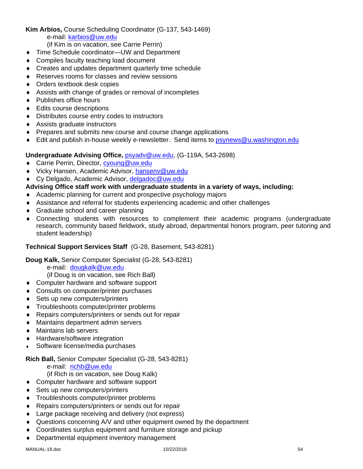# **Kim Arbios,** Course Scheduling Coordinator (G-137, 543-1469)

e-mail: karbios@uw.edu

(if Kim is on vacation, see Carrie Perrin)

- ◆ Time Schedule coordinator—UW and Department
- Compiles faculty teaching load document
- Creates and updates department quarterly time schedule
- Reserves rooms for classes and review sessions
- Orders textbook desk copies
- Assists with change of grades or removal of incompletes
- ◆ Publishes office hours
- ◆ Edits course descriptions
- Distributes course entry codes to instructors
- Assists graduate instructors
- ◆ Prepares and submits new course and course change applications
- ♦ Edit and publish in-house weekly e-newsletter. Send items to psynews@u.washington.edu

# **Undergraduate Advising Office,** psyadv@uw.edu, (G-119A, 543-2698)

- ◆ Carrie Perrin, Director, cyoung@uw.edu
- ◆ Vicky Hansen, Academic Advisor, hansenv@uw.edu
- ◆ Cy Delgado, Academic Advisor, delgadoc@uw.edu

# **Advising Office staff work with undergraduate students in a variety of ways, including:**

- Academic planning for current and prospective psychology majors
- Assistance and referral for students experiencing academic and other challenges
- ◆ Graduate school and career planning
- Connecting students with resources to complement their academic programs (undergraduate research, community based fieldwork, study abroad, departmental honors program, peer tutoring and student leadership)

# **Technical Support Services Staff** (G-28, Basement, 543-8281)

**Doug Kalk,** Senior Computer Specialist (G-28, 543-8281)

e-mail: dougkalk@uw.edu

(if Doug is on vacation, see Rich Ball)

- ◆ Computer hardware and software support
- Consults on computer/printer purchases
- ◆ Sets up new computers/printers
- Troubleshoots computer/printer problems
- Repairs computers/printers or sends out for repair
- Maintains department admin servers
- ◆ Maintains lab servers
- ◆ Hardware/software integration
- Software license/media purchases

# **Rich Ball,** Senior Computer Specialist (G-28, 543-8281)

e-mail: richb@uw.edu

(if Rich is on vacation, see Doug Kalk)

- ◆ Computer hardware and software support
- ◆ Sets up new computers/printers
- Troubleshoots computer/printer problems
- ◆ Repairs computers/printers or sends out for repair
- ◆ Large package receiving and delivery (not express)
- Questions concerning A/V and other equipment owned by the department
- Coordinates surplus equipment and furniture storage and pickup
- Departmental equipment inventory management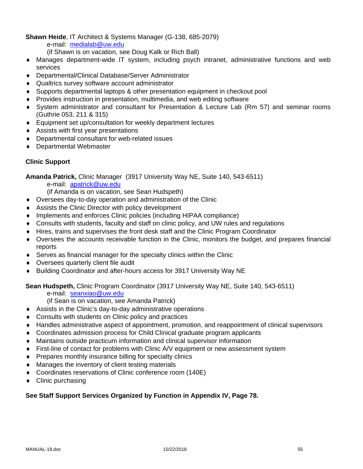**Shawn Heide**, IT Architect & Systems Manager (G-138, 685-2079)

e-mail: medialab@uw.edu

(if Shawn is on vacation, see Doug Kalk or Rich Ball)

- Manages department-wide IT system, including psych intranet, administrative functions and web services
- Departmental/Clinical Database/Server Administrator
- Qualtrics survey software account administrator
- Supports departmental laptops & other presentation equipment in checkout pool
- Provides instruction in presentation, multimedia, and web editing software
- System administrator and consultant for Presentation & Lecture Lab (Rm 57) and seminar rooms (Guthrie 053, 211 & 315)
- Equipment set up/consultation for weekly department lectures
- Assists with first year presentations
- Departmental consultant for web-related issues
- Departmental Webmaster

# **Clinic Support**

**Amanda Patrick,** Clinic Manager (3917 University Way NE, Suite 140, 543-6511)

e-mail: apatrick@uw.edu

(if Amanda is on vacation, see Sean Hudspeth)

- Oversees day-to-day operation and administration of the Clinic
- Assists the Clinic Director with policy development
- Implements and enforces Clinic policies (including HIPAA compliance)
- Consults with students, faculty and staff on clinic policy, and UW rules and regulations
- Hires, trains and supervises the front desk staff and the Clinic Program Coordinator
- Oversees the accounts receivable function in the Clinic, monitors the budget, and prepares financial reports
- $\bullet$  Serves as financial manager for the specialty clinics within the Clinic
- Oversees quarterly client file audit
- Building Coordinator and after-hours access for 3917 University Way NE

# **Sean Hudspeth,** Clinic Program Coordinator (3917 University Way NE, Suite 140, 543-6511)

e-mail: seanxiao@uw.edu

- (if Sean is on vacation, see Amanda Patrick)
- Assists in the Clinic's day-to-day administrative operations
- ◆ Consults with students on Clinic policy and practices
- Handles administrative aspect of appointment, promotion, and reappointment of clinical supervisors
- Coordinates admission process for Child Clinical graduate program applicants
- Maintains outside practicum information and clinical supervisor information
- First-line of contact for problems with Clinic A/V equipment or new assessment system
- Prepares monthly insurance billing for specialty clinics
- Manages the inventory of client testing materials
- Coordinates reservations of Clinic conference room (140E)
- Clinic purchasing

# **See Staff Support Services Organized by Function in Appendix IV, Page 78.**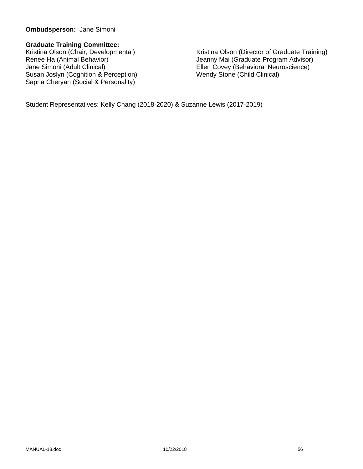### **Ombudsperson:** Jane Simoni

### **Graduate Training Committee:**

Susan Joslyn (Cognition & Perception) Wendy Stone (Child Clinical) Sapna Cheryan (Social & Personality)

Kristina Olson (Chair, Developmental) Kristina Olson (Director of Graduate Training)<br>Renee Ha (Animal Behavior) Senny Mai (Graduate Program Advisor) Renee Ha (Animal Behavior)<br>
Jeanny Mai (Graduate Program Advisor)<br>
Jane Simoni (Adult Clinical)<br>
Jane Simoni (Adult Clinical) Ellen Covey (Behavioral Neuroscience)

Student Representatives: Kelly Chang (2018-2020) & Suzanne Lewis (2017-2019)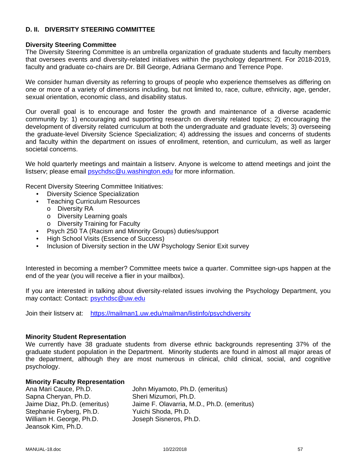### **D. II. DIVERSITY STEERING COMMITTEE**

#### **Diversity Steering Committee**

The Diversity Steering Committee is an umbrella organization of graduate students and faculty members that oversees events and diversity-related initiatives within the psychology department. For 2018-2019, faculty and graduate co-chairs are Dr. Bill George, Adriana Germano and Terrence Pope.

We consider human diversity as referring to groups of people who experience themselves as differing on one or more of a variety of dimensions including, but not limited to, race, culture, ethnicity, age, gender, sexual orientation, economic class, and disability status.

Our overall goal is to encourage and foster the growth and maintenance of a diverse academic community by: 1) encouraging and supporting research on diversity related topics; 2) encouraging the development of diversity related curriculum at both the undergraduate and graduate levels; 3) overseeing the graduate-level Diversity Science Specialization; 4) addressing the issues and concerns of students and faculty within the department on issues of enrollment, retention, and curriculum, as well as larger societal concerns.

We hold quarterly meetings and maintain a listserv. Anyone is welcome to attend meetings and joint the listserv; please email psychdsc@u.washington.edu for more information.

Recent Diversity Steering Committee Initiatives:

- Diversity Science Specialization
- Teaching Curriculum Resources
	- o Diversity RA
	- o Diversity Learning goals
	- o Diversity Training for Faculty
- Psych 250 TA (Racism and Minority Groups) duties/support
- High School Visits (Essence of Success)
- Inclusion of Diversity section in the UW Psychology Senior Exit survey

Interested in becoming a member? Committee meets twice a quarter. Committee sign-ups happen at the end of the year (you will receive a flier in your mailbox).

If you are interested in talking about diversity-related issues involving the Psychology Department, you may contact: Contact: psychdsc@uw.edu

Join their listserv at: https://mailman1.uw.edu/mailman/listinfo/psychdiversity

#### **Minority Student Representation**

We currently have 38 graduate students from diverse ethnic backgrounds representing 37% of the graduate student population in the Department. Minority students are found in almost all major areas of the department, although they are most numerous in clinical, child clinical, social, and cognitive psychology.

#### **Minority Faculty Representation**

Sapna Cheryan, Ph.D. Sheri Mizumori, Ph.D. Stephanie Fryberg, Ph.D. Yuichi Shoda, Ph.D. William H. George, Ph.D. Joseph Sisneros, Ph.D. Jeansok Kim, Ph.D.

Ana Mari Cauce, Ph.D. John Miyamoto, Ph.D. (emeritus) Jaime Diaz, Ph.D. (emeritus) Jaime F. Olavarria, M.D., Ph.D. (emeritus)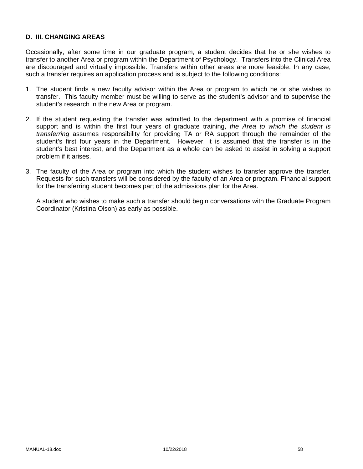# **D. III. CHANGING AREAS**

Occasionally, after some time in our graduate program, a student decides that he or she wishes to transfer to another Area or program within the Department of Psychology. Transfers into the Clinical Area are discouraged and virtually impossible. Transfers within other areas are more feasible. In any case, such a transfer requires an application process and is subject to the following conditions:

- 1. The student finds a new faculty advisor within the Area or program to which he or she wishes to transfer. This faculty member must be willing to serve as the student's advisor and to supervise the student's research in the new Area or program.
- 2. If the student requesting the transfer was admitted to the department with a promise of financial support and is within the first four years of graduate training, *the Area to which the student is transferring* assumes responsibility for providing TA or RA support through the remainder of the student's first four years in the Department. However, it is assumed that the transfer is in the student's best interest, and the Department as a whole can be asked to assist in solving a support problem if it arises.
- 3. The faculty of the Area or program into which the student wishes to transfer approve the transfer. Requests for such transfers will be considered by the faculty of an Area or program. Financial support for the transferring student becomes part of the admissions plan for the Area.

 A student who wishes to make such a transfer should begin conversations with the Graduate Program Coordinator (Kristina Olson) as early as possible.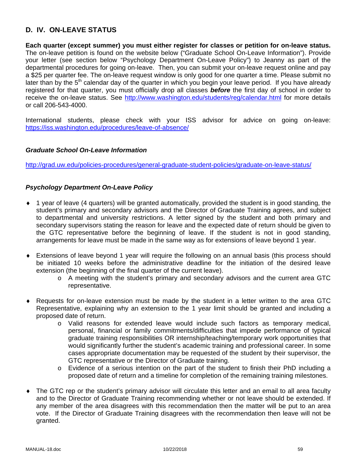# **D. IV. ON-LEAVE STATUS**

**Each quarter (except summer) you must either register for classes or petition for on-leave status.** The on-leave petition is found on the website below ("Graduate School On-Leave Information"). Provide your letter (see section below "Psychology Department On-Leave Policy") to Jeanny as part of the departmental procedures for going on-leave. Then, you can submit your on-leave request online and pay a \$25 per quarter fee. The on-leave request window is only good for one quarter a time. Please submit no later than by the  $5<sup>th</sup>$  calendar day of the quarter in which you begin your leave period. If you have already registered for that quarter, you must officially drop all classes *before* the first day of school in order to receive the on-leave status. See http://www.washington.edu/students/reg/calendar.html for more details or call 206-543-4000.

International students, please check with your ISS advisor for advice on going on-leave: https://iss.washington.edu/procedures/leave-of-absence/

### *Graduate School On-Leave Information*

http://grad.uw.edu/policies-procedures/general-graduate-student-policies/graduate-on-leave-status/

### *Psychology Department On-Leave Policy*

- 1 year of leave (4 quarters) will be granted automatically, provided the student is in good standing, the student's primary and secondary advisors and the Director of Graduate Training agrees, and subject to departmental and university restrictions. A letter signed by the student and both primary and secondary supervisors stating the reason for leave and the expected date of return should be given to the GTC representative before the beginning of leave. If the student is not in good standing, arrangements for leave must be made in the same way as for extensions of leave beyond 1 year.
- Extensions of leave beyond 1 year will require the following on an annual basis (this process should be initiated 10 weeks before the administrative deadline for the initiation of the desired leave extension (the beginning of the final quarter of the current leave).
	- o A meeting with the student's primary and secondary advisors and the current area GTC representative.
- Requests for on-leave extension must be made by the student in a letter written to the area GTC Representative, explaining why an extension to the 1 year limit should be granted and including a proposed date of return.
	- o Valid reasons for extended leave would include such factors as temporary medical, personal, financial or family commitments/difficulties that impede performance of typical graduate training responsibilities OR internship/teaching/temporary work opportunities that would significantly further the student's academic training and professional career. In some cases appropriate documentation may be requested of the student by their supervisor, the GTC representative or the Director of Graduate training.
	- o Evidence of a serious intention on the part of the student to finish their PhD including a proposed date of return and a timeline for completion of the remaining training milestones.
- The GTC rep or the student's primary advisor will circulate this letter and an email to all area faculty and to the Director of Graduate Training recommending whether or not leave should be extended. If any member of the area disagrees with this recommendation then the matter will be put to an area vote. If the Director of Graduate Training disagrees with the recommendation then leave will not be granted.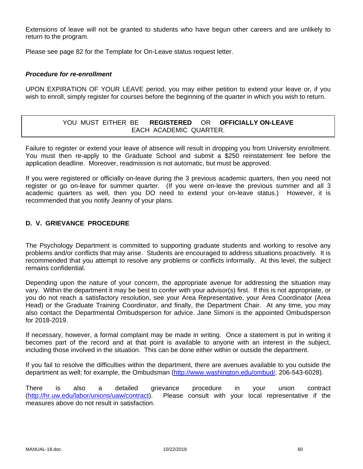Extensions of leave will not be granted to students who have begun other careers and are unlikely to return to the program.

Please see page 82 for the Template for On-Leave status request letter.

#### *Procedure for re-enrollment*

UPON EXPIRATION OF YOUR LEAVE period, you may either petition to extend your leave or, if you wish to enroll, simply register for courses before the beginning of the quarter in which you wish to return.

# YOU MUST EITHER BE **REGISTERED** OR **OFFICIALLY ON-LEAVE** EACH ACADEMIC QUARTER.

Failure to register or extend your leave of absence will result in dropping you from University enrollment. You must then re-apply to the Graduate School and submit a \$250 reinstatement fee before the application deadline. Moreover, readmission is not automatic, but must be approved.

If you were registered or officially on-leave during the 3 previous academic quarters, then you need not register or go on-leave for summer quarter. (If you were on-leave the previous summer and all 3 academic quarters as well, then you DO need to extend your on-leave status.) However, it is recommended that you notify Jeanny of your plans.

# **D. V. GRIEVANCE PROCEDURE**

The Psychology Department is committed to supporting graduate students and working to resolve any problems and/or conflicts that may arise. Students are encouraged to address situations proactively. It is recommended that you attempt to resolve any problems or conflicts informally. At this level, the subject remains confidential.

Depending upon the nature of your concern, the appropriate avenue for addressing the situation may vary. Within the department it may be best to confer with your advisor(s) first. If this is not appropriate, or you do not reach a satisfactory resolution, see your Area Representative, your Area Coordinator (Area Head) or the Graduate Training Coordinator, and finally, the Department Chair. At any time, you may also contact the Departmental Ombudsperson for advice. Jane Simoni is the appointed Ombudsperson for 2018-2019.

If necessary, however, a formal complaint may be made in writing. Once a statement is put in writing it becomes part of the record and at that point is available to anyone with an interest in the subject, including those involved in the situation. This can be done either within or outside the department.

If you fail to resolve the difficulties within the department, there are avenues available to you outside the department as well; for example, the Ombudsman (http://www.washington.edu/ombud/, 206-543-6028).

There is also a detailed grievance procedure in your union contract (http://hr.uw.edu/labor/unions/uaw/contract). Please consult with your local representative if the measures above do not result in satisfaction.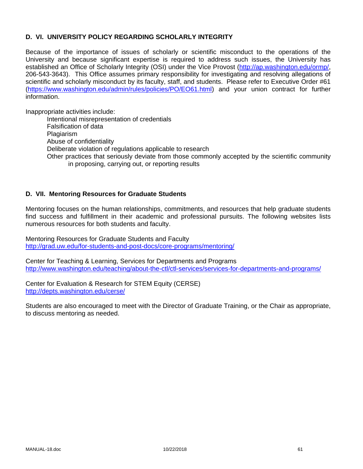# **D. VI. UNIVERSITY POLICY REGARDING SCHOLARLY INTEGRITY**

Because of the importance of issues of scholarly or scientific misconduct to the operations of the University and because significant expertise is required to address such issues, the University has established an Office of Scholarly Integrity (OSI) under the Vice Provost (http://ap.washington.edu/ormp/, 206-543-3643). This Office assumes primary responsibility for investigating and resolving allegations of scientific and scholarly misconduct by its faculty, staff, and students. Please refer to Executive Order #61 (https://www.washington.edu/admin/rules/policies/PO/EO61.html) and your union contract for further information.

Inappropriate activities include:

Intentional misrepresentation of credentials Falsification of data Plagiarism Abuse of confidentiality Deliberate violation of regulations applicable to research Other practices that seriously deviate from those commonly accepted by the scientific community in proposing, carrying out, or reporting results

# **D. VII. Mentoring Resources for Graduate Students**

Mentoring focuses on the human relationships, commitments, and resources that help graduate students find success and fulfillment in their academic and professional pursuits. The following websites lists numerous resources for both students and faculty.

Mentoring Resources for Graduate Students and Faculty http://grad.uw.edu/for-students-and-post-docs/core-programs/mentoring/

Center for Teaching & Learning, Services for Departments and Programs http://www.washington.edu/teaching/about-the-ctl/ctl-services/services-for-departments-and-programs/

Center for Evaluation & Research for STEM Equity (CERSE) http://depts.washington.edu/cerse/

Students are also encouraged to meet with the Director of Graduate Training, or the Chair as appropriate, to discuss mentoring as needed.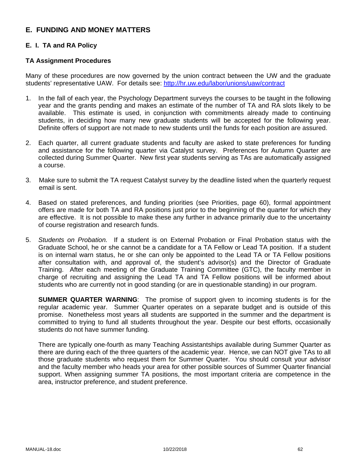# **E. FUNDING AND MONEY MATTERS**

# **E. I. TA and RA Policy**

#### **TA Assignment Procedures**

Many of these procedures are now governed by the union contract between the UW and the graduate students' representative UAW. For details see: http://hr.uw.edu/labor/unions/uaw/contract

- 1. In the fall of each year, the Psychology Department surveys the courses to be taught in the following year and the grants pending and makes an estimate of the number of TA and RA slots likely to be available. This estimate is used, in conjunction with commitments already made to continuing students, in deciding how many new graduate students will be accepted for the following year. Definite offers of support are not made to new students until the funds for each position are assured.
- 2. Each quarter, all current graduate students and faculty are asked to state preferences for funding and assistance for the following quarter via Catalyst survey. Preferences for Autumn Quarter are collected during Summer Quarter. New first year students serving as TAs are automatically assigned a course.
- 3. Make sure to submit the TA request Catalyst survey by the deadline listed when the quarterly request email is sent.
- 4. Based on stated preferences, and funding priorities (see Priorities, page 60), formal appointment offers are made for both TA and RA positions just prior to the beginning of the quarter for which they are effective. It is not possible to make these any further in advance primarily due to the uncertainty of course registration and research funds.
- 5. *Students on Probation.* If a student is on External Probation or Final Probation status with the Graduate School, he or she cannot be a candidate for a TA Fellow or Lead TA position. If a student is on internal warn status, he or she can only be appointed to the Lead TA or TA Fellow positions after consultation with, and approval of, the student's advisor(s) and the Director of Graduate Training. After each meeting of the Graduate Training Committee (GTC), the faculty member in charge of recruiting and assigning the Lead TA and TA Fellow positions will be informed about students who are currently not in good standing (or are in questionable standing) in our program.

**SUMMER QUARTER WARNING**: The promise of support given to incoming students is for the regular academic year. Summer Quarter operates on a separate budget and is outside of this promise. Nonetheless most years all students are supported in the summer and the department is committed to trying to fund all students throughout the year. Despite our best efforts, occasionally students do not have summer funding.

There are typically one-fourth as many Teaching Assistantships available during Summer Quarter as there are during each of the three quarters of the academic year. Hence, we can NOT give TAs to all those graduate students who request them for Summer Quarter. You should consult your advisor and the faculty member who heads your area for other possible sources of Summer Quarter financial support. When assigning summer TA positions, the most important criteria are competence in the area, instructor preference, and student preference.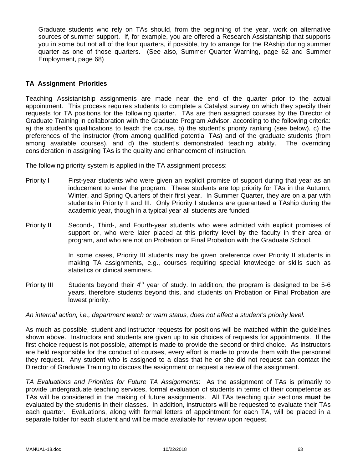Graduate students who rely on TAs should, from the beginning of the year, work on alternative sources of summer support. If, for example, you are offered a Research Assistantship that supports you in some but not all of the four quarters, if possible, try to arrange for the RAship during summer quarter as one of those quarters. (See also, Summer Quarter Warning, page 62 and Summer Employment, page 68)

### **TA Assignment Priorities**

Teaching Assistantship assignments are made near the end of the quarter prior to the actual appointment. This process requires students to complete a Catalyst survey on which they specify their requests for TA positions for the following quarter. TAs are then assigned courses by the Director of Graduate Training in collaboration with the Graduate Program Advisor, according to the following criteria: a) the student's qualifications to teach the course, b) the student's priority ranking (see below), c) the preferences of the instructor (from among qualified potential TAs) and of the graduate students (from among available courses), and d) the student's demonstrated teaching ability. The overriding consideration in assigning TAs is the quality and enhancement of instruction.

The following priority system is applied in the TA assignment process:

- Priority I First-year students who were given an explicit promise of support during that year as an inducement to enter the program. These students are top priority for TAs in the Autumn, Winter, and Spring Quarters of their first year. In Summer Quarter, they are on a par with students in Priority II and III. Only Priority I students are guaranteed a TAship during the academic year, though in a typical year all students are funded.
- Priority II Second-, Third-, and Fourth-year students who were admitted with explicit promises of support or, who were later placed at this priority level by the faculty in their area or program, and who are not on Probation or Final Probation with the Graduate School.

In some cases, Priority III students may be given preference over Priority II students in making TA assignments, e.g., courses requiring special knowledge or skills such as statistics or clinical seminars.

Priority III Students beyond their  $4<sup>th</sup>$  year of study. In addition, the program is designed to be 5-6 years, therefore students beyond this, and students on Probation or Final Probation are lowest priority.

*An internal action, i.e., department watch or warn status, does not affect a student's priority level.* 

As much as possible, student and instructor requests for positions will be matched within the guidelines shown above. Instructors and students are given up to six choices of requests for appointments. If the first choice request is not possible, attempt is made to provide the second or third choice. As instructors are held responsible for the conduct of courses, every effort is made to provide them with the personnel they request. Any student who is assigned to a class that he or she did not request can contact the Director of Graduate Training to discuss the assignment or request a review of the assignment.

*TA Evaluations and Priorities for Future TA Assignments*: As the assignment of TAs is primarily to provide undergraduate teaching services, formal evaluation of students in terms of their competence as TAs will be considered in the making of future assignments. All TAs teaching quiz sections **must** be evaluated by the students in their classes. In addition, instructors will be requested to evaluate their TAs each quarter. Evaluations, along with formal letters of appointment for each TA, will be placed in a separate folder for each student and will be made available for review upon request.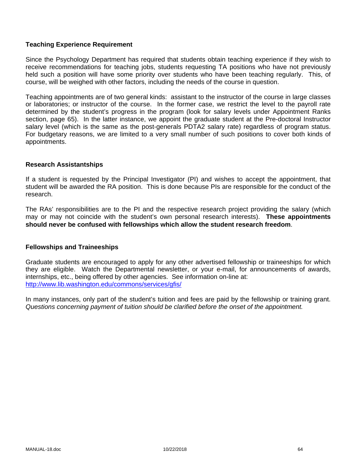### **Teaching Experience Requirement**

Since the Psychology Department has required that students obtain teaching experience if they wish to receive recommendations for teaching jobs, students requesting TA positions who have not previously held such a position will have some priority over students who have been teaching regularly. This, of course, will be weighed with other factors, including the needs of the course in question.

Teaching appointments are of two general kinds: assistant to the instructor of the course in large classes or laboratories; or instructor of the course. In the former case, we restrict the level to the payroll rate determined by the student's progress in the program (look for salary levels under Appointment Ranks section, page 65). In the latter instance, we appoint the graduate student at the Pre-doctoral Instructor salary level (which is the same as the post-generals PDTA2 salary rate) regardless of program status. For budgetary reasons, we are limited to a very small number of such positions to cover both kinds of appointments.

#### **Research Assistantships**

If a student is requested by the Principal Investigator (PI) and wishes to accept the appointment, that student will be awarded the RA position. This is done because PIs are responsible for the conduct of the research.

The RAs' responsibilities are to the PI and the respective research project providing the salary (which may or may not coincide with the student's own personal research interests). **These appointments should never be confused with fellowships which allow the student research freedom**.

#### **Fellowships and Traineeships**

Graduate students are encouraged to apply for any other advertised fellowship or traineeships for which they are eligible. Watch the Departmental newsletter, or your e-mail, for announcements of awards, internships, etc., being offered by other agencies. See information on-line at: http://www.lib.washington.edu/commons/services/gfis/

In many instances, only part of the student's tuition and fees are paid by the fellowship or training grant. *Questions concerning payment of tuition should be clarified before the onset of the appointment.*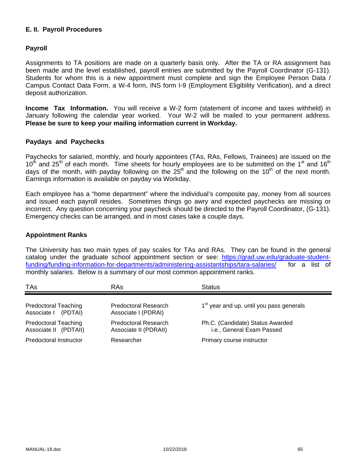### **E. II. Payroll Procedures**

### **Payroll**

Assignments to TA positions are made on a quarterly basis only. After the TA or RA assignment has been made and the level established, payroll entries are submitted by the Payroll Coordinator (G-131). Students for whom this is a new appointment must complete and sign the Employee Person Data / Campus Contact Data Form, a W-4 form, INS form I-9 (Employment Eligibility Verification), and a direct deposit authorization.

**Income Tax Information.** You will receive a W-2 form (statement of income and taxes withheld) in January following the calendar year worked. Your W-2 will be mailed to your permanent address. **Please be sure to keep your mailing information current in Workday.**

#### **Paydays and Paychecks**

Paychecks for salaried, monthly, and hourly appointees (TAs, RAs, Fellows, Trainees) are issued on the  $10<sup>th</sup>$  and 25<sup>th</sup> of each month. Time sheets for hourly employees are to be submitted on the 1<sup>st</sup> and 16<sup>th</sup> days of the month, with payday following on the  $25<sup>th</sup>$  and the following on the 10<sup>th</sup> of the next month. Earnings information is available on payday via Workday.

Each employee has a "home department" where the individual's composite pay, money from all sources and issued each payroll resides. Sometimes things go awry and expected paychecks are missing or incorrect. Any question concerning your paycheck should be directed to the Payroll Coordinator, (G-131). Emergency checks can be arranged, and in most cases take a couple days.

#### **Appointment Ranks**

The University has two main types of pay scales for TAs and RAs. They can be found in the general catalog under the graduate school appointment section or see: https://grad.uw.edu/graduate-studentfunding/funding-information-for-departments/administering-assistantships/tara-salaries/ for a list of monthly salaries. Below is a summary of our most common appointment ranks.

| TAs                                                  | <b>RAs</b>                                    | <b>Status</b>                                                 |
|------------------------------------------------------|-----------------------------------------------|---------------------------------------------------------------|
| <b>Predoctoral Teaching</b><br>Associate I (PDTAI)   | Predoctoral Research<br>Associate I (PDRAI)   | 1 <sup>st</sup> year and up, until you pass generals          |
| <b>Predoctoral Teaching</b><br>Associate II (PDTAII) | Predoctoral Research<br>Associate II (PDRAII) | Ph.C. (Candidate) Status Awarded<br>i.e., General Exam Passed |
| Predoctoral Instructor                               | Researcher                                    | Primary course instructor                                     |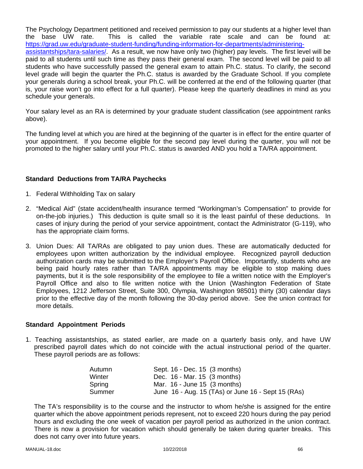The Psychology Department petitioned and received permission to pay our students at a higher level than the base UW rate. This is called the variable rate scale and can be found at: https://grad.uw.edu/graduate-student-funding/funding-information-for-departments/administeringassistantships/tara-salaries/. As a result, we now have only two (higher) pay levels. The first level will be paid to all students until such time as they pass their general exam. The second level will be paid to all students who have successfully passed the general exam to attain Ph.C. status. To clarify, the second level grade will begin the quarter the Ph.C. status is awarded by the Graduate School. If you complete your generals during a school break, your Ph.C. will be conferred at the end of the following quarter (that is, your raise won't go into effect for a full quarter). Please keep the quarterly deadlines in mind as you schedule your generals.

Your salary level as an RA is determined by your graduate student classification (see appointment ranks above).

The funding level at which you are hired at the beginning of the quarter is in effect for the entire quarter of your appointment. If you become eligible for the second pay level during the quarter, you will not be promoted to the higher salary until your Ph.C. status is awarded AND you hold a TA/RA appointment.

### **Standard Deductions from TA/RA Paychecks**

- 1. Federal Withholding Tax on salary
- 2. "Medical Aid" (state accident/health insurance termed "Workingman's Compensation" to provide for on-the-job injuries.) This deduction is quite small so it is the least painful of these deductions. In cases of injury during the period of your service appointment, contact the Administrator (G-119), who has the appropriate claim forms.
- 3. Union Dues: All TA/RAs are obligated to pay union dues. These are automatically deducted for employees upon written authorization by the individual employee. Recognized payroll deduction authorization cards may be submitted to the Employer's Payroll Office. Importantly, students who are being paid hourly rates rather than TA/RA appointments may be eligible to stop making dues payments, but it is the sole responsibility of the employee to file a written notice with the Employer's Payroll Office and also to file written notice with the Union (Washington Federation of State Employees, 1212 Jefferson Street, Suite 300, Olympia, Washington 98501) thirty (30) calendar days prior to the effective day of the month following the 30-day period above. See the union contract for more details.

# **Standard Appointment Periods**

1. Teaching assistantships, as stated earlier, are made on a quarterly basis only, and have UW prescribed payroll dates which do not coincide with the actual instructional period of the quarter. These payroll periods are as follows:

| Sept. 16 - Dec. 15 (3 months)                      |
|----------------------------------------------------|
| Dec. 16 - Mar. 15 (3 months)                       |
| Mar. $16$ - June 15 $(3 \text{ months})$           |
| June 16 - Aug. 15 (TAs) or June 16 - Sept 15 (RAs) |
|                                                    |

The TA's responsibility is to the course and the instructor to whom he/she is assigned for the entire quarter which the above appointment periods represent, not to exceed 220 hours during the pay period hours and excluding the one week of vacation per payroll period as authorized in the union contract. There is now a provision for vacation which should generally be taken during quarter breaks. This does not carry over into future years.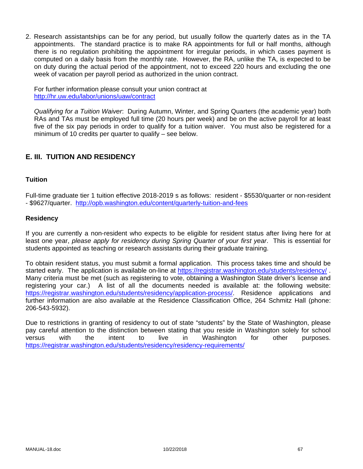2. Research assistantships can be for any period, but usually follow the quarterly dates as in the TA appointments. The standard practice is to make RA appointments for full or half months, although there is no regulation prohibiting the appointment for irregular periods, in which cases payment is computed on a daily basis from the monthly rate. However, the RA, unlike the TA, is expected to be on duty during the actual period of the appointment, not to exceed 220 hours and excluding the one week of vacation per payroll period as authorized in the union contract.

For further information please consult your union contract at http://hr.uw.edu/labor/unions/uaw/contract

*Qualifying for a Tuition Waiver*: During Autumn, Winter, and Spring Quarters (the academic year) both RAs and TAs must be employed full time (20 hours per week) and be on the active payroll for at least five of the six pay periods in order to qualify for a tuition waiver. You must also be registered for a minimum of 10 credits per quarter to qualify – see below.

# **E. III. TUITION AND RESIDENCY**

#### **Tuition**

Full-time graduate tier 1 tuition effective 2018-2019 s as follows: resident - \$5530/quarter or non-resident - \$9627/quarter. http://opb.washington.edu/content/quarterly-tuition-and-fees

### **Residency**

If you are currently a non-resident who expects to be eligible for resident status after living here for at least one year, *please apply for residency during Spring Quarter of your first year*. This is essential for students appointed as teaching or research assistants during their graduate training.

To obtain resident status, you must submit a formal application. This process takes time and should be started early. The application is available on-line at https://registrar.washington.edu/students/residency/ . Many criteria must be met (such as registering to vote, obtaining a Washington State driver's license and registering your car.) A list of all the documents needed is available at: the following website: https://registrar.washington.edu/students/residency/application-process/. Residence applications and further information are also available at the Residence Classification Office, 264 Schmitz Hall (phone: 206-543-5932).

Due to restrictions in granting of residency to out of state "students" by the State of Washington, please pay careful attention to the distinction between stating that you reside in Washington solely for school versus with the intent to live in Washington for other purposes. https://registrar.washington.edu/students/residency/residency-requirements/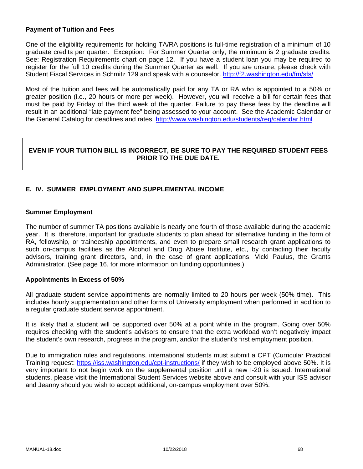#### **Payment of Tuition and Fees**

One of the eligibility requirements for holding TA/RA positions is full-time registration of a minimum of 10 graduate credits per quarter. Exception: For Summer Quarter only, the minimum is 2 graduate credits. See: Registration Requirements chart on page 12. If you have a student loan you may be required to register for the full 10 credits during the Summer Quarter as well. If you are unsure, please check with Student Fiscal Services in Schmitz 129 and speak with a counselor. http://f2.washington.edu/fm/sfs/

Most of the tuition and fees will be automatically paid for any TA or RA who is appointed to a 50% or greater position (i.e., 20 hours or more per week). However, you will receive a bill for certain fees that must be paid by Friday of the third week of the quarter. Failure to pay these fees by the deadline will result in an additional "late payment fee" being assessed to your account. See the Academic Calendar or the General Catalog for deadlines and rates. http://www.washington.edu/students/reg/calendar.html

### **EVEN IF YOUR TUITION BILL IS INCORRECT, BE SURE TO PAY THE REQUIRED STUDENT FEES PRIOR TO THE DUE DATE.**

# **E. IV. SUMMER EMPLOYMENT AND SUPPLEMENTAL INCOME**

### **Summer Employment**

The number of summer TA positions available is nearly one fourth of those available during the academic year. It is, therefore, important for graduate students to plan ahead for alternative funding in the form of RA, fellowship, or traineeship appointments, and even to prepare small research grant applications to such on-campus facilities as the Alcohol and Drug Abuse Institute, etc., by contacting their faculty advisors, training grant directors, and, in the case of grant applications, Vicki Paulus, the Grants Administrator. (See page 16, for more information on funding opportunities.)

#### **Appointments in Excess of 50%**

All graduate student service appointments are normally limited to 20 hours per week (50% time). This includes hourly supplementation and other forms of University employment when performed in addition to a regular graduate student service appointment.

It is likely that a student will be supported over 50% at a point while in the program. Going over 50% requires checking with the student's advisors to ensure that the extra workload won't negatively impact the student's own research, progress in the program, and/or the student's first employment position.

Due to immigration rules and regulations, international students must submit a CPT (Curricular Practical Training request: https://iss.washington.edu/cpt-instructions/ if they wish to be employed above 50%. It is very important to not begin work on the supplemental position until a new I-20 is issued. International students, please visit the International Student Services website above and consult with your ISS advisor and Jeanny should you wish to accept additional, on-campus employment over 50%.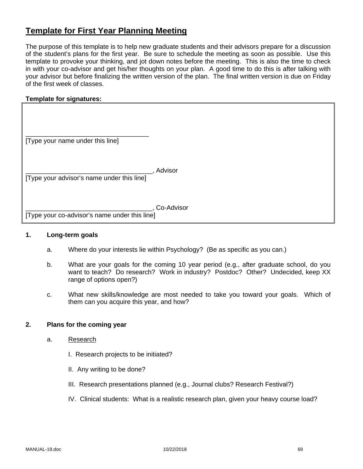# **Template for First Year Planning Meeting**

The purpose of this template is to help new graduate students and their advisors prepare for a discussion of the student's plans for the first year. Be sure to schedule the meeting as soon as possible. Use this template to provoke your thinking, and jot down notes before the meeting. This is also the time to check in with your co-advisor and get his/her thoughts on your plan. A good time to do this is after talking with your advisor but before finalizing the written version of the plan. The final written version is due on Friday of the first week of classes.

### **Template for signatures:**

| [Type your name under this line] |  |
|----------------------------------|--|

\_\_\_\_\_\_\_\_\_\_\_\_\_\_\_\_\_\_\_\_\_\_\_\_\_\_\_\_\_\_\_\_\_\_\_, Advisor [Type your advisor's name under this line]

\_\_\_\_\_\_\_\_\_\_\_\_\_\_\_\_\_\_\_\_\_\_\_\_\_\_\_\_\_\_\_\_\_\_\_, Co-Advisor

[Type your co-advisor's name under this line]

#### **1. Long-term goals**

- a. Where do your interests lie within Psychology? (Be as specific as you can.)
- b. What are your goals for the coming 10 year period (e.g., after graduate school, do you want to teach? Do research? Work in industry? Postdoc? Other? Undecided, keep XX range of options open?)
- c. What new skills/knowledge are most needed to take you toward your goals. Which of them can you acquire this year, and how?

#### **2. Plans for the coming year**

- a. Research
	- I. Research projects to be initiated?
	- II. Any writing to be done?
	- III. Research presentations planned (e.g., Journal clubs? Research Festival?)
	- IV. Clinical students: What is a realistic research plan, given your heavy course load?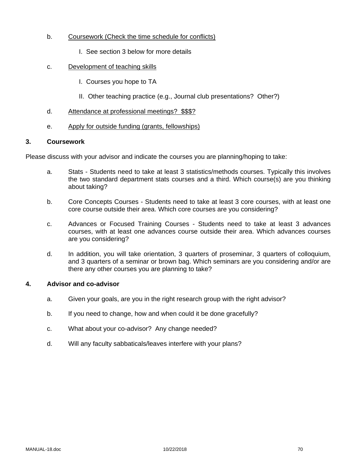### b. Coursework (Check the time schedule for conflicts)

I. See section 3 below for more details

### c. Development of teaching skills

- I. Courses you hope to TA
- II. Other teaching practice (e.g., Journal club presentations? Other?)

#### d. Attendance at professional meetings? \$\$\$?

e. Apply for outside funding (grants, fellowships)

#### **3. Coursework**

Please discuss with your advisor and indicate the courses you are planning/hoping to take:

- a. Stats Students need to take at least 3 statistics/methods courses. Typically this involves the two standard department stats courses and a third. Which course(s) are you thinking about taking?
- b. Core Concepts Courses Students need to take at least 3 core courses, with at least one core course outside their area. Which core courses are you considering?
- c. Advances or Focused Training Courses Students need to take at least 3 advances courses, with at least one advances course outside their area. Which advances courses are you considering?
- d. In addition, you will take orientation, 3 quarters of proseminar, 3 quarters of colloquium, and 3 quarters of a seminar or brown bag. Which seminars are you considering and/or are there any other courses you are planning to take?

# **4. Advisor and co-advisor**

- a. Given your goals, are you in the right research group with the right advisor?
- b. If you need to change, how and when could it be done gracefully?
- c. What about your co-advisor? Any change needed?
- d. Will any faculty sabbaticals/leaves interfere with your plans?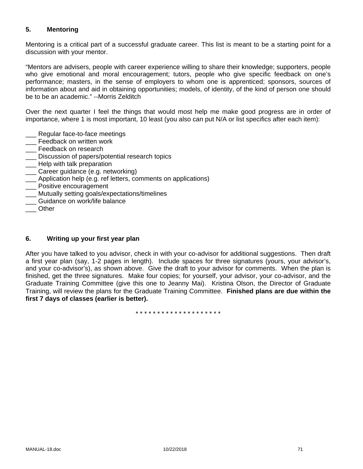# **5. Mentoring**

Mentoring is a critical part of a successful graduate career. This list is meant to be a starting point for a discussion with your mentor.

"Mentors are advisers, people with career experience willing to share their knowledge; supporters, people who give emotional and moral encouragement; tutors, people who give specific feedback on one's performance; masters, in the sense of employers to whom one is apprenticed; sponsors, sources of information about and aid in obtaining opportunities; models, of identity, of the kind of person one should be to be an academic." --Morris Zelditch

Over the next quarter I feel the things that would most help me make good progress are in order of importance, where 1 is most important, 10 least (you also can put N/A or list specifics after each item):

- Regular face-to-face meetings
- \_\_\_ Feedback on written work
- **\_\_\_** Feedback on research
- \_\_\_ Discussion of papers/potential research topics
- **\_\_\_** Help with talk preparation
- \_\_\_ Career guidance (e.g. networking)
- \_\_\_ Application help (e.g. ref letters, comments on applications)
- \_\_\_ Positive encouragement
- \_\_\_ Mutually setting goals/expectations/timelines
- \_\_\_ Guidance on work/life balance
- \_\_\_ Other

#### **6. Writing up your first year plan**

After you have talked to you advisor, check in with your co-advisor for additional suggestions. Then draft a first year plan (say, 1-2 pages in length). Include spaces for three signatures (yours, your advisor's, and your co-advisor's), as shown above. Give the draft to your advisor for comments. When the plan is finished, get the three signatures. Make four copies; for yourself, your advisor, your co-advisor, and the Graduate Training Committee (give this one to Jeanny Mai). Kristina Olson, the Director of Graduate Training, will review the plans for the Graduate Training Committee. **Finished plans are due within the first 7 days of classes (earlier is better).**

\* \* \* \* \* \* \* \* \* \* \* \* \* \* \* \* \* \* \*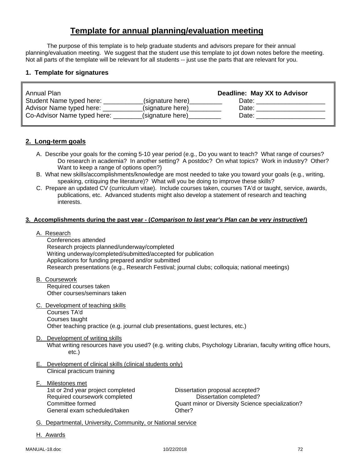# **Template for annual planning/evaluation meeting**

The purpose of this template is to help graduate students and advisors prepare for their annual planning/evaluation meeting. We suggest that the student use this template to jot down notes before the meeting. Not all parts of the template will be relevant for all students -- just use the parts that are relevant for you.

### **1. Template for signatures**

| Annual Plan                 |                  | Deadline: May XX to Advisor |
|-----------------------------|------------------|-----------------------------|
| Student Name typed here:    | (signature here) | Date:                       |
| Advisor Name typed here:    | (signature here) | Date:                       |
| Co-Advisor Name typed here: | (signature here) | Date:                       |

### **2. Long-term goals**

- A. Describe your goals for the coming 5-10 year period (e.g., Do you want to teach? What range of courses? Do research in academia? In another setting? A postdoc? On what topics? Work in industry? Other? Want to keep a range of options open?)
- B. What new skills/accomplishments/knowledge are most needed to take you toward your goals (e.g., writing, speaking, critiquing the literature)? What will you be doing to improve these skills?
- C. Prepare an updated CV (curriculum vitae). Include courses taken, courses TA'd or taught, service, awards, publications, etc. Advanced students might also develop a statement of research and teaching interests.

#### **3. Accomplishments during the past year - (***Comparison to last year's Plan can be very instructive!***)**

#### A. Research

 Conferences attended Research projects planned/underway/completed Writing underway/completed/submitted/accepted for publication Applications for funding prepared and/or submitted Research presentations (e.g., Research Festival; journal clubs; colloquia; national meetings)

- B. Coursework Required courses taken Other courses/seminars taken
- C. Development of teaching skills Courses TA'd Courses taught Other teaching practice (e.g. journal club presentations, guest lectures, etc.)
- D. Development of writing skills

What writing resources have you used? (e.g. writing clubs, Psychology Librarian, faculty writing office hours, etc.)

- E. Development of clinical skills (clinical students only) Clinical practicum training
- F. Milestones met 1st or 2nd year project completed Dissertation proposal accepted? Required coursework completed Dissertation completed? General exam scheduled/taken

Committee formed<br>
General exam scheduled/taken<br>
Other?<br>
Other?

- G. Departmental, University, Community, or National service
- H. Awards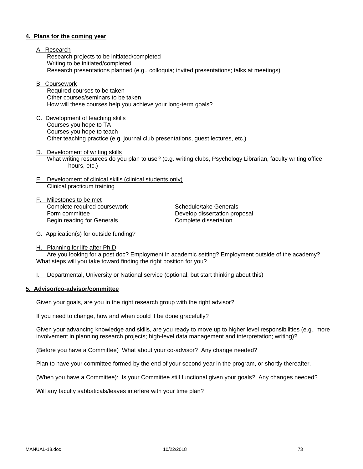#### **4. Plans for the coming year**

- A. Research Research projects to be initiated/completed Writing to be initiated/completed Research presentations planned (e.g., colloquia; invited presentations; talks at meetings)
- B. Coursework

 Required courses to be taken Other courses/seminars to be taken How will these courses help you achieve your long-term goals?

- C. Development of teaching skills Courses you hope to TA Courses you hope to teach Other teaching practice (e.g. journal club presentations, guest lectures, etc.)
- D. Development of writing skills What writing resources do you plan to use? (e.g. writing clubs, Psychology Librarian, faculty writing office hours, etc.)
- E. Development of clinical skills (clinical students only) Clinical practicum training
- F. Milestones to be met Complete required coursework Schedule/take Generals Form committee **Develop dissertation proposal** Begin reading for Generals **Complete** dissertation

- G. Application(s) for outside funding?
- H. Planning for life after Ph.D

 Are you looking for a post doc? Employment in academic setting? Employment outside of the academy? What steps will you take toward finding the right position for you?

I. Departmental, University or National service (optional, but start thinking about this)

#### **5. Advisor/co-advisor/committee**

Given your goals, are you in the right research group with the right advisor?

If you need to change, how and when could it be done gracefully?

Given your advancing knowledge and skills, are you ready to move up to higher level responsibilities (e.g., more involvement in planning research projects; high-level data management and interpretation; writing)?

(Before you have a Committee) What about your co-advisor? Any change needed?

Plan to have your committee formed by the end of your second year in the program, or shortly thereafter.

(When you have a Committee): Is your Committee still functional given your goals? Any changes needed?

Will any faculty sabbaticals/leaves interfere with your time plan?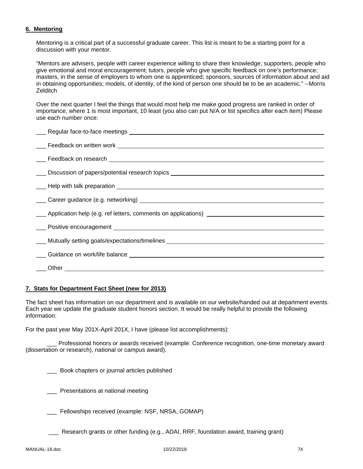## **6. Mentoring**

Mentoring is a critical part of a successful graduate career. This list is meant to be a starting point for a discussion with your mentor.

"Mentors are advisers, people with career experience willing to share their knowledge; supporters, people who give emotional and moral encouragement; tutors, people who give specific feedback on one's performance; masters, in the sense of employers to whom one is apprenticed; sponsors, sources of information about and aid in obtaining opportunities; models, of identity, of the kind of person one should be to be an academic." --Morris **Zelditch** 

Over the next quarter I feel the things that would most help me make good progress are ranked in order of importance, where 1 is most important, 10 least (you also can put N/A or list specifics after each item) Please use each number once:

| Career guidance (e.g. networking) example and the contract of the contract of the contract of the contract of the contract of the contract of the contract of the contract of the contract of the contract of the contract of |
|-------------------------------------------------------------------------------------------------------------------------------------------------------------------------------------------------------------------------------|
| ____ Application help (e.g. ref letters, comments on applications) _________________________________                                                                                                                          |
|                                                                                                                                                                                                                               |
|                                                                                                                                                                                                                               |
|                                                                                                                                                                                                                               |
|                                                                                                                                                                                                                               |
|                                                                                                                                                                                                                               |

#### **7. Stats for Department Fact Sheet (new for 2013)**

The fact sheet has information on our department and is available on our website/handed out at department events. Each year we update the graduate student honors section. It would be really helpful to provide the following information:

For the past year May 201X-April 201X, I have (please list accomplishments):

 \_\_\_ Professional honors or awards received (example: Conference recognition, one-time monetary award (dissertation or research), national or campus award).

\_\_\_ Book chapters or journal articles published

\_\_\_ Presentations at national meeting

Fellowships received (example: NSF, NRSA, GOMAP)

\_\_\_ Research grants or other funding (e.g., ADAI, RRF, foundation award, training grant)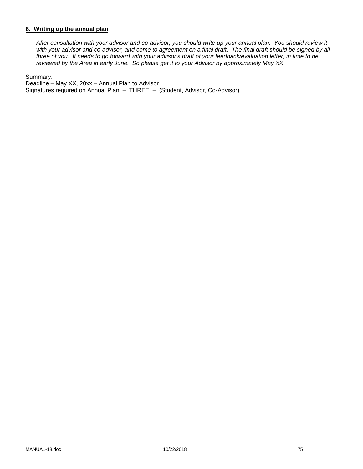### **8. Writing up the annual plan**

*After consultation with your advisor and co-advisor, you should write up your annual plan. You should review it*  with your advisor and co-advisor, and come to agreement on a final draft. The final draft should be signed by all *three of you. It needs to go forward with your advisor's draft of your feedback/evaluation letter, in time to be reviewed by the Area in early June. So please get it to your Advisor by approximately May XX.* 

Summary:

Deadline – May XX, 20xx – Annual Plan to Advisor Signatures required on Annual Plan – THREE – (Student, Advisor, Co-Advisor)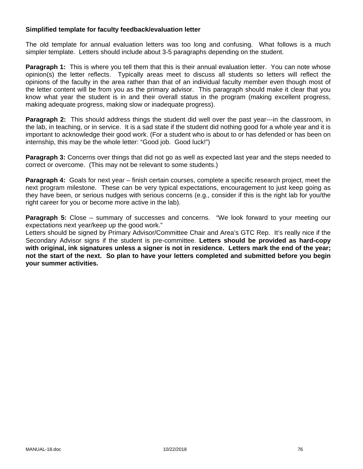### **Simplified template for faculty feedback/evaluation letter**

The old template for annual evaluation letters was too long and confusing. What follows is a much simpler template. Letters should include about 3-5 paragraphs depending on the student.

**Paragraph 1:** This is where you tell them that this is their annual evaluation letter. You can note whose opinion(s) the letter reflects. Typically areas meet to discuss all students so letters will reflect the opinions of the faculty in the area rather than that of an individual faculty member even though most of the letter content will be from you as the primary advisor. This paragraph should make it clear that you know what year the student is in and their overall status in the program (making excellent progress, making adequate progress, making slow or inadequate progress).

**Paragraph 2:** This should address things the student did well over the past year---in the classroom, in the lab, in teaching, or in service. It is a sad state if the student did nothing good for a whole year and it is important to acknowledge their good work. (For a student who is about to or has defended or has been on internship, this may be the whole letter: "Good job. Good luck!")

**Paragraph 3:** Concerns over things that did not go as well as expected last year and the steps needed to correct or overcome. (This may not be relevant to some students.)

**Paragraph 4:** Goals for next year – finish certain courses, complete a specific research project, meet the next program milestone. These can be very typical expectations, encouragement to just keep going as they have been, or serious nudges with serious concerns (e.g., consider if this is the right lab for you/the right career for you or become more active in the lab).

**Paragraph 5:** Close – summary of successes and concerns. "We look forward to your meeting our expectations next year/keep up the good work."

Letters should be signed by Primary Advisor/Committee Chair and Area's GTC Rep. It's really nice if the Secondary Advisor signs if the student is pre-committee. **Letters should be provided as hard-copy with original, ink signatures unless a signer is not in residence. Letters mark the end of the year; not the start of the next. So plan to have your letters completed and submitted before you begin your summer activities.**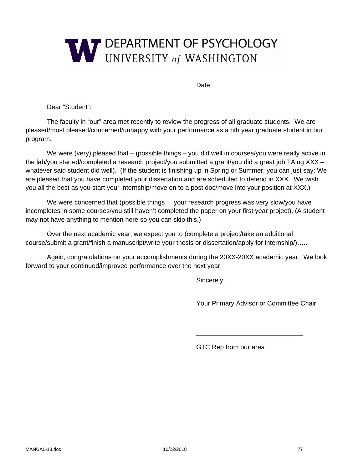

Date

Dear "Student":

The faculty in "our" area met recently to review the progress of all graduate students. We are pleased/most pleased/concerned/unhappy with your performance as a nth year graduate student in our program.

We were (very) pleased that – (possible things – you did well in courses/you were really active in the lab/you started/completed a research project/you submitted a grant/you did a great job TAing XXX – whatever said student did well). (If the student is finishing up in Spring or Summer, you can just say: We are pleased that you have completed your dissertation and are scheduled to defend in XXX. We wish you all the best as you start your internship/move on to a post doc/move into your position at XXX.)

We were concerned that (possible things – your research progress was very slow/you have incompletes in some courses/you still haven't completed the paper on your first year project). (A student may not have anything to mention here so you can skip this.)

Over the next academic year, we expect you to (complete a project/take an additional course/submit a grant/finish a manuscript/write your thesis or dissertation/apply for internship/)…..

Again, congratulations on your accomplishments during the 20XX-20XX academic year. We look forward to your continued/improved performance over the next year.

Sincerely,

Your Primary Advisor or Committee Chair

GTC Rep from our area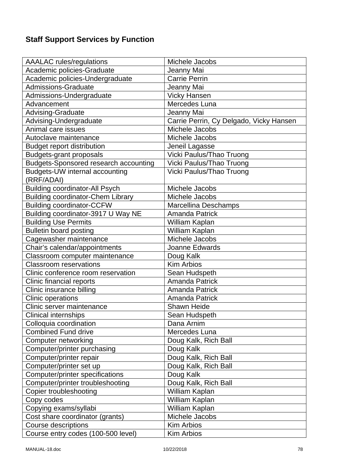# **Staff Support Services by Function**

| <b>AAALAC</b> rules/regulations              | Michele Jacobs                          |
|----------------------------------------------|-----------------------------------------|
| Academic policies-Graduate                   | Jeanny Mai                              |
| Academic policies-Undergraduate              | <b>Carrie Perrin</b>                    |
| <b>Admissions-Graduate</b>                   | Jeanny Mai                              |
| Admissions-Undergraduate                     | <b>Vicky Hansen</b>                     |
| Advancement                                  | Mercedes Luna                           |
| Advising-Graduate                            | Jeanny Mai                              |
| Advising-Undergraduate                       | Carrie Perrin, Cy Delgado, Vicky Hansen |
| Animal care issues                           | Michele Jacobs                          |
| Autoclave maintenance                        | Michele Jacobs                          |
| <b>Budget report distribution</b>            | Jeneil Lagasse                          |
| <b>Budgets-grant proposals</b>               | Vicki Paulus/Thao Truong                |
| <b>Budgets-Sponsored research accounting</b> | Vicki Paulus/Thao Truong                |
| Budgets-UW internal accounting<br>(RRF/ADAI) | Vicki Paulus/Thao Truong                |
| <b>Building coordinator-All Psych</b>        | Michele Jacobs                          |
| <b>Building coordinator-Chem Library</b>     | Michele Jacobs                          |
| <b>Building coordinator-CCFW</b>             | Marcellina Deschamps                    |
| Building coordinator-3917 U Way NE           | <b>Amanda Patrick</b>                   |
| <b>Building Use Permits</b>                  | William Kaplan                          |
| <b>Bulletin board posting</b>                | William Kaplan                          |
| Cagewasher maintenance                       | Michele Jacobs                          |
| Chair's calendar/appointments                | Joanne Edwards                          |
| Classroom computer maintenance               | Doug Kalk                               |
| <b>Classroom reservations</b>                | <b>Kim Arbios</b>                       |
| Clinic conference room reservation           | Sean Hudspeth                           |
| Clinic financial reports                     | <b>Amanda Patrick</b>                   |
| Clinic insurance billing                     | <b>Amanda Patrick</b>                   |
| <b>Clinic operations</b>                     | <b>Amanda Patrick</b>                   |
| Clinic server maintenance                    | <b>Shawn Heide</b>                      |
| <b>Clinical internships</b>                  | Sean Hudspeth                           |
| Colloquia coordination                       | Dana Arnim                              |
| <b>Combined Fund drive</b>                   | Mercedes Luna                           |
| Computer networking                          | Doug Kalk, Rich Ball                    |
| Computer/printer purchasing                  | Doug Kalk                               |
| Computer/printer repair                      | Doug Kalk, Rich Ball                    |
| Computer/printer set up                      | Doug Kalk, Rich Ball                    |
| Computer/printer specifications              | Doug Kalk                               |
| Computer/printer troubleshooting             | Doug Kalk, Rich Ball                    |
| Copier troubleshooting                       | William Kaplan                          |
| Copy codes                                   | William Kaplan                          |
| Copying exams/syllabi                        | William Kaplan                          |
| Cost share coordinator (grants)              | Michele Jacobs                          |
| Course descriptions                          | <b>Kim Arbios</b>                       |
| Course entry codes (100-500 level)           | <b>Kim Arbios</b>                       |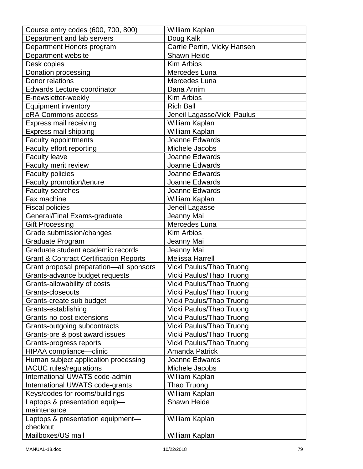| Course entry codes (600, 700, 800)                | William Kaplan              |
|---------------------------------------------------|-----------------------------|
| Department and lab servers                        | Doug Kalk                   |
| Department Honors program                         | Carrie Perrin, Vicky Hansen |
| Department website                                | Shawn Heide                 |
| Desk copies                                       | <b>Kim Arbios</b>           |
| Donation processing                               | Mercedes Luna               |
| Donor relations                                   | Mercedes Luna               |
| <b>Edwards Lecture coordinator</b>                | Dana Arnim                  |
| E-newsletter-weekly                               | <b>Kim Arbios</b>           |
| <b>Equipment inventory</b>                        | <b>Rich Ball</b>            |
| eRA Commons access                                | Jeneil Lagasse/Vicki Paulus |
| Express mail receiving                            | William Kaplan              |
| Express mail shipping                             | William Kaplan              |
| Faculty appointments                              | Joanne Edwards              |
| Faculty effort reporting                          | Michele Jacobs              |
| <b>Faculty leave</b>                              | Joanne Edwards              |
| Faculty merit review                              | Joanne Edwards              |
| <b>Faculty policies</b>                           | Joanne Edwards              |
| Faculty promotion/tenure                          | Joanne Edwards              |
| <b>Faculty searches</b>                           | Joanne Edwards              |
| Fax machine                                       | William Kaplan              |
| <b>Fiscal policies</b>                            | Jeneil Lagasse              |
| General/Final Exams-graduate                      | Jeanny Mai                  |
| <b>Gift Processing</b>                            | Mercedes Luna               |
| Grade submission/changes                          | <b>Kim Arbios</b>           |
| Graduate Program                                  | Jeanny Mai                  |
| Graduate student academic records                 | Jeanny Mai                  |
| <b>Grant &amp; Contract Certification Reports</b> | <b>Melissa Harrell</b>      |
| Grant proposal preparation-all sponsors           | Vicki Paulus/Thao Truong    |
| Grants-advance budget requests                    | Vicki Paulus/Thao Truong    |
| Grants-allowability of costs                      | Vicki Paulus/Thao Truong    |
| Grants-closeouts                                  | Vicki Paulus/Thao Truong    |
| Grants-create sub budget                          | Vicki Paulus/Thao Truong    |
| Grants-establishing                               | Vicki Paulus/Thao Truong    |
| Grants-no-cost extensions                         | Vicki Paulus/Thao Truong    |
| Grants-outgoing subcontracts                      | Vicki Paulus/Thao Truong    |
| Grants-pre & post award issues                    | Vicki Paulus/Thao Truong    |
| Grants-progress reports                           | Vicki Paulus/Thao Truong    |
| HIPAA compliance-clinic                           | <b>Amanda Patrick</b>       |
| Human subject application processing              | <b>Joanne Edwards</b>       |
| <b>IACUC</b> rules/regulations                    | Michele Jacobs              |
| International UWATS code-admin                    | William Kaplan              |
| International UWATS code-grants                   | Thao Truong                 |
| Keys/codes for rooms/buildings                    | William Kaplan              |
| Laptops & presentation equip-                     | <b>Shawn Heide</b>          |
| maintenance                                       |                             |
| Laptops & presentation equipment-<br>checkout     | William Kaplan              |
| Mailboxes/US mail                                 | William Kaplan              |
|                                                   |                             |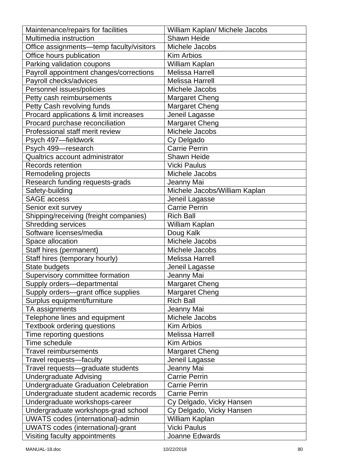| Maintenance/repairs for facilities          | William Kaplan/ Michele Jacobs |
|---------------------------------------------|--------------------------------|
| Multimedia instruction                      | Shawn Heide                    |
| Office assignments-temp faculty/visitors    | Michele Jacobs                 |
| Office hours publication                    | <b>Kim Arbios</b>              |
| Parking validation coupons                  | William Kaplan                 |
| Payroll appointment changes/corrections     | <b>Melissa Harrell</b>         |
| Payroll checks/advices                      | <b>Melissa Harrell</b>         |
| Personnel issues/policies                   | Michele Jacobs                 |
| Petty cash reimbursements                   | <b>Margaret Cheng</b>          |
| Petty Cash revolving funds                  | <b>Margaret Cheng</b>          |
| Procard applications & limit increases      | Jeneil Lagasse                 |
| Procard purchase reconciliation             | <b>Margaret Cheng</b>          |
| Professional staff merit review             | Michele Jacobs                 |
| Psych 497-fieldwork                         | Cy Delgado                     |
| Psych 499-research                          | Carrie Perrin                  |
| Qualtrics account administrator             | <b>Shawn Heide</b>             |
| <b>Records retention</b>                    | <b>Vicki Paulus</b>            |
| Remodeling projects                         | Michele Jacobs                 |
| Research funding requests-grads             | Jeanny Mai                     |
| Safety-building                             | Michele Jacobs/William Kaplan  |
| <b>SAGE access</b>                          | Jeneil Lagasse                 |
| Senior exit survey                          | <b>Carrie Perrin</b>           |
| Shipping/receiving (freight companies)      | <b>Rich Ball</b>               |
| <b>Shredding services</b>                   | William Kaplan                 |
| Software licenses/media                     | Doug Kalk                      |
| Space allocation                            | Michele Jacobs                 |
| Staff hires (permanent)                     | Michele Jacobs                 |
| Staff hires (temporary hourly)              | <b>Melissa Harrell</b>         |
| State budgets                               | Jeneil Lagasse                 |
| Supervisory committee formation             | Jeanny Mai                     |
| Supply orders-departmental                  | <b>Margaret Cheng</b>          |
| Supply orders-grant office supplies         | <b>Margaret Cheng</b>          |
| Surplus equipment/furniture                 | <b>Rich Ball</b>               |
| TA assignments                              | Jeanny Mai                     |
| Telephone lines and equipment               | Michele Jacobs                 |
| <b>Textbook ordering questions</b>          | <b>Kim Arbios</b>              |
| Time reporting questions                    | <b>Melissa Harrell</b>         |
| Time schedule                               | <b>Kim Arbios</b>              |
| <b>Travel reimbursements</b>                | Margaret Cheng                 |
| Travel requests-faculty                     | Jeneil Lagasse                 |
| Travel requests-graduate students           | Jeanny Mai                     |
| <b>Undergraduate Advising</b>               | <b>Carrie Perrin</b>           |
| <b>Undergraduate Graduation Celebration</b> | <b>Carrie Perrin</b>           |
| Undergraduate student academic records      | <b>Carrie Perrin</b>           |
| Undergraduate workshops-career              | Cy Delgado, Vicky Hansen       |
| Undergraduate workshops-grad school         | Cy Delgado, Vicky Hansen       |
| <b>UWATS</b> codes (international)-admin    | William Kaplan                 |
| <b>UWATS</b> codes (international)-grant    | <b>Vicki Paulus</b>            |
| Visiting faculty appointments               | Joanne Edwards                 |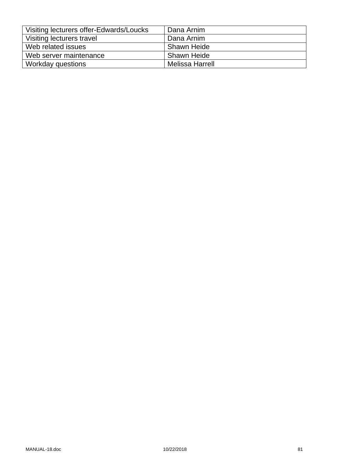| Visiting lecturers offer-Edwards/Loucks | Dana Arnim         |
|-----------------------------------------|--------------------|
| Visiting lecturers travel               | Dana Arnim         |
| Web related issues                      | <b>Shawn Heide</b> |
| Web server maintenance                  | Shawn Heide        |
| Workday questions                       | Melissa Harrell    |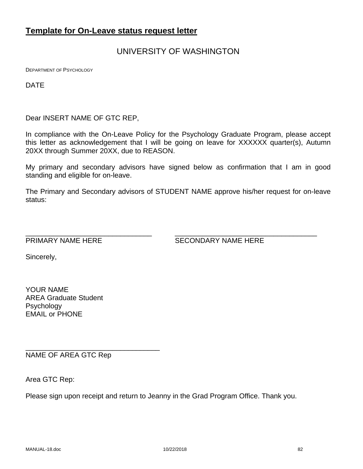# **Template for On-Leave status request letter**

# UNIVERSITY OF WASHINGTON

DEPARTMENT OF PSYCHOLOGY

DATE

Dear INSERT NAME OF GTC REP,

In compliance with the On-Leave Policy for the Psychology Graduate Program, please accept this letter as acknowledgement that I will be going on leave for XXXXXX quarter(s), Autumn 20XX through Summer 20XX, due to REASON.

My primary and secondary advisors have signed below as confirmation that I am in good standing and eligible for on-leave.

The Primary and Secondary advisors of STUDENT NAME approve his/her request for on-leave status:

\_\_\_\_\_\_\_\_\_\_\_\_\_\_\_\_\_\_\_\_\_\_\_\_\_\_\_\_\_\_\_\_ \_\_\_\_\_\_\_\_\_\_\_\_\_\_\_\_\_\_\_\_\_\_\_\_\_\_\_\_\_\_\_\_\_\_\_\_

PRIMARY NAME HERE SECONDARY NAME HERE

Sincerely,

YOUR NAME AREA Graduate Student Psychology EMAIL or PHONE

NAME OF AREA GTC Rep

\_\_\_\_\_\_\_\_\_\_\_\_\_\_\_\_\_\_\_\_\_\_\_\_\_\_\_\_\_\_\_\_\_\_

Area GTC Rep:

Please sign upon receipt and return to Jeanny in the Grad Program Office. Thank you.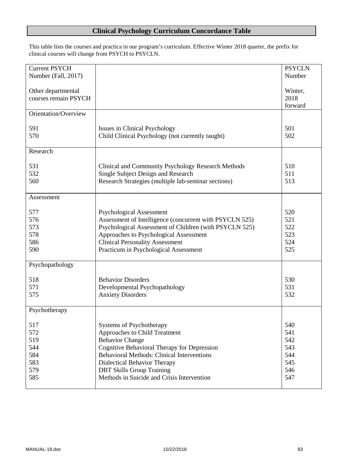# **Clinical Psychology Curriculum Concordance Table**

This table lists the courses and practica in our program's curriculum. Effective Winter 2018 quarter, the prefix for clinical courses will change from PSYCH to PSYCLN.

| <b>Current PSYCH</b> |                                                         | <b>PSYCLN</b> |
|----------------------|---------------------------------------------------------|---------------|
| Number (Fall, 2017)  |                                                         | Number        |
|                      |                                                         |               |
| Other departmental   |                                                         | Winter,       |
| courses remain PSYCH |                                                         | 2018          |
|                      |                                                         | forward       |
| Orientation/Overview |                                                         |               |
|                      |                                                         |               |
| 591                  | <b>Issues in Clinical Psychology</b>                    | 501           |
| 570                  | Child Clinical Psychology (not currently taught)        | 502           |
|                      |                                                         |               |
| Research             |                                                         |               |
|                      |                                                         |               |
| 531                  | Clinical and Community Psychology Research Methods      | 510           |
| 532                  | Single Subject Design and Research                      | 511           |
| 560                  | Research Strategies (multiple lab-seminar sections)     | 513           |
|                      |                                                         |               |
| Assessment           |                                                         |               |
|                      |                                                         |               |
| 577                  | <b>Psychological Assessment</b>                         | 520           |
| 576                  | Assessment of Intelligence (concurrent with PSYCLN 525) | 521           |
| 573                  | Psychological Assessment of Children (with PSYCLN 525)  | 522           |
| 578                  |                                                         | 523           |
|                      | Approaches to Psychological Assessment                  |               |
| 586                  | <b>Clinical Personality Assessment</b>                  | 524           |
| 590                  | Practicum in Psychological Assessment                   | 525           |
|                      |                                                         |               |
| Psychopathology      |                                                         |               |
|                      |                                                         |               |
| 518                  | <b>Behavior Disorders</b>                               | 530           |
| 571                  | Developmental Psychopathology                           | 531           |
| 575                  | <b>Anxiety Disorders</b>                                | 532           |
|                      |                                                         |               |
| Psychotherapy        |                                                         |               |
|                      |                                                         |               |
| 517                  | Systems of Psychotherapy                                | 540           |
| 572                  | Approaches to Child Treatment                           | 541           |
| 519                  | <b>Behavior Change</b>                                  | 542           |
| 544                  | Cognitive Behavioral Therapy for Depression             | 543           |
| 584                  | <b>Behavioral Methods: Clinical Interventions</b>       | 544           |
| 583                  | Dialectical Behavior Therapy                            | 545           |
| 579                  | <b>DBT Skills Group Training</b>                        | 546           |
| 585                  | Methods in Suicide and Crisis Intervention              | 547           |
|                      |                                                         |               |